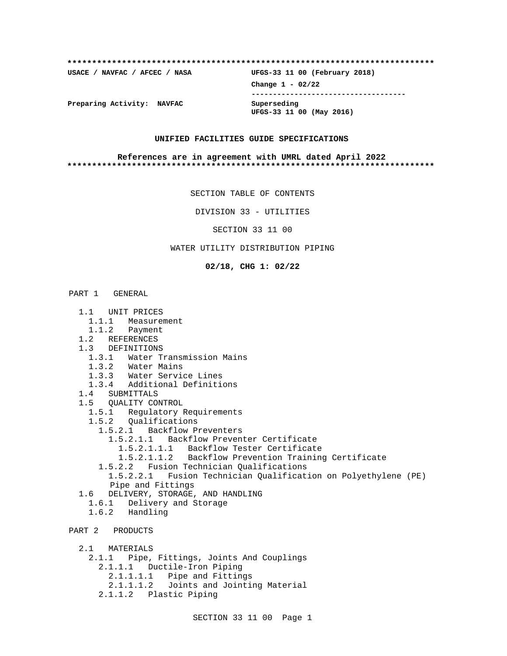# **\*\*\*\*\*\*\*\*\*\*\*\*\*\*\*\*\*\*\*\*\*\*\*\*\*\*\*\*\*\*\*\*\*\*\*\*\*\*\*\*\*\*\*\*\*\*\*\*\*\*\*\*\*\*\*\*\*\*\*\*\*\*\*\*\*\*\*\*\*\*\*\*\*\* USACE / NAVFAC / AFCEC / NASA UFGS-33 11 00 (February 2018)**

**Change 1 - 02/22 ------------------------------------**

**UFGS-33 11 00 (May 2016)**

**Preparing Activity: NAVFAC Superseding**

### **UNIFIED FACILITIES GUIDE SPECIFICATIONS**

### **References are in agreement with UMRL dated April 2022 \*\*\*\*\*\*\*\*\*\*\*\*\*\*\*\*\*\*\*\*\*\*\*\*\*\*\*\*\*\*\*\*\*\*\*\*\*\*\*\*\*\*\*\*\*\*\*\*\*\*\*\*\*\*\*\*\*\*\*\*\*\*\*\*\*\*\*\*\*\*\*\*\*\***

SECTION TABLE OF CONTENTS

DIVISION 33 - UTILITIES

SECTION 33 11 00

### WATER UTILITY DISTRIBUTION PIPING

**02/18, CHG 1: 02/22**

## PART 1 GENERAL

- 1.1 UNIT PRICES
- 1.1.1 Measurement
- 1.1.2 Payment
- 1.2 REFERENCES
- 1.3 DEFINITIONS
	- 1.3.1 Water Transmission Mains
	- 1.3.2 Water Mains
	- 1.3.3 Water Service Lines
- 1.3.4 Additional Definitions
- 1.4 SUBMITTALS
- 1.5 QUALITY CONTROL
	- 1.5.1 Regulatory Requirements
	- 1.5.2 Qualifications
		- 1.5.2.1 Backflow Preventers
			- 1.5.2.1.1 Backflow Preventer Certificate
			- 1.5.2.1.1.1 Backflow Tester Certificate
				- 1.5.2.1.1.2 Backflow Prevention Training Certificate
		- 1.5.2.2 Fusion Technician Qualifications
		- 1.5.2.2.1 Fusion Technician Qualification on Polyethylene (PE) Pipe and Fittings
- 1.6 DELIVERY, STORAGE, AND HANDLING
	- 1.6.1 Delivery and Storage
	- 1.6.2 Handling

PART 2 PRODUCTS

- 2.1 MATERIALS
- 2.1.1 Pipe, Fittings, Joints And Couplings 2.1.1.1 Ductile-Iron Piping 2.1.1.1.1 Pipe and Fittings 2.1.1.1.2 Joints and Jointing Material 2.1.1.2 Plastic Piping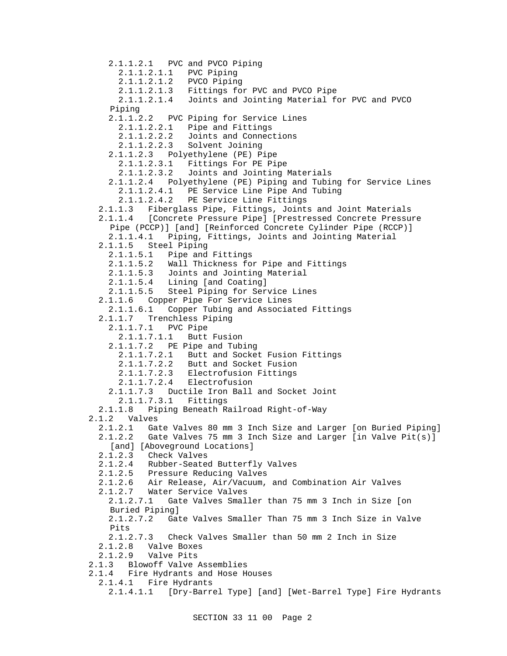2.1.1.2.1 PVC and PVCO Piping 2.1.1.2.1.1 PVC Piping 2.1.1.2.1.2 PVCO Piping 2.1.1.2.1.3 Fittings for PVC and PVCO Pipe 2.1.1.2.1.4 Joints and Jointing Material for PVC and PVCO Piping 2.1.1.2.2 PVC Piping for Service Lines 2.1.1.2.2.1 Pipe and Fittings 2.1.1.2.2.2 Joints and Connections 2.1.1.2.2.3 Solvent Joining 2.1.1.2.3 Polyethylene (PE) Pipe 2.1.1.2.3.1 Fittings For PE Pipe 2.1.1.2.3.2 Joints and Jointing Materials 2.1.1.2.4 Polyethylene (PE) Piping and Tubing for Service Lines 2.1.1.2.4.1 PE Service Line Pipe And Tubing 2.1.1.2.4.2 PE Service Line Fittings 2.1.1.3 Fiberglass Pipe, Fittings, Joints and Joint Materials 2.1.1.4 [Concrete Pressure Pipe] [Prestressed Concrete Pressure Pipe (PCCP)] [and] [Reinforced Concrete Cylinder Pipe (RCCP)] 2.1.1.4.1 Piping, Fittings, Joints and Jointing Material 2.1.1.5 Steel Piping 2.1.1.5.1 Pipe and Fittings 2.1.1.5.2 Wall Thickness for Pipe and Fittings 2.1.1.5.3 Joints and Jointing Material 2.1.1.5.4 Lining [and Coating] 2.1.1.5.5 Steel Piping for Service Lines 2.1.1.6 Copper Pipe For Service Lines 2.1.1.6.1 Copper Tubing and Associated Fittings 2.1.1.7 Trenchless Piping 2.1.1.7.1 PVC Pipe 2.1.1.7.1.1 Butt Fusion 2.1.1.7.2 PE Pipe and Tubing 2.1.1.7.2.1 Butt and Socket Fusion Fittings 2.1.1.7.2.2 Butt and Socket Fusion 2.1.1.7.2.3 Electrofusion Fittings 2.1.1.7.2.4 Electrofusion 2.1.1.7.3 Ductile Iron Ball and Socket Joint 2.1.1.7.3.1 Fittings 2.1.1.8 Piping Beneath Railroad Right-of-Way 2.1.2 Valves 2.1.2.1 Gate Valves 80 mm 3 Inch Size and Larger [on Buried Piping] 2.1.2.2 Gate Valves 75 mm 3 Inch Size and Larger [in Valve Pit(s)] [and] [Aboveground Locations] 2.1.2.3 Check Valves 2.1.2.4 Rubber-Seated Butterfly Valves 2.1.2.5 Pressure Reducing Valves 2.1.2.6 Air Release, Air/Vacuum, and Combination Air Valves 2.1.2.7 Water Service Valves 2.1.2.7.1 Gate Valves Smaller than 75 mm 3 Inch in Size [on Buried Piping] 2.1.2.7.2 Gate Valves Smaller Than 75 mm 3 Inch Size in Valve Pits 2.1.2.7.3 Check Valves Smaller than 50 mm 2 Inch in Size 2.1.2.8 Valve Boxes 2.1.2.9 Valve Pits 2.1.3 Blowoff Valve Assemblies 2.1.4 Fire Hydrants and Hose Houses 2.1.4.1 Fire Hydrants 2.1.4.1.1 [Dry-Barrel Type] [and] [Wet-Barrel Type] Fire Hydrants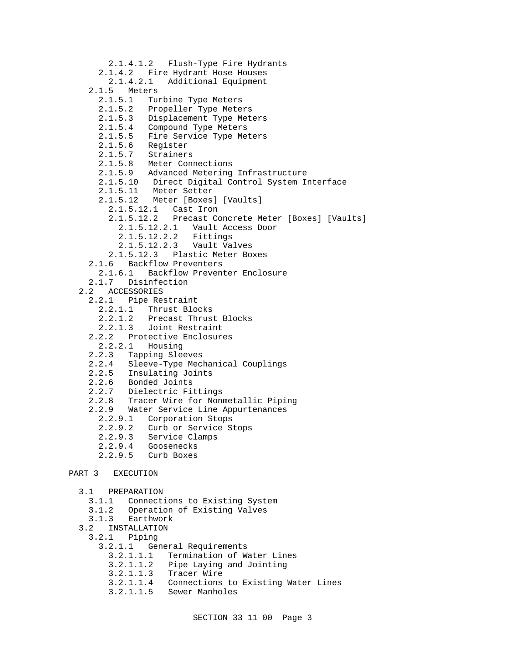```
 2.1.4.1.2 Flush-Type Fire Hydrants
       2.1.4.2 Fire Hydrant Hose Houses
         2.1.4.2.1 Additional Equipment
    2.1.5 Meters<br>2.1.5.1 Tu:
               Turbine Type Meters
       2.1.5.2 Propeller Type Meters
       2.1.5.3 Displacement Type Meters
       2.1.5.4 Compound Type Meters
       2.1.5.5 Fire Service Type Meters
       2.1.5.6 Register
       2.1.5.7 Strainers
       2.1.5.8 Meter Connections
       2.1.5.9 Advanced Metering Infrastructure
       2.1.5.10 Direct Digital Control System Interface
       2.1.5.11 Meter Setter
       2.1.5.12 Meter [Boxes] [Vaults]
         2.1.5.12.1 Cast Iron
         2.1.5.12.2 Precast Concrete Meter [Boxes] [Vaults]
           2.1.5.12.2.1 Vault Access Door
           2.1.5.12.2.2 Fittings
           2.1.5.12.2.3 Vault Valves
         2.1.5.12.3 Plastic Meter Boxes
     2.1.6 Backflow Preventers
       2.1.6.1 Backflow Preventer Enclosure
     2.1.7 Disinfection
   2.2 ACCESSORIES
     2.2.1 Pipe Restraint
       2.2.1.1 Thrust Blocks
       2.2.1.2 Precast Thrust Blocks
       2.2.1.3 Joint Restraint
     2.2.2 Protective Enclosures
       2.2.2.1 Housing
    2.2.3 Tapping Sleeves<br>2.2.4 Sleeve-Type Mec
          Sleeve-Type Mechanical Couplings
     2.2.5 Insulating Joints
     2.2.6 Bonded Joints
     2.2.7 Dielectric Fittings
     2.2.8 Tracer Wire for Nonmetallic Piping
     2.2.9 Water Service Line Appurtenances
       2.2.9.1 Corporation Stops
       2.2.9.2 Curb or Service Stops
       2.2.9.3 Service Clamps
       2.2.9.4 Goosenecks
       2.2.9.5 Curb Boxes
PART 3 EXECUTION
   3.1 PREPARATION
     3.1.1 Connections to Existing System
     3.1.2 Operation of Existing Valves
     3.1.3 Earthwork
   3.2 INSTALLATION
     3.2.1 Piping
       3.2.1.1 General Requirements
         3.2.1.1.1 Termination of Water Lines
         3.2.1.1.2 Pipe Laying and Jointing
         3.2.1.1.3 Tracer Wire
```
- 3.2.1.1.4 Connections to Existing Water Lines
- 3.2.1.1.5 Sewer Manholes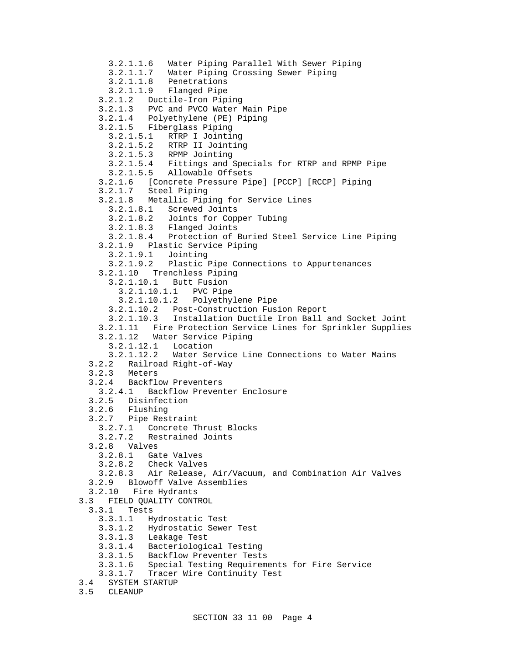3.2.1.1.6 Water Piping Parallel With Sewer Piping 3.2.1.1.7 Water Piping Crossing Sewer Piping 3.2.1.1.8 Penetrations 3.2.1.1.9 Flanged Pipe 3.2.1.2 Ductile-Iron Piping 3.2.1.3 PVC and PVCO Water Main Pipe 3.2.1.4 Polyethylene (PE) Piping 3.2.1.5 Fiberglass Piping 3.2.1.5.1 RTRP I Jointing 3.2.1.5.2 RTRP II Jointing 3.2.1.5.3 RPMP Jointing 3.2.1.5.4 Fittings and Specials for RTRP and RPMP Pipe 3.2.1.5.5 Allowable Offsets 3.2.1.6 [Concrete Pressure Pipe] [PCCP] [RCCP] Piping 3.2.1.7 Steel Piping 3.2.1.8 Metallic Piping for Service Lines 3.2.1.8.1 Screwed Joints 3.2.1.8.2 Joints for Copper Tubing 3.2.1.8.3 Flanged Joints 3.2.1.8.4 Protection of Buried Steel Service Line Piping 3.2.1.9 Plastic Service Piping 3.2.1.9.1 Jointing 3.2.1.9.2 Plastic Pipe Connections to Appurtenances 3.2.1.10 Trenchless Piping 3.2.1.10.1 Butt Fusion 3.2.1.10.1.1 PVC Pipe 3.2.1.10.1.2 Polyethylene Pipe 3.2.1.10.2 Post-Construction Fusion Report 3.2.1.10.3 Installation Ductile Iron Ball and Socket Joint 3.2.1.11 Fire Protection Service Lines for Sprinkler Supplies 3.2.1.12 Water Service Piping 3.2.1.12.1 Location 3.2.1.12.2 Water Service Line Connections to Water Mains 3.2.2 Railroad Right-of-Way 3.2.3 Meters 3.2.4 Backflow Preventers 3.2.4.1 Backflow Preventer Enclosure 3.2.5 Disinfection 3.2.6 Flushing 3.2.7 Pipe Restraint 3.2.7.1 Concrete Thrust Blocks 3.2.7.2 Restrained Joints 3.2.8 Valves 3.2.8.1 Gate Valves 3.2.8.2 Check Valves 3.2.8.3 Air Release, Air/Vacuum, and Combination Air Valves 3.2.9 Blowoff Valve Assemblies 3.2.10 Fire Hydrants 3.3 FIELD QUALITY CONTROL 3.3.1 Tests 3.3.1.1 Hydrostatic Test 3.3.1.2 Hydrostatic Sewer Test 3.3.1.3 Leakage Test 3.3.1.4 Bacteriological Testing 3.3.1.5 Backflow Preventer Tests 3.3.1.6 Special Testing Requirements for Fire Service 3.3.1.7 Tracer Wire Continuity Test 3.4 SYSTEM STARTUP

3.5 CLEANUP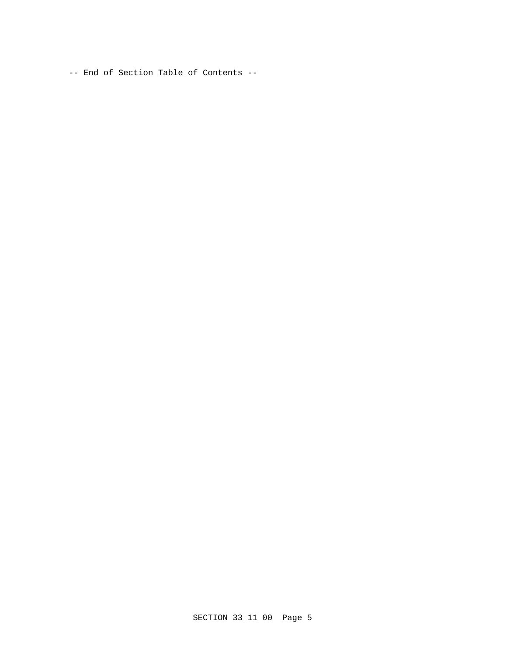-- End of Section Table of Contents --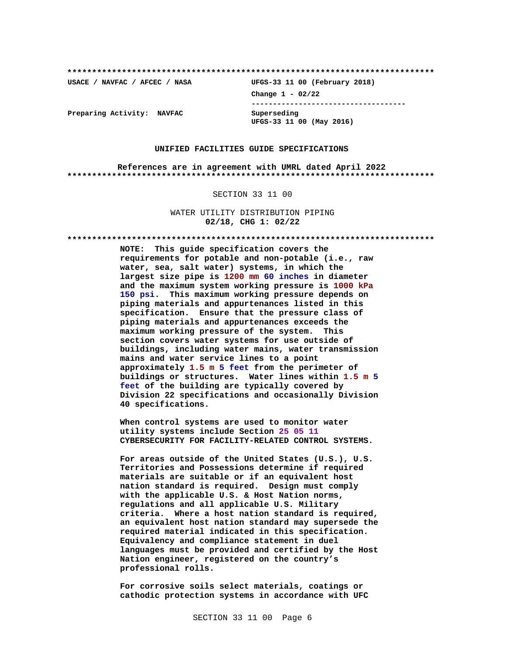**\*\*\*\*\*\*\*\*\*\*\*\*\*\*\*\*\*\*\*\*\*\*\*\*\*\*\*\*\*\*\*\*\*\*\*\*\*\*\*\*\*\*\*\*\*\*\*\*\*\*\*\*\*\*\*\*\*\*\*\*\*\*\*\*\*\*\*\*\*\*\*\*\*\***

**USACE / NAVFAC / AFCEC / NASA UFGS-33 11 00 (February 2018) Change 1 - 02/22 ------------------------------------ UFGS-33 11 00 (May 2016)**

**Preparing Activity: NAVFAC Superseding**

### **UNIFIED FACILITIES GUIDE SPECIFICATIONS**

**References are in agreement with UMRL dated April 2022 \*\*\*\*\*\*\*\*\*\*\*\*\*\*\*\*\*\*\*\*\*\*\*\*\*\*\*\*\*\*\*\*\*\*\*\*\*\*\*\*\*\*\*\*\*\*\*\*\*\*\*\*\*\*\*\*\*\*\*\*\*\*\*\*\*\*\*\*\*\*\*\*\*\***

### SECTION 33 11 00

WATER UTILITY DISTRIBUTION PIPING **02/18, CHG 1: 02/22**

**\*\*\*\*\*\*\*\*\*\*\*\*\*\*\*\*\*\*\*\*\*\*\*\*\*\*\*\*\*\*\*\*\*\*\*\*\*\*\*\*\*\*\*\*\*\*\*\*\*\*\*\*\*\*\*\*\*\*\*\*\*\*\*\*\*\*\*\*\*\*\*\*\*\***

**NOTE: This guide specification covers the requirements for potable and non-potable (i.e., raw water, sea, salt water) systems, in which the largest size pipe is 1200 mm 60 inches in diameter and the maximum system working pressure is 1000 kPa 150 psi. This maximum working pressure depends on piping materials and appurtenances listed in this specification. Ensure that the pressure class of piping materials and appurtenances exceeds the maximum working pressure of the system. This section covers water systems for use outside of buildings, including water mains, water transmission mains and water service lines to a point approximately 1.5 m 5 feet from the perimeter of buildings or structures. Water lines within 1.5 m 5 feet of the building are typically covered by Division 22 specifications and occasionally Division 40 specifications.**

**When control systems are used to monitor water utility systems include Section 25 05 11 CYBERSECURITY FOR FACILITY-RELATED CONTROL SYSTEMS.**

**For areas outside of the United States (U.S.), U.S. Territories and Possessions determine if required materials are suitable or if an equivalent host nation standard is required. Design must comply with the applicable U.S. & Host Nation norms, regulations and all applicable U.S. Military criteria. Where a host nation standard is required, an equivalent host nation standard may supersede the required material indicated in this specification. Equivalency and compliance statement in duel languages must be provided and certified by the Host Nation engineer, registered on the country's professional rolls.**

**For corrosive soils select materials, coatings or cathodic protection systems in accordance with UFC**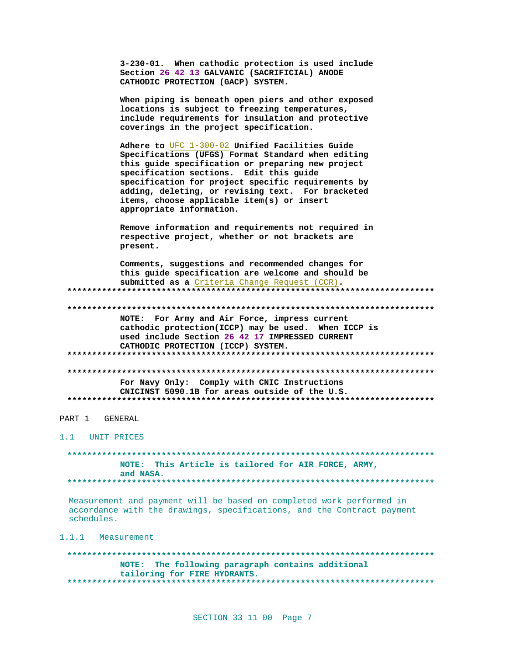|                    | 3-230-01. When cathodic protection is used include<br>Section 26 42 13 GALVANIC (SACRIFICIAL) ANODE<br>CATHODIC PROTECTION (GACP) SYSTEM.                                                                                                                                                                                                                                                  |
|--------------------|--------------------------------------------------------------------------------------------------------------------------------------------------------------------------------------------------------------------------------------------------------------------------------------------------------------------------------------------------------------------------------------------|
|                    | When piping is beneath open piers and other exposed<br>locations is subject to freezing temperatures,<br>include requirements for insulation and protective<br>coverings in the project specification.                                                                                                                                                                                     |
|                    | Adhere to UFC 1-300-02 Unified Facilities Guide<br>Specifications (UFGS) Format Standard when editing<br>this guide specification or preparing new project<br>specification sections. Edit this guide<br>specification for project specific requirements by<br>adding, deleting, or revising text. For bracketed<br>items, choose applicable item(s) or insert<br>appropriate information. |
|                    | Remove information and requirements not required in<br>respective project, whether or not brackets are<br>present.                                                                                                                                                                                                                                                                         |
|                    | Comments, suggestions and recommended changes for<br>this guide specification are welcome and should be<br>submitted as a Criteria Change Request (CCR).                                                                                                                                                                                                                                   |
|                    |                                                                                                                                                                                                                                                                                                                                                                                            |
|                    | NOTE: For Army and Air Force, impress current<br>cathodic protection(ICCP) may be used. When ICCP is<br>used include Section 26 42 17 IMPRESSED CURRENT<br>CATHODIC PROTECTION (ICCP) SYSTEM.                                                                                                                                                                                              |
|                    |                                                                                                                                                                                                                                                                                                                                                                                            |
|                    | For Navy Only: Comply with CNIC Instructions<br>CNICINST 5090.1B for areas outside of the U.S.                                                                                                                                                                                                                                                                                             |
|                    |                                                                                                                                                                                                                                                                                                                                                                                            |
| PART 1<br>GENERAL  |                                                                                                                                                                                                                                                                                                                                                                                            |
| 1.1<br>UNIT PRICES |                                                                                                                                                                                                                                                                                                                                                                                            |
|                    |                                                                                                                                                                                                                                                                                                                                                                                            |
|                    | This Article is tailored for AIR FORCE, ARMY,<br>NOTE:<br>and NASA.                                                                                                                                                                                                                                                                                                                        |
|                    |                                                                                                                                                                                                                                                                                                                                                                                            |

Measurement and payment will be based on completed work performed in accordance with the drawings, specifications, and the Contract payment schedules.

1.1.1 Measurement

NOTE: The following paragraph contains additional tailoring for FIRE HYDRANTS.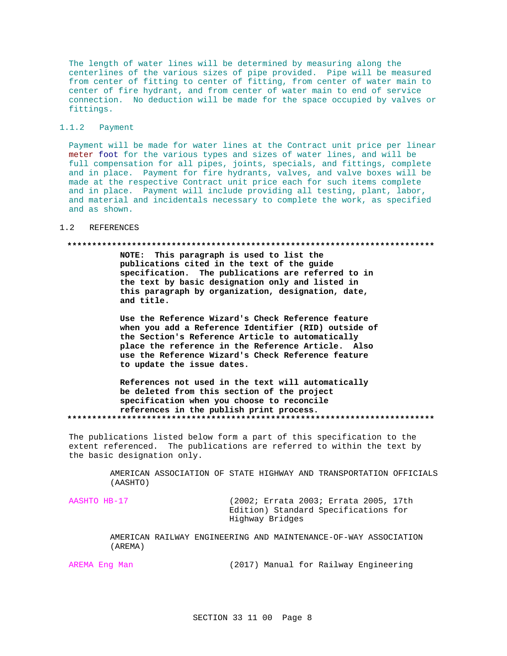The length of water lines will be determined by measuring along the centerlines of the various sizes of pipe provided. Pipe will be measured from center of fitting to center of fitting, from center of water main to center of fire hydrant, and from center of water main to end of service connection. No deduction will be made for the space occupied by valves or fittings.

### 1.1.2 Payment

Payment will be made for water lines at the Contract unit price per linear meter foot for the various types and sizes of water lines, and will be full compensation for all pipes, joints, specials, and fittings, complete and in place. Payment for fire hydrants, valves, and valve boxes will be made at the respective Contract unit price each for such items complete and in place. Payment will include providing all testing, plant, labor, and material and incidentals necessary to complete the work, as specified and as shown.

#### $1.2$ **REFERENCES**

### 

NOTE: This paragraph is used to list the publications cited in the text of the guide specification. The publications are referred to in the text by basic designation only and listed in this paragraph by organization, designation, date, and title.

Use the Reference Wizard's Check Reference feature when you add a Reference Identifier (RID) outside of the Section's Reference Article to automatically place the reference in the Reference Article. Also use the Reference Wizard's Check Reference feature to update the issue dates.

References not used in the text will automatically be deleted from this section of the project specification when you choose to reconcile references in the publish print process. 

The publications listed below form a part of this specification to the extent referenced. The publications are referred to within the text by the basic designation only.

> AMERICAN ASSOCIATION OF STATE HIGHWAY AND TRANSPORTATION OFFICIALS (AASHTO)

AASHTO HB-17

(2002; Errata 2003; Errata 2005, 17th Edition) Standard Specifications for Highway Bridges

AMERICAN RAILWAY ENGINEERING AND MAINTENANCE-OF-WAY ASSOCIATION (AREMA)

AREMA Eng Man

(2017) Manual for Railway Engineering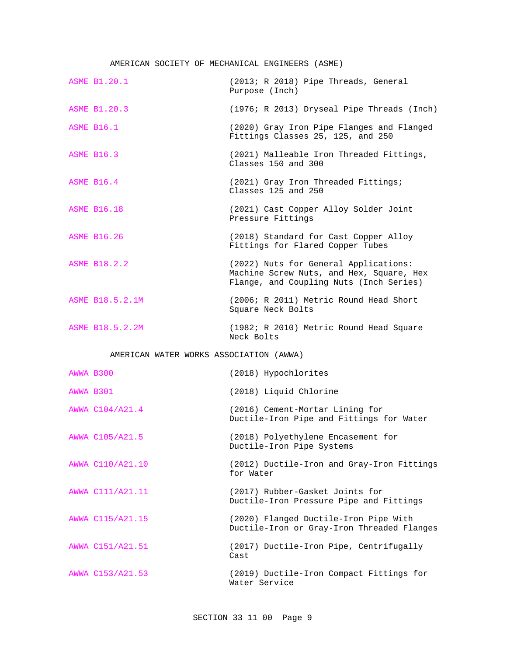### AMERICAN SOCIETY OF MECHANICAL ENGINEERS (ASME)

|           | <b>ASME B1.20.1</b>                     | (2013; R 2018) Pipe Threads, General<br>Purpose (Inch)                                                                       |
|-----------|-----------------------------------------|------------------------------------------------------------------------------------------------------------------------------|
|           | <b>ASME B1.20.3</b>                     | (1976; R 2013) Dryseal Pipe Threads (Inch)                                                                                   |
|           | <b>ASME B16.1</b>                       | (2020) Gray Iron Pipe Flanges and Flanged<br>Fittings Classes 25, 125, and 250                                               |
|           | <b>ASME B16.3</b>                       | (2021) Malleable Iron Threaded Fittings,<br>Classes 150 and 300                                                              |
|           | <b>ASME B16.4</b>                       | (2021) Gray Iron Threaded Fittings;<br>Classes 125 and 250                                                                   |
|           | <b>ASME B16.18</b>                      | (2021) Cast Copper Alloy Solder Joint<br>Pressure Fittings                                                                   |
|           | <b>ASME B16.26</b>                      | (2018) Standard for Cast Copper Alloy<br>Fittings for Flared Copper Tubes                                                    |
|           | <b>ASME B18.2.2</b>                     | (2022) Nuts for General Applications:<br>Machine Screw Nuts, and Hex, Square, Hex<br>Flange, and Coupling Nuts (Inch Series) |
|           | ASME B18.5.2.1M                         | (2006; R 2011) Metric Round Head Short<br>Square Neck Bolts                                                                  |
|           |                                         |                                                                                                                              |
|           | ASME B18.5.2.2M                         | (1982; R 2010) Metric Round Head Square<br>Neck Bolts                                                                        |
|           | AMERICAN WATER WORKS ASSOCIATION (AWWA) |                                                                                                                              |
| AWWA B300 |                                         | (2018) Hypochlorites                                                                                                         |
| AWWA B301 |                                         | (2018) Liquid Chlorine                                                                                                       |
|           | AWWA C104/A21.4                         | (2016) Cement-Mortar Lining for<br>Ductile-Iron Pipe and Fittings for Water                                                  |
|           | AWWA C105/A21.5                         | (2018) Polyethylene Encasement for<br>Ductile-Iron Pipe Systems                                                              |
|           | AWWA C110/A21.10                        | (2012) Ductile-Iron and Gray-Iron Fittings<br>for Water                                                                      |
|           | AWWA C111/A21.11                        | (2017) Rubber-Gasket Joints for<br>Ductile-Iron Pressure Pipe and Fittings                                                   |
|           | AWWA C115/A21.15                        | (2020) Flanged Ductile-Iron Pipe With<br>Ductile-Iron or Gray-Iron Threaded Flanges                                          |
|           | AWWA C151/A21.51                        | (2017) Ductile-Iron Pipe, Centrifugally<br>Cast                                                                              |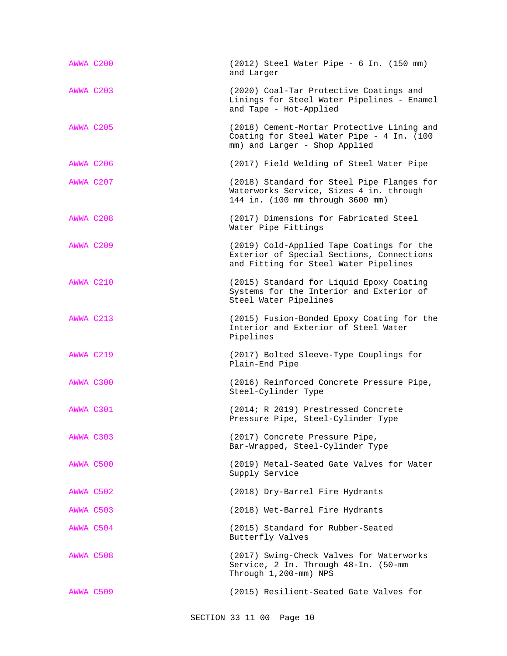| AWWA C200 | (2012) Steel Water Pipe - 6 In. (150 mm)<br>and Larger                                                                          |
|-----------|---------------------------------------------------------------------------------------------------------------------------------|
| AWWA C203 | (2020) Coal-Tar Protective Coatings and<br>Linings for Steel Water Pipelines - Enamel<br>and Tape - Hot-Applied                 |
| AWWA C205 | (2018) Cement-Mortar Protective Lining and<br>Coating for Steel Water Pipe - 4 In. (100<br>mm) and Larger - Shop Applied        |
| AWWA C206 | (2017) Field Welding of Steel Water Pipe                                                                                        |
| AWWA C207 | (2018) Standard for Steel Pipe Flanges for<br>Waterworks Service, Sizes 4 in. through<br>144 in. (100 mm through 3600 mm)       |
| AWWA C208 | (2017) Dimensions for Fabricated Steel<br>Water Pipe Fittings                                                                   |
| AWWA C209 | (2019) Cold-Applied Tape Coatings for the<br>Exterior of Special Sections, Connections<br>and Fitting for Steel Water Pipelines |
| AWWA C210 | (2015) Standard for Liquid Epoxy Coating<br>Systems for the Interior and Exterior of<br>Steel Water Pipelines                   |
| AWWA C213 | (2015) Fusion-Bonded Epoxy Coating for the<br>Interior and Exterior of Steel Water<br>Pipelines                                 |
| AWWA C219 | (2017) Bolted Sleeve-Type Couplings for<br>Plain-End Pipe                                                                       |
| AWWA C300 | (2016) Reinforced Concrete Pressure Pipe,<br>Steel-Cylinder Type                                                                |
| AWWA C301 | (2014; R 2019) Prestressed Concrete<br>Pressure Pipe, Steel-Cylinder Type                                                       |
| AWWA C303 | (2017) Concrete Pressure Pipe,<br>Bar-Wrapped, Steel-Cylinder Type                                                              |
| AWWA C500 | (2019) Metal-Seated Gate Valves for Water<br>Supply Service                                                                     |
| AWWA C502 | (2018) Dry-Barrel Fire Hydrants                                                                                                 |
| AWWA C503 | (2018) Wet-Barrel Fire Hydrants                                                                                                 |
| AWWA C504 | (2015) Standard for Rubber-Seated<br>Butterfly Valves                                                                           |
| AWWA C508 | (2017) Swing-Check Valves for Waterworks<br>Service, 2 In. Through 48-In. (50-mm<br>Through 1,200-mm) NPS                       |
| AWWA C509 | (2015) Resilient-Seated Gate Valves for                                                                                         |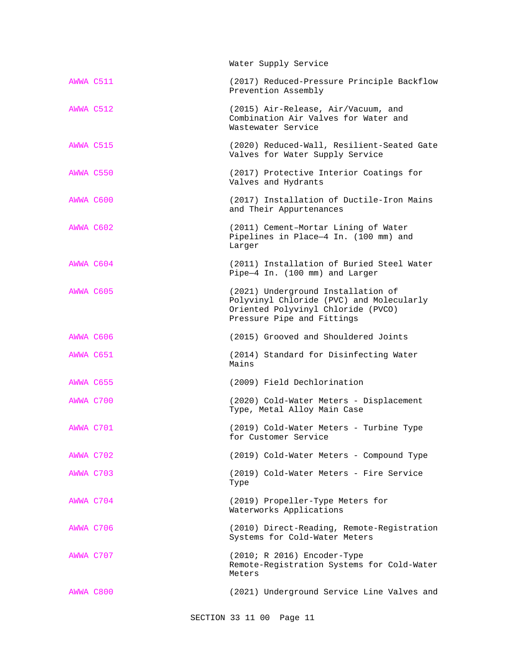|           | Water Supply Service                                                                                                                               |
|-----------|----------------------------------------------------------------------------------------------------------------------------------------------------|
| AWWA C511 | (2017) Reduced-Pressure Principle Backflow<br>Prevention Assembly                                                                                  |
| AWWA C512 | (2015) Air-Release, Air/Vacuum, and<br>Combination Air Valves for Water and<br>Wastewater Service                                                  |
| AWWA C515 | (2020) Reduced-Wall, Resilient-Seated Gate<br>Valves for Water Supply Service                                                                      |
| AWWA C550 | (2017) Protective Interior Coatings for<br>Valves and Hydrants                                                                                     |
| AWWA C600 | (2017) Installation of Ductile-Iron Mains<br>and Their Appurtenances                                                                               |
| AWWA C602 | (2011) Cement-Mortar Lining of Water<br>Pipelines in Place-4 In. (100 mm) and<br>Larger                                                            |
| AWWA C604 | (2011) Installation of Buried Steel Water<br>Pipe-4 In. (100 mm) and Larger                                                                        |
| AWWA C605 | (2021) Underground Installation of<br>Polyvinyl Chloride (PVC) and Molecularly<br>Oriented Polyvinyl Chloride (PVCO)<br>Pressure Pipe and Fittings |
| AWWA C606 | (2015) Grooved and Shouldered Joints                                                                                                               |
| AWWA C651 | (2014) Standard for Disinfecting Water<br>Mains                                                                                                    |
| AWWA C655 | (2009) Field Dechlorination                                                                                                                        |
| AWWA C700 | (2020) Cold-Water Meters - Displacement<br>Type, Metal Alloy Main Case                                                                             |
| AWWA C701 | (2019) Cold-Water Meters - Turbine Type<br>for Customer Service                                                                                    |
| AWWA C702 | (2019) Cold-Water Meters - Compound Type                                                                                                           |
| AWWA C703 | (2019) Cold-Water Meters - Fire Service<br>Type                                                                                                    |
| AWWA C704 | (2019) Propeller-Type Meters for<br>Waterworks Applications                                                                                        |
| AWWA C706 | (2010) Direct-Reading, Remote-Registration<br>Systems for Cold-Water Meters                                                                        |
| AWWA C707 | (2010; R 2016) Encoder-Type<br>Remote-Registration Systems for Cold-Water<br>Meters                                                                |
| AWWA C800 | (2021) Underground Service Line Valves and                                                                                                         |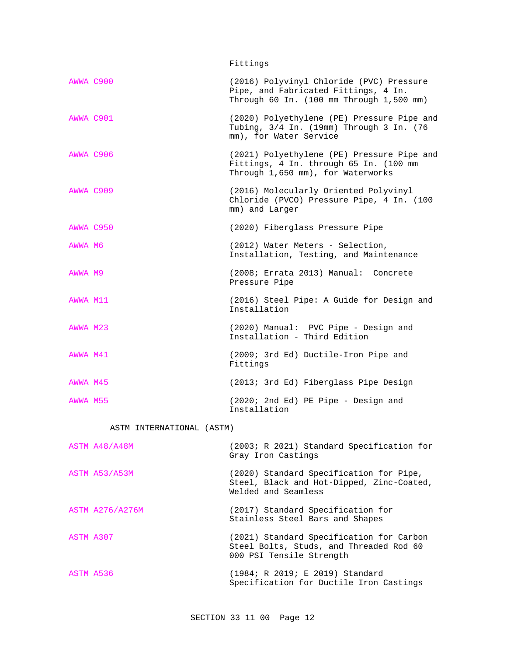Fittings

| AWWA C900 |                           | (2016) Polyvinyl Chloride (PVC) Pressure<br>Pipe, and Fabricated Fittings, 4 In.<br>Through 60 In. (100 mm Through 1,500 mm) |
|-----------|---------------------------|------------------------------------------------------------------------------------------------------------------------------|
| AWWA C901 |                           | (2020) Polyethylene (PE) Pressure Pipe and<br>Tubing, 3/4 In. (19mm) Through 3 In. (76<br>mm), for Water Service             |
| AWWA C906 |                           | (2021) Polyethylene (PE) Pressure Pipe and<br>Fittings, 4 In. through 65 In. (100 mm<br>Through 1,650 mm), for Waterworks    |
| AWWA C909 |                           | (2016) Molecularly Oriented Polyvinyl<br>Chloride (PVCO) Pressure Pipe, 4 In. (100<br>mm) and Larger                         |
| AWWA C950 |                           | (2020) Fiberglass Pressure Pipe                                                                                              |
| AWWA M6   |                           | (2012) Water Meters - Selection,<br>Installation, Testing, and Maintenance                                                   |
| AWWA M9   |                           | (2008; Errata 2013) Manual: Concrete<br>Pressure Pipe                                                                        |
| AWWA M11  |                           | (2016) Steel Pipe: A Guide for Design and<br>Installation                                                                    |
| AWWA M23  |                           | (2020) Manual: PVC Pipe - Design and<br>Installation - Third Edition                                                         |
| AWWA M41  |                           | (2009; 3rd Ed) Ductile-Iron Pipe and<br>Fittings                                                                             |
| AWWA M45  |                           | (2013; 3rd Ed) Fiberglass Pipe Design                                                                                        |
| AWWA M55  |                           | (2020; 2nd Ed) PE Pipe - Design and<br>Installation                                                                          |
|           | ASTM INTERNATIONAL (ASTM) |                                                                                                                              |
|           | ASTM A48/A48M             | (2003; R 2021) Standard Specification for<br>Gray Iron Castings                                                              |
|           | ASTM A53/A53M             | (2020) Standard Specification for Pipe,<br>Steel, Black and Hot-Dipped, Zinc-Coated,<br>Welded and Seamless                  |

ASTM A276/A276M (2017) Standard Specification for Stainless Steel Bars and Shapes

ASTM A307 (2021) Standard Specification for Carbon Steel Bolts, Studs, and Threaded Rod 60 000 PSI Tensile Strength

ASTM A536 (1984; R 2019; E 2019) Standard Specification for Ductile Iron Castings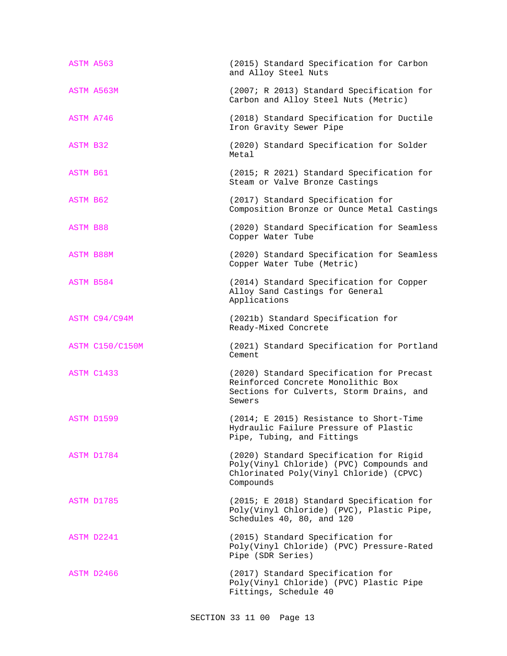| ASTM A563              | (2015) Standard Specification for Carbon<br>and Alloy Steel Nuts                                                                            |
|------------------------|---------------------------------------------------------------------------------------------------------------------------------------------|
| ASTM A563M             | (2007; R 2013) Standard Specification for<br>Carbon and Alloy Steel Nuts (Metric)                                                           |
| ASTM A746              | (2018) Standard Specification for Ductile<br>Iron Gravity Sewer Pipe                                                                        |
| ASTM B32               | (2020) Standard Specification for Solder<br>Metal                                                                                           |
| ASTM B61               | (2015; R 2021) Standard Specification for<br>Steam or Valve Bronze Castings                                                                 |
| ASTM B62               | (2017) Standard Specification for<br>Composition Bronze or Ounce Metal Castings                                                             |
| <b>ASTM B88</b>        | (2020) Standard Specification for Seamless<br>Copper Water Tube                                                                             |
| ASTM B88M              | (2020) Standard Specification for Seamless<br>Copper Water Tube (Metric)                                                                    |
| ASTM B584              | (2014) Standard Specification for Copper<br>Alloy Sand Castings for General<br>Applications                                                 |
| ASTM C94/C94M          | (2021b) Standard Specification for<br>Ready-Mixed Concrete                                                                                  |
| <b>ASTM C150/C150M</b> | (2021) Standard Specification for Portland<br>Cement                                                                                        |
| ASTM C1433             | (2020) Standard Specification for Precast<br>Reinforced Concrete Monolithic Box<br>Sections for Culverts, Storm Drains, and<br>Sewers       |
| ASTM D1599             | (2014; E 2015) Resistance to Short-Time<br>Hydraulic Failure Pressure of Plastic<br>Pipe, Tubing, and Fittings                              |
| ASTM D1784             | (2020) Standard Specification for Rigid<br>Poly(Vinyl Chloride) (PVC) Compounds and<br>Chlorinated Poly(Vinyl Chloride) (CPVC)<br>Compounds |
| ASTM D1785             | (2015; E 2018) Standard Specification for<br>Poly(Vinyl Chloride) (PVC), Plastic Pipe,<br>Schedules 40, 80, and 120                         |
| ASTM D2241             | (2015) Standard Specification for<br>Poly(Vinyl Chloride) (PVC) Pressure-Rated<br>Pipe (SDR Series)                                         |
| ASTM D2466             | (2017) Standard Specification for<br>Poly(Vinyl Chloride) (PVC) Plastic Pipe<br>Fittings, Schedule 40                                       |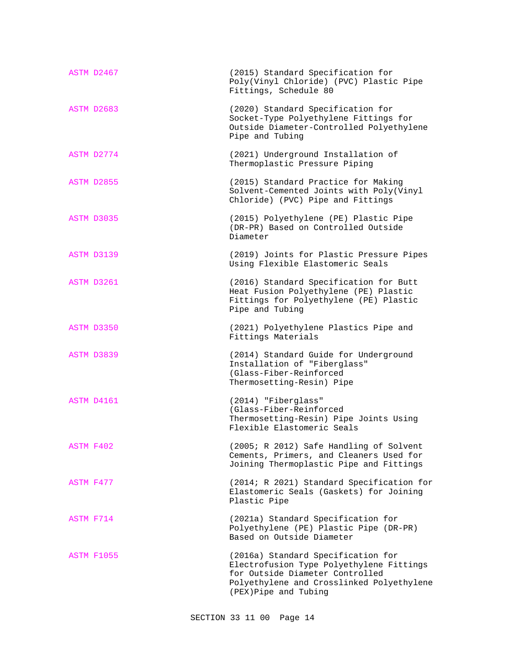| ASTM D2467        | (2015) Standard Specification for<br>Poly(Vinyl Chloride) (PVC) Plastic Pipe<br>Fittings, Schedule 80                                                                                  |
|-------------------|----------------------------------------------------------------------------------------------------------------------------------------------------------------------------------------|
| ASTM D2683        | (2020) Standard Specification for<br>Socket-Type Polyethylene Fittings for<br>Outside Diameter-Controlled Polyethylene<br>Pipe and Tubing                                              |
| ASTM D2774        | (2021) Underground Installation of<br>Thermoplastic Pressure Piping                                                                                                                    |
| ASTM D2855        | (2015) Standard Practice for Making<br>Solvent-Cemented Joints with Poly(Vinyl<br>Chloride) (PVC) Pipe and Fittings                                                                    |
| ASTM D3035        | (2015) Polyethylene (PE) Plastic Pipe<br>(DR-PR) Based on Controlled Outside<br>Diameter                                                                                               |
| ASTM D3139        | (2019) Joints for Plastic Pressure Pipes<br>Using Flexible Elastomeric Seals                                                                                                           |
| ASTM D3261        | (2016) Standard Specification for Butt<br>Heat Fusion Polyethylene (PE) Plastic<br>Fittings for Polyethylene (PE) Plastic<br>Pipe and Tubing                                           |
| ASTM D3350        | (2021) Polyethylene Plastics Pipe and<br>Fittings Materials                                                                                                                            |
| ASTM D3839        | (2014) Standard Guide for Underground<br>Installation of "Fiberglass"<br>(Glass-Fiber-Reinforced<br>Thermosetting-Resin) Pipe                                                          |
| ASTM D4161        | (2014) "Fiberglass"<br>(Glass-Fiber-Reinforced<br>Thermosetting-Resin) Pipe Joints Using<br>Flexible Elastomeric Seals                                                                 |
| ASTM F402         | (2005; R 2012) Safe Handling of Solvent<br>Cements, Primers, and Cleaners Used for<br>Joining Thermoplastic Pipe and Fittings                                                          |
| ASTM F477         | (2014; R 2021) Standard Specification for<br>Elastomeric Seals (Gaskets) for Joining<br>Plastic Pipe                                                                                   |
| ASTM F714         | (2021a) Standard Specification for<br>Polyethylene (PE) Plastic Pipe (DR-PR)<br>Based on Outside Diameter                                                                              |
| <b>ASTM F1055</b> | (2016a) Standard Specification for<br>Electrofusion Type Polyethylene Fittings<br>for Outside Diameter Controlled<br>Polyethylene and Crosslinked Polyethylene<br>(PEX)Pipe and Tubing |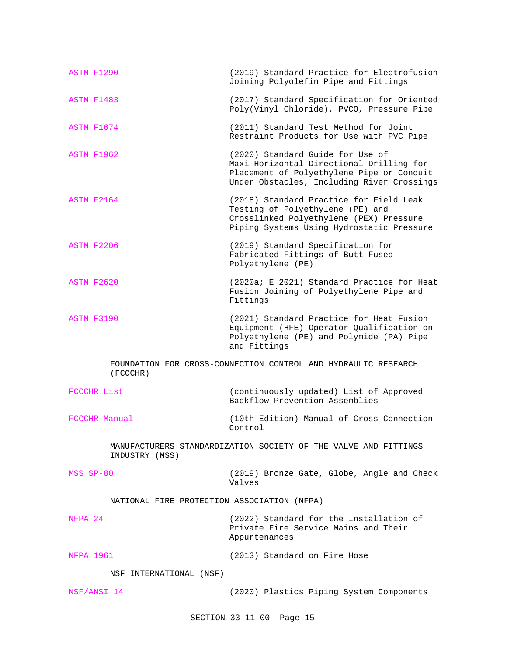| ASTM F1290                                  | (2019) Standard Practice for Electrofusion<br>Joining Polyolefin Pipe and Fittings                                                                                      |
|---------------------------------------------|-------------------------------------------------------------------------------------------------------------------------------------------------------------------------|
| ASTM F1483                                  | (2017) Standard Specification for Oriented<br>Poly(Vinyl Chloride), PVCO, Pressure Pipe                                                                                 |
| ASTM F1674                                  | (2011) Standard Test Method for Joint<br>Restraint Products for Use with PVC Pipe                                                                                       |
| ASTM F1962                                  | (2020) Standard Guide for Use of<br>Maxi-Horizontal Directional Drilling for<br>Placement of Polyethylene Pipe or Conduit<br>Under Obstacles, Including River Crossings |
| ASTM F2164                                  | (2018) Standard Practice for Field Leak<br>Testing of Polyethylene (PE) and<br>Crosslinked Polyethylene (PEX) Pressure<br>Piping Systems Using Hydrostatic Pressure     |
| ASTM F2206                                  | (2019) Standard Specification for<br>Fabricated Fittings of Butt-Fused<br>Polyethylene (PE)                                                                             |
| <b>ASTM F2620</b>                           | (2020a; E 2021) Standard Practice for Heat<br>Fusion Joining of Polyethylene Pipe and<br>Fittings                                                                       |
| ASTM F3190                                  | (2021) Standard Practice for Heat Fusion<br>Equipment (HFE) Operator Qualification on<br>Polyethylene (PE) and Polymide (PA) Pipe<br>and Fittings                       |
| (FCCCHR)                                    | FOUNDATION FOR CROSS-CONNECTION CONTROL AND HYDRAULIC RESEARCH                                                                                                          |
| FCCCHR List                                 | (continuously updated) List of Approved<br>Backflow Prevention Assemblies                                                                                               |
| FCCCHR Manual                               | (10th Edition) Manual of Cross-Connection<br>Control                                                                                                                    |
| INDUSTRY (MSS)                              | MANUFACTURERS STANDARDIZATION SOCIETY OF THE VALVE AND FITTINGS                                                                                                         |
| MSS SP-80                                   | (2019) Bronze Gate, Globe, Angle and Check<br>Valves                                                                                                                    |
| NATIONAL FIRE PROTECTION ASSOCIATION (NFPA) |                                                                                                                                                                         |
| NFPA 24                                     | (2022) Standard for the Installation of<br>Private Fire Service Mains and Their<br>Appurtenances                                                                        |
| <b>NFPA 1961</b>                            | (2013) Standard on Fire Hose                                                                                                                                            |
| NSF INTERNATIONAL (NSF)                     |                                                                                                                                                                         |
| NSF/ANSI 14                                 | (2020) Plastics Piping System Components                                                                                                                                |

SECTION 33 11 00 Page 15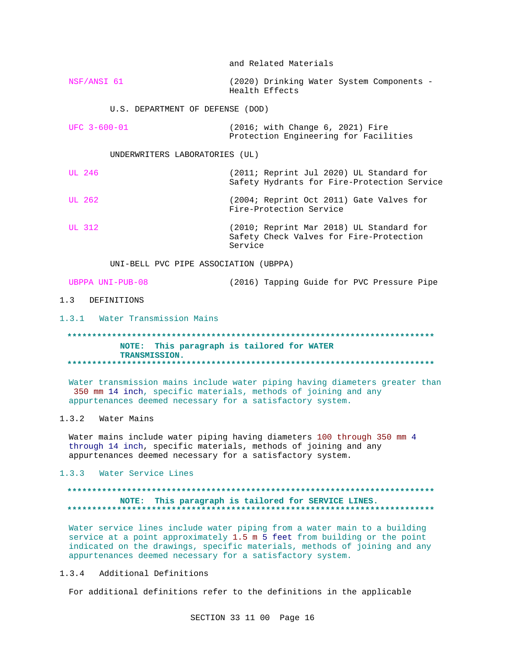and Related Materials

NSF/ANSI 61 (2020) Drinking Water System Components -Health Effects

U.S. DEPARTMENT OF DEFENSE (DOD)

| UFC 3-600-01 | (2016; with Change 6, 2021) Fire      |  |
|--------------|---------------------------------------|--|
|              | Protection Engineering for Facilities |  |

UNDERWRITERS LABORATORIES (UL)

**UL 246** (2011; Reprint Jul 2020) UL Standard for Safety Hydrants for Fire-Protection Service **UL 262** (2004; Reprint Oct 2011) Gate Valves for Fire-Protection Service **UL 312** (2010; Reprint Mar 2018) UL Standard for Safety Check Valves for Fire-Protection Service

UNI-BELL PVC PIPE ASSOCIATION (UBPPA)

UBPPA UNI-PUB-08 (2016) Tapping Guide for PVC Pressure Pipe

### 1.3 DEFINITIONS

1.3.1 Water Transmission Mains

### NOTE: This paragraph is tailored for WATER TRANSMISSION.

Water transmission mains include water piping having diameters greater than 350 mm 14 inch, specific materials, methods of joining and any appurtenances deemed necessary for a satisfactory system.

## 1.3.2 Water Mains

Water mains include water piping having diameters 100 through 350 mm 4 through 14 inch, specific materials, methods of joining and any appurtenances deemed necessary for a satisfactory system.

### 1.3.3 Water Service Lines

### NOTE: This paragraph is tailored for SERVICE LINES.

Water service lines include water piping from a water main to a building service at a point approximately 1.5 m 5 feet from building or the point indicated on the drawings, specific materials, methods of joining and any appurtenances deemed necessary for a satisfactory system.

### $1.3.4$ Additional Definitions

For additional definitions refer to the definitions in the applicable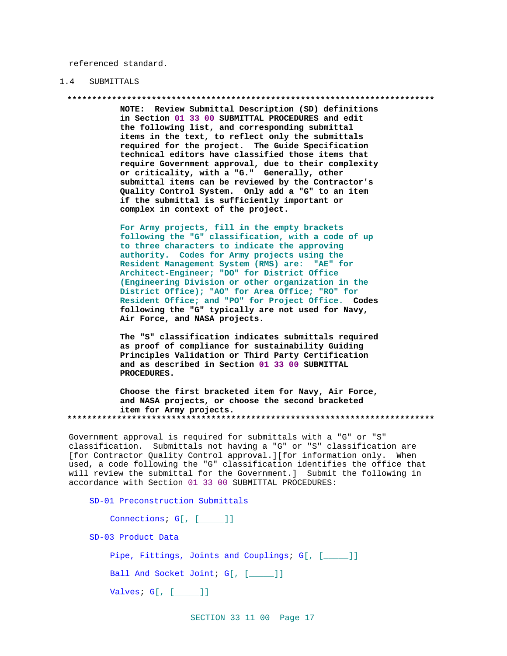referenced standard.

#### $1.4$ SUBMITTALS

NOTE: Review Submittal Description (SD) definitions in Section 01 33 00 SUBMITTAL PROCEDURES and edit the following list, and corresponding submittal items in the text, to reflect only the submittals required for the project. The Guide Specification technical editors have classified those items that require Government approval, due to their complexity or criticality, with a "G." Generally, other submittal items can be reviewed by the Contractor's Quality Control System. Only add a "G" to an item if the submittal is sufficiently important or complex in context of the project.

For Army projects, fill in the empty brackets following the "G" classification, with a code of up to three characters to indicate the approving authority. Codes for Army projects using the Resident Management System (RMS) are: "AE" for Architect-Engineer; "DO" for District Office (Engineering Division or other organization in the District Office); "AO" for Area Office; "RO" for Resident Office; and "PO" for Project Office. Codes following the "G" typically are not used for Navy, Air Force, and NASA projects.

The "S" classification indicates submittals required as proof of compliance for sustainability Guiding Principles Validation or Third Party Certification and as described in Section 01 33 00 SUBMITTAL PROCEDURES.

Choose the first bracketed item for Navy, Air Force, and NASA projects, or choose the second bracketed item for Army projects. 

Government approval is required for submittals with a "G" or "S" classification. Submittals not having a "G" or "S" classification are [for Contractor Quality Control approval.][for information only. When used, a code following the "G" classification identifies the office that will review the submittal for the Government.] Submit the following in accordance with Section 01 33 00 SUBMITTAL PROCEDURES:

SD-01 Preconstruction Submittals

Connections; G[, [\_\_\_\_]]

SD-03 Product Data

Pipe, Fittings, Joints and Couplings; G[, [\_\_\_\_]]

Ball And Socket Joint; G[, [\_\_\_\_]]

Valves; G[, [\_\_\_\_]]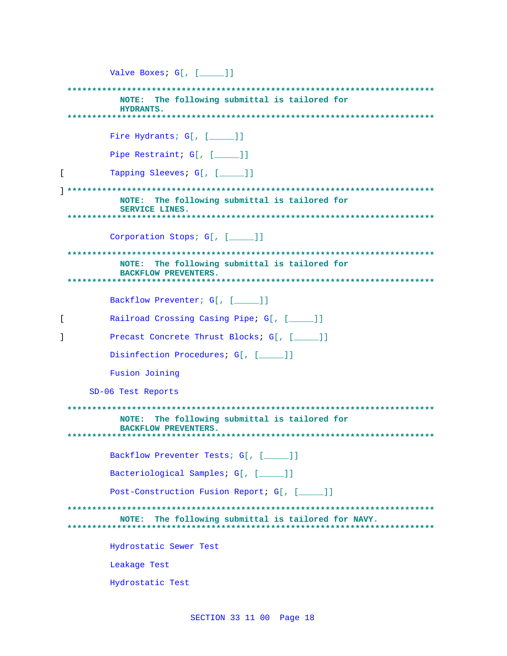|   | Valve Boxes; G[, [ ]]                                                           |
|---|---------------------------------------------------------------------------------|
|   | The following submittal is tailored for<br>NOTE:<br><b>HYDRANTS.</b>            |
|   |                                                                                 |
|   | Fire Hydrants; G[, [____]]                                                      |
|   | Pipe Restraint; G[, [____]]                                                     |
| L | Tapping Sleeves; G[, [____]]                                                    |
|   | The following submittal is tailored for<br>NOTE:<br><b>SERVICE LINES.</b>       |
|   | Corporation Stops; G[, [____]]                                                  |
|   | The following submittal is tailored for<br>NOTE:<br><b>BACKFLOW PREVENTERS.</b> |
|   | Backflow Preventer; G[, [ ]]                                                    |
| [ | Railroad Crossing Casing Pipe; G[, [____]]                                      |
|   | Precast Concrete Thrust Blocks; G[, [ ]]                                        |
|   | Disinfection Procedures; G[, [ ]]                                               |
|   | Fusion Joining                                                                  |
|   | SD-06 Test Reports                                                              |
|   | The following submittal is tailored for<br>NOTE:<br><b>BACKFLOW PREVENTERS.</b> |
|   | Backflow Preventer Tests; G[, [____]]                                           |
|   | Bacteriological Samples; G[, [____]]                                            |
|   | Post-Construction Fusion Report; G[, [____]]                                    |
|   | The following submittal is tailored for NAVY.<br>NOTE:                          |
|   | Hydrostatic Sewer Test                                                          |
|   | Leakage Test                                                                    |
|   | Hydrostatic Test                                                                |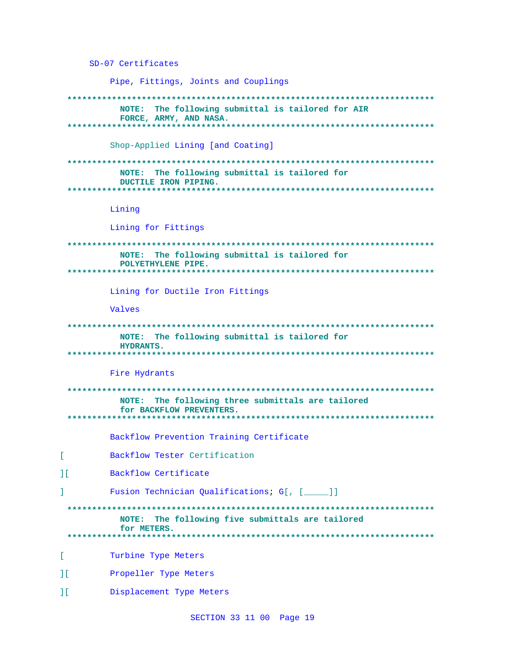SD-07 Certificates Pipe, Fittings, Joints and Couplings NOTE: The following submittal is tailored for AIR FORCE, ARMY, AND NASA. . . . . . . . . . . . . والمتعاطف لمعاطف Shop-Applied Lining [and Coating] NOTE: The following submittal is tailored for DUCTILE IRON PIPING. Lining Lining for Fittings NOTE: The following submittal is tailored for POLYETHYLENE PIPE. Lining for Ductile Iron Fittings Valves NOTE: The following submittal is tailored for **HYDRANTS.** Fire Hydrants NOTE: The following three submittals are tailored for BACKFLOW PREVENTERS. Backflow Prevention Training Certificate ſ. Backflow Tester Certification  $11$ Backflow Certificate  $\mathbf{I}$ Fusion Technician Qualifications; G[, [\_\_\_\_]] NOTE: The following five submittals are tailored for METERS. . . . . . . . . . .  $\mathsf{L}$ Turbine Type Meters  $\Gamma$ Propeller Type Meters  $\mathbf{H}$ Displacement Type Meters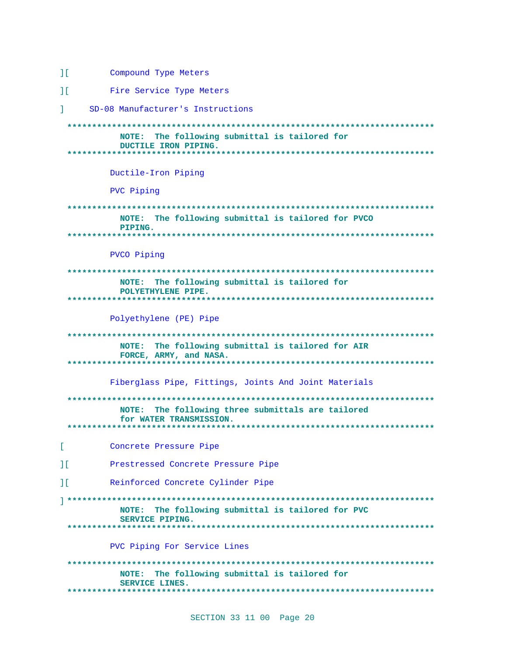```
11Compound Type Meters
```
 $11$ Fire Service Type Meters

I. SD-08 Manufacturer's Instructions

NOTE: The following submittal is tailored for DUCTILE IRON PIPING. . . . . . . . . . . . . . . . Ductile-Iron Piping PVC Piping NOTE: The following submittal is tailored for PVCO PIPING. PVCO Piping NOTE: The following submittal is tailored for POLYETHYLENE PIPE. Polyethylene (PE) Pipe NOTE: The following submittal is tailored for AIR FORCE, ARMY, and NASA. Fiberglass Pipe, Fittings, Joints And Joint Materials NOTE: The following three submittals are tailored for WATER TRANSMISSION.  $\mathbb{R}^{\mathbb{Z}}$ Concrete Pressure Pipe  $1<sup>1</sup>$ Prestressed Concrete Pressure Pipe Reinforced Concrete Cylinder Pipe  $11$ NOTE: The following submittal is tailored for PVC SERVICE PIPING. PVC Piping For Service Lines NOTE: The following submittal is tailored for SERVICE LINES. \*\*\*\*\*\*\*\*\*\*\*\*\*\*\*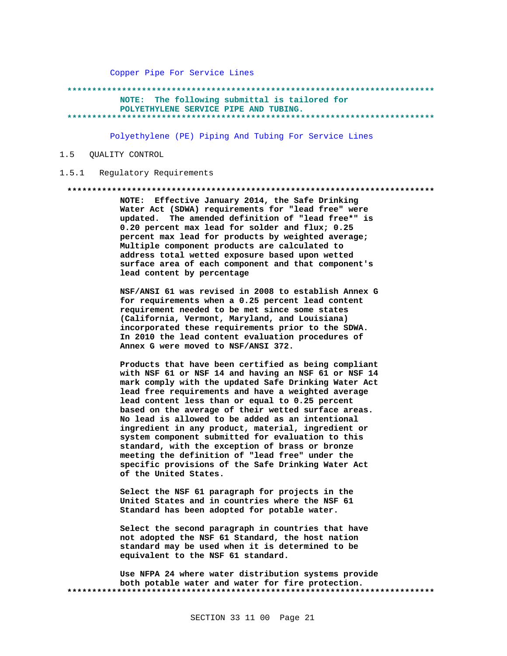Copper Pipe For Service Lines

### NOTE: The following submittal is tailored for

POLYETHYLENE SERVICE PIPE AND TUBING.

\*\*\*\*\*\*\*\*\*\*\*\*\*\*\*\*\*\*\*

Polyethylene (PE) Piping And Tubing For Service Lines

#### $1.5$ QUALITY CONTROL

#### Regulatory Reguirements  $1.5.1$

### 

NOTE: Effective January 2014, the Safe Drinking Water Act (SDWA) requirements for "lead free" were updated. The amended definition of "lead free\*" is 0.20 percent max lead for solder and flux; 0.25 percent max lead for products by weighted average; Multiple component products are calculated to address total wetted exposure based upon wetted surface area of each component and that component's lead content by percentage

NSF/ANSI 61 was revised in 2008 to establish Annex G for requirements when a 0.25 percent lead content requirement needed to be met since some states (California, Vermont, Maryland, and Louisiana) incorporated these requirements prior to the SDWA. In 2010 the lead content evaluation procedures of Annex G were moved to NSF/ANSI 372.

Products that have been certified as being compliant with NSF 61 or NSF 14 and having an NSF 61 or NSF 14 mark comply with the updated Safe Drinking Water Act lead free requirements and have a weighted average lead content less than or equal to 0.25 percent based on the average of their wetted surface areas. No lead is allowed to be added as an intentional ingredient in any product, material, ingredient or system component submitted for evaluation to this standard, with the exception of brass or bronze meeting the definition of "lead free" under the specific provisions of the Safe Drinking Water Act of the United States.

Select the NSF 61 paragraph for projects in the United States and in countries where the NSF 61 Standard has been adopted for potable water.

Select the second paragraph in countries that have not adopted the NSF 61 Standard, the host nation standard may be used when it is determined to be equivalent to the NSF 61 standard.

Use NFPA 24 where water distribution systems provide both potable water and water for fire protection.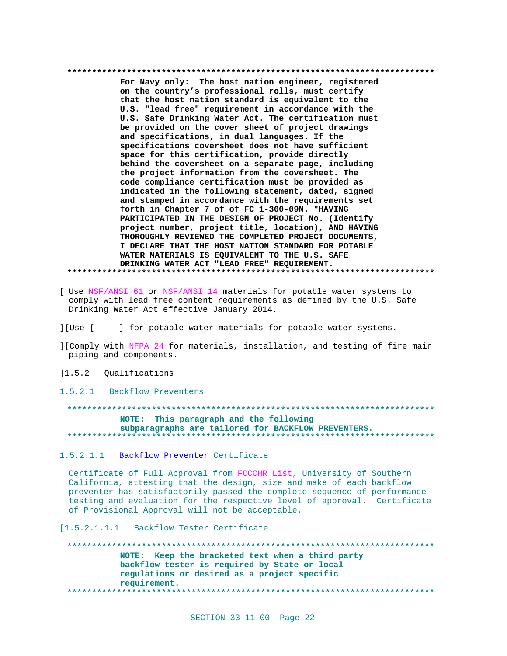For Navy only: The host nation engineer, registered on the country's professional rolls, must certify that the host nation standard is equivalent to the U.S. "lead free" requirement in accordance with the U.S. Safe Drinking Water Act. The certification must be provided on the cover sheet of project drawings and specifications, in dual languages. If the specifications coversheet does not have sufficient space for this certification, provide directly behind the coversheet on a separate page, including the project information from the coversheet. The code compliance certification must be provided as indicated in the following statement, dated, signed and stamped in accordance with the requirements set forth in Chapter 7 of of FC 1-300-09N. "HAVING PARTICIPATED IN THE DESIGN OF PROJECT No. (Identify project number, project title, location), AND HAVING THOROUGHLY REVIEWED THE COMPLETED PROJECT DOCUMENTS, I DECLARE THAT THE HOST NATION STANDARD FOR POTABLE WATER MATERIALS IS EQUIVALENT TO THE U.S. SAFE DRINKING WATER ACT "LEAD FREE" REQUIREMENT. 

- [ Use NSF/ANSI 61 or NSF/ANSI 14 materials for potable water systems to comply with lead free content requirements as defined by the U.S. Safe Drinking Water Act effective January 2014.
- ][Use [\_\_\_\_\_] for potable water materials for potable water systems.
- ][Comply with NFPA 24 for materials, installation, and testing of fire main piping and components.
- 11.5.2 Qualifications
- 1.5.2.1 Backflow Preventers

NOTE: This paragraph and the following subparagraphs are tailored for BACKFLOW PREVENTERS. 

### 1.5.2.1.1 Backflow Preventer Certificate

Certificate of Full Approval from FCCCHR List, University of Southern California, attesting that the design, size and make of each backflow preventer has satisfactorily passed the complete sequence of performance testing and evaluation for the respective level of approval. Certificate of Provisional Approval will not be acceptable.

[1.5.2.1.1.1 Backflow Tester Certificate

NOTE: Keep the bracketed text when a third party backflow tester is required by State or local regulations or desired as a project specific requirement.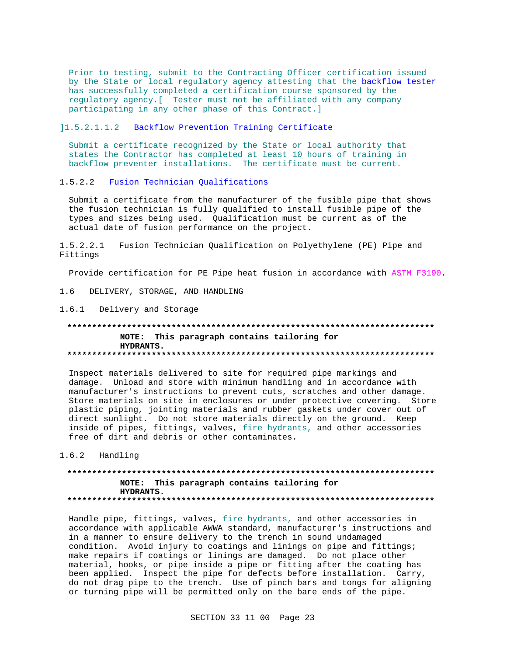Prior to testing, submit to the Contracting Officer certification issued by the State or local regulatory agency attesting that the backflow tester has successfully completed a certification course sponsored by the regulatory agency. [ Tester must not be affiliated with any company participating in any other phase of this Contract.]

11.5.2.1.1.2 Backflow Prevention Training Certificate

Submit a certificate recognized by the State or local authority that states the Contractor has completed at least 10 hours of training in backflow preventer installations. The certificate must be current.

1.5.2.2 Fusion Technician Qualifications

Submit a certificate from the manufacturer of the fusible pipe that shows the fusion technician is fully qualified to install fusible pipe of the types and sizes being used. Qualification must be current as of the actual date of fusion performance on the project.

 $1.5.2.2.1$ Fusion Technician Qualification on Polyethylene (PE) Pipe and Fittings

Provide certification for PE Pipe heat fusion in accordance with ASTM F3190.

 $1.6$ DELIVERY, STORAGE, AND HANDLING

1.6.1 Delivery and Storage

### NOTE: This paragraph contains tailoring for HYDRANTS.

Inspect materials delivered to site for required pipe markings and damage. Unload and store with minimum handling and in accordance with manufacturer's instructions to prevent cuts, scratches and other damage. Store materials on site in enclosures or under protective covering. Store plastic piping, jointing materials and rubber gaskets under cover out of direct sunlight. Do not store materials directly on the ground. Keep inside of pipes, fittings, valves, fire hydrants, and other accessories free of dirt and debris or other contaminates.

1.6.2 Handling

### NOTE: This paragraph contains tailoring for HYDRANTS.

Handle pipe, fittings, valves, fire hydrants, and other accessories in accordance with applicable AWWA standard, manufacturer's instructions and in a manner to ensure delivery to the trench in sound undamaged condition. Avoid injury to coatings and linings on pipe and fittings; make repairs if coatings or linings are damaged. Do not place other material, hooks, or pipe inside a pipe or fitting after the coating has been applied. Inspect the pipe for defects before installation. Carry, do not drag pipe to the trench. Use of pinch bars and tongs for aligning or turning pipe will be permitted only on the bare ends of the pipe.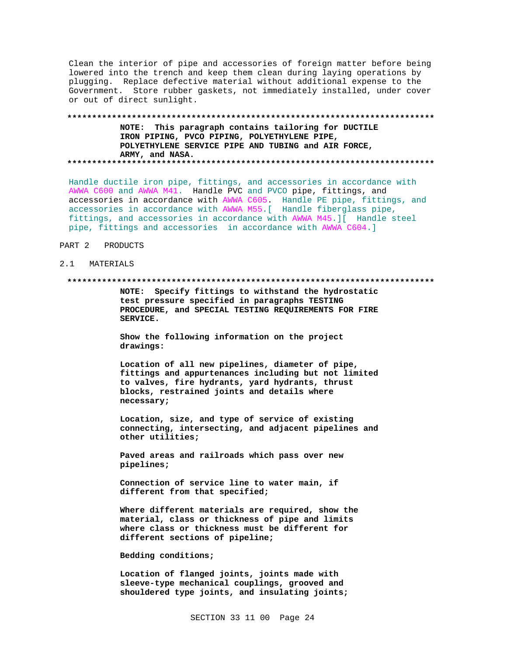Clean the interior of pipe and accessories of foreign matter before being lowered into the trench and keep them clean during laying operations by plugging. Replace defective material without additional expense to the Government. Store rubber gaskets, not immediately installed, under cover or out of direct sunlight.

### NOTE: This paragraph contains tailoring for DUCTILE IRON PIPING, PVCO PIPING, POLYETHYLENE PIPE, POLYETHYLENE SERVICE PIPE AND TUBING and AIR FORCE, ARMY, and NASA.

Handle ductile iron pipe, fittings, and accessories in accordance with AWWA C600 and AWWA M41. Handle PVC and PVCO pipe, fittings, and accessories in accordance with AWWA C605. Handle PE pipe, fittings, and accessories in accordance with AWWA M55. [ Handle fiberglass pipe, fittings, and accessories in accordance with AWWA M45.][ Handle steel pipe, fittings and accessories in accordance with AWWA C604.]

#### PART 2 PRODUCTS

#### $2.1$ MATERIALS

#### \*\*\*\*\*\*\*\*\*\*\*\*\*\*

NOTE: Specify fittings to withstand the hydrostatic test pressure specified in paragraphs TESTING PROCEDURE, and SPECIAL TESTING REQUIREMENTS FOR FIRE SERVICE.

Show the following information on the project drawings:

Location of all new pipelines, diameter of pipe, fittings and appurtenances including but not limited to valves, fire hydrants, yard hydrants, thrust blocks, restrained joints and details where necessary;

Location, size, and type of service of existing connecting, intersecting, and adjacent pipelines and other utilities;

Paved areas and railroads which pass over new pipelines;

Connection of service line to water main, if different from that specified;

Where different materials are required, show the material, class or thickness of pipe and limits where class or thickness must be different for different sections of pipeline;

### Bedding conditions;

Location of flanged joints, joints made with sleeve-type mechanical couplings, grooved and shouldered type joints, and insulating joints;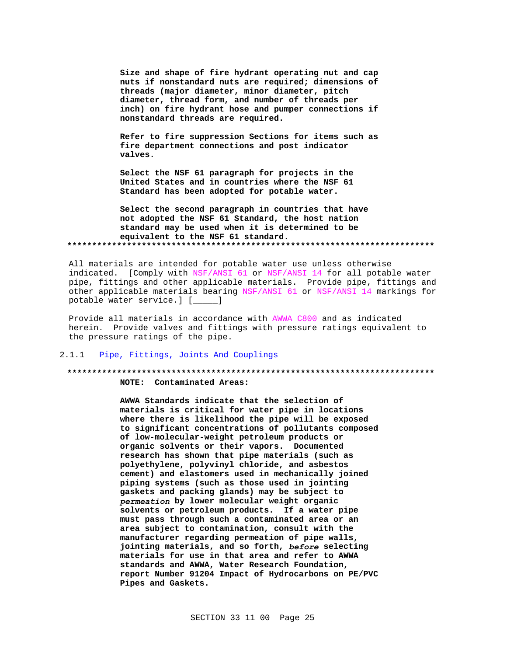Size and shape of fire hydrant operating nut and cap nuts if nonstandard nuts are required; dimensions of threads (major diameter, minor diameter, pitch diameter, thread form, and number of threads per inch) on fire hydrant hose and pumper connections if nonstandard threads are required.

Refer to fire suppression Sections for items such as fire department connections and post indicator valves.

Select the NSF 61 paragraph for projects in the United States and in countries where the NSF 61 Standard has been adopted for potable water.

Select the second paragraph in countries that have not adopted the NSF 61 Standard, the host nation standard may be used when it is determined to be equivalent to the NSF 61 standard. 

All materials are intended for potable water use unless otherwise indicated. [Comply with NSF/ANSI 61 or NSF/ANSI 14 for all potable water pipe, fittings and other applicable materials. Provide pipe, fittings and other applicable materials bearing NSF/ANSI 61 or NSF/ANSI 14 markings for potable water service.] [\_\_\_\_\_]

Provide all materials in accordance with AWWA C800 and as indicated herein. Provide valves and fittings with pressure ratings equivalent to the pressure ratings of the pipe.

#### $2.1.1$ Pipe, Fittings, Joints And Couplings

### NOTE: Contaminated Areas:

AWWA Standards indicate that the selection of materials is critical for water pipe in locations where there is likelihood the pipe will be exposed to significant concentrations of pollutants composed of low-molecular-weight petroleum products or organic solvents or their vapors. Documented research has shown that pipe materials (such as polyethylene, polyvinyl chloride, and asbestos cement) and elastomers used in mechanically joined piping systems (such as those used in jointing gaskets and packing glands) may be subject to permeation by lower molecular weight organic solvents or petroleum products. If a water pipe must pass through such a contaminated area or an area subject to contamination, consult with the manufacturer regarding permeation of pipe walls, jointing materials, and so forth, before selecting materials for use in that area and refer to AWWA standards and AWWA, Water Research Foundation, report Number 91204 Impact of Hydrocarbons on PE/PVC Pipes and Gaskets.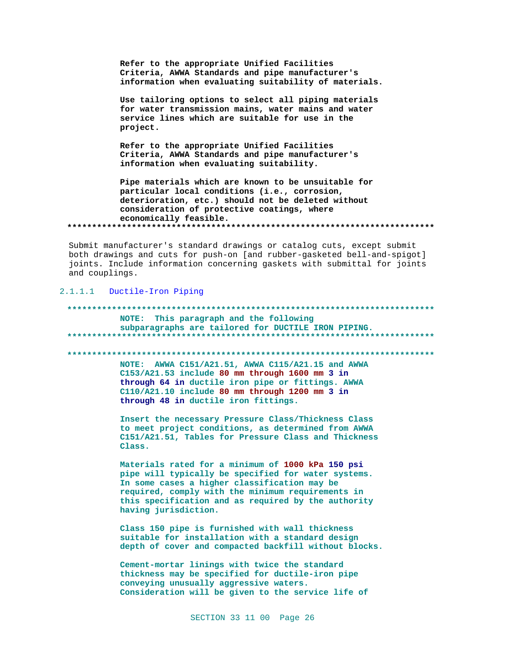Refer to the appropriate Unified Facilities Criteria, AWWA Standards and pipe manufacturer's information when evaluating suitability of materials.

Use tailoring options to select all piping materials for water transmission mains, water mains and water service lines which are suitable for use in the project.

Refer to the appropriate Unified Facilities Criteria, AWWA Standards and pipe manufacturer's information when evaluating suitability.

Pipe materials which are known to be unsuitable for particular local conditions (i.e., corrosion, deterioration, etc.) should not be deleted without consideration of protective coatings, where economically feasible. 

Submit manufacturer's standard drawings or catalog cuts, except submit both drawings and cuts for push-on [and rubber-gasketed bell-and-spigot] joints. Include information concerning gaskets with submittal for joints and couplings.

### 2.1.1.1 Ductile-Iron Piping

\*\*\*\*\*\*\*\*\*\*\*\*\*\*\*\* NOTE: This paragraph and the following subparagraphs are tailored for DUCTILE IRON PIPING. NOTE: AWWA C151/A21.51, AWWA C115/A21.15 and AWWA  $C153/A21.53$  include 80 mm through 1600 mm 3 in through 64 in ductile iron pipe or fittings. AWWA C110/A21.10 include 80 mm through 1200 mm 3 in through 48 in ductile iron fittings. Insert the necessary Pressure Class/Thickness Class to meet project conditions, as determined from AWWA C151/A21.51, Tables for Pressure Class and Thickness Class. Materials rated for a minimum of 1000 kPa 150 psi pipe will typically be specified for water systems. In some cases a higher classification may be required, comply with the minimum requirements in this specification and as required by the authority having jurisdiction. Class 150 pipe is furnished with wall thickness suitable for installation with a standard design depth of cover and compacted backfill without blocks. Cement-mortar linings with twice the standard thickness may be specified for ductile-iron pipe conveying unusually aggressive waters. Consideration will be given to the service life of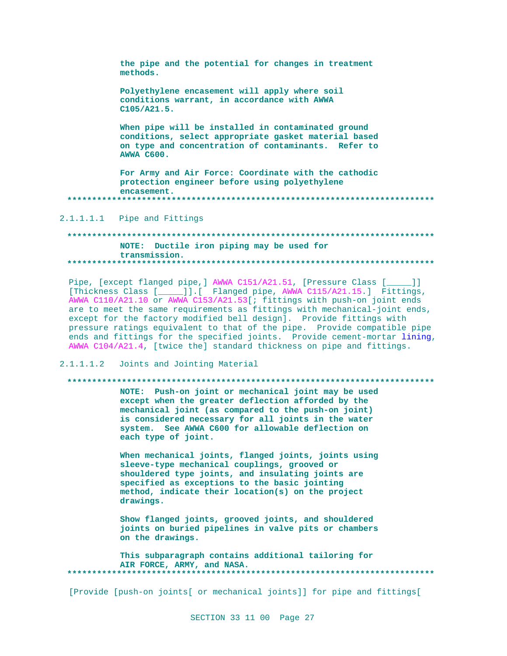| the pipe and the potential for changes in treatment<br>methods.                                                                                                                        |
|----------------------------------------------------------------------------------------------------------------------------------------------------------------------------------------|
| Polyethylene encasement will apply where soil<br>conditions warrant, in accordance with AWWA<br>C105/A21.5.                                                                            |
| When pipe will be installed in contaminated ground<br>conditions, select appropriate gasket material based<br>on type and concentration of contaminants. Refer to<br><b>AWWA C600.</b> |
| For Army and Air Force: Coordinate with the cathodic<br>protection engineer before using polyethylene<br>encasement.                                                                   |

2.1.1.1.1 Pipe and Fittings

### NOTE: Ductile iron piping may be used for transmission.

Pipe, [except flanged pipe,] AWWA C151/A21.51, [Pressure Class [  $\Box$ [Thickness Class [\_\_\_\_\_]].[ Flanged pipe, AWWA C115/A21.15.] Fittings, AWWA C110/A21.10 or AWWA C153/A21.53[; fittings with push-on joint ends are to meet the same requirements as fittings with mechanical-joint ends, except for the factory modified bell design]. Provide fittings with pressure ratings equivalent to that of the pipe. Provide compatible pipe ends and fittings for the specified joints. Provide cement-mortar lining, AWWA C104/A21.4, [twice the] standard thickness on pipe and fittings.

Joints and Jointing Material  $2.1.1.1.2$ 

### 

NOTE: Push-on joint or mechanical joint may be used except when the greater deflection afforded by the mechanical joint (as compared to the push-on joint) is considered necessary for all joints in the water system. See AWWA C600 for allowable deflection on each type of joint.

When mechanical joints, flanged joints, joints using sleeve-type mechanical couplings, grooved or shouldered type joints, and insulating joints are specified as exceptions to the basic jointing method, indicate their location(s) on the project drawings.

Show flanged joints, grooved joints, and shouldered joints on buried pipelines in valve pits or chambers on the drawings.

This subparagraph contains additional tailoring for AIR FORCE, ARMY, and NASA. 

[Provide [push-on joints] or mechanical joints]] for pipe and fittings[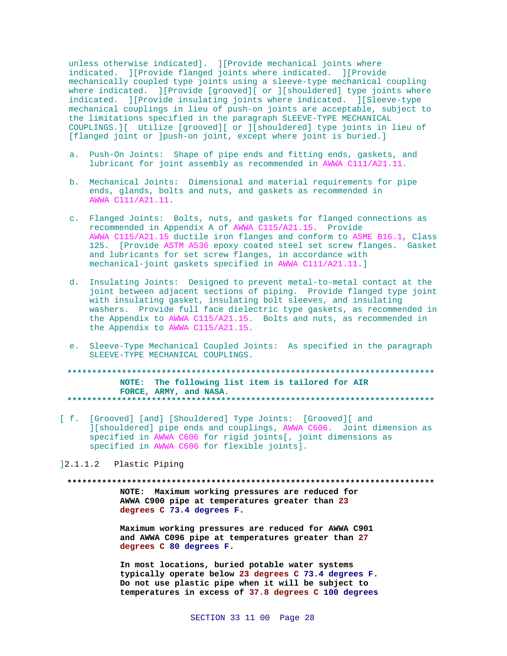unless otherwise indicated]. ][Provide mechanical joints where indicated. ][Provide flanged joints where indicated. ][Provide mechanically coupled type joints using a sleeve-type mechanical coupling where indicated. ][Provide [grooved][ or ][shouldered] type joints where indicated. ][Provide insulating joints where indicated. ][Sleeve-type mechanical couplings in lieu of push-on joints are acceptable, subject to the limitations specified in the paragraph SLEEVE-TYPE MECHANICAL COUPLINGS.][ Utilize [grooved][ or ][shouldered] type joints in lieu of [flanged joint or ]push-on joint, except where joint is buried.]

- a. Push-On Joints: Shape of pipe ends and fitting ends, gaskets, and lubricant for joint assembly as recommended in AWWA C111/A21.11.
- b. Mechanical Joints: Dimensional and material requirements for pipe ends, glands, bolts and nuts, and gaskets as recommended in AWWA C111/A21.11.
- c. Flanged Joints: Bolts, nuts, and gaskets for flanged connections as recommended in Appendix A of AWWA C115/A21.15. Provide AWWA C115/A21.15 ductile iron flanges and conform to ASME B16.1, Class 125. [Provide ASTM A536 epoxy coated steel set screw flanges. Gasket and lubricants for set screw flanges, in accordance with mechanical-joint gaskets specified in AWWA C111/A21.11.]
- d. Insulating Joints: Designed to prevent metal-to-metal contact at the joint between adjacent sections of piping. Provide flanged type joint with insulating gasket, insulating bolt sleeves, and insulating washers. Provide full face dielectric type gaskets, as recommended in the Appendix to AWWA C115/A21.15. Bolts and nuts, as recommended in the Appendix to AWWA C115/A21.15.
- e. Sleeve-Type Mechanical Coupled Joints: As specified in the paragraph SLEEVE-TYPE MECHANICAL COUPLINGS.

**\*\*\*\*\*\*\*\*\*\*\*\*\*\*\*\*\*\*\*\*\*\*\*\*\*\*\*\*\*\*\*\*\*\*\*\*\*\*\*\*\*\*\*\*\*\*\*\*\*\*\*\*\*\*\*\*\*\*\*\*\*\*\*\*\*\*\*\*\*\*\*\*\*\* NOTE: The following list item is tailored for AIR FORCE, ARMY, and NASA. \*\*\*\*\*\*\*\*\*\*\*\*\*\*\*\*\*\*\*\*\*\*\*\*\*\*\*\*\*\*\*\*\*\*\*\*\*\*\*\*\*\*\*\*\*\*\*\*\*\*\*\*\*\*\*\*\*\*\*\*\*\*\*\*\*\*\*\*\*\*\*\*\*\***

[ f. [Grooved] [and] [Shouldered] Type Joints: [Grooved][ and ][shouldered] pipe ends and couplings, AWWA C606. Joint dimension as specified in AWWA C606 for rigid joints[, joint dimensions as specified in AWWA C606 for flexible joints].

]2.1.1.2 Plastic Piping

**\*\*\*\*\*\*\*\*\*\*\*\*\*\*\*\*\*\*\*\*\*\*\*\*\*\*\*\*\*\*\*\*\*\*\*\*\*\*\*\*\*\*\*\*\*\*\*\*\*\*\*\*\*\*\*\*\*\*\*\*\*\*\*\*\*\*\*\*\*\*\*\*\*\* NOTE: Maximum working pressures are reduced for AWWA C900 pipe at temperatures greater than 23 degrees C 73.4 degrees F.**

> **Maximum working pressures are reduced for AWWA C901 and AWWA C096 pipe at temperatures greater than 27 degrees C 80 degrees F.**

**In most locations, buried potable water systems typically operate below 23 degrees C 73.4 degrees F. Do not use plastic pipe when it will be subject to temperatures in excess of 37.8 degrees C 100 degrees**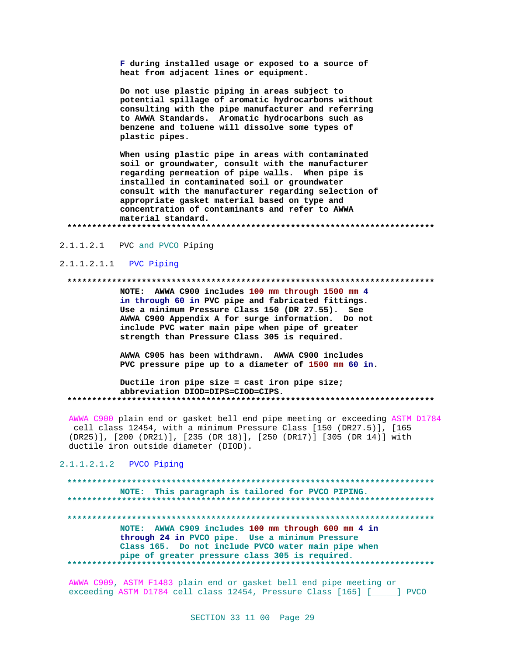F during installed usage or exposed to a source of heat from adjacent lines or equipment.

Do not use plastic piping in areas subject to potential spillage of aromatic hydrocarbons without consulting with the pipe manufacturer and referring to AWWA Standards. Aromatic hydrocarbons such as benzene and toluene will dissolve some types of plastic pipes.

When using plastic pipe in areas with contaminated soil or groundwater, consult with the manufacturer regarding permeation of pipe walls. When pipe is installed in contaminated soil or groundwater consult with the manufacturer regarding selection of appropriate gasket material based on type and concentration of contaminants and refer to AWWA material standard. 

2.1.1.2.1 PVC and PVCO Piping

### 2.1.1.2.1.1 PVC Piping

### 

NOTE: AWWA C900 includes 100 mm through 1500 mm 4 in through 60 in PVC pipe and fabricated fittings. Use a minimum Pressure Class 150 (DR 27.55). See AWWA C900 Appendix A for surge information. Do not include PVC water main pipe when pipe of greater strength than Pressure Class 305 is required.

AWWA C905 has been withdrawn. AWWA C900 includes PVC pressure pipe up to a diameter of 1500 mm 60 in.

Ductile iron pipe size = cast iron pipe size; abbreviation DIOD=DIPS=CIOD=CIPS. 

AWWA C900 plain end or gasket bell end pipe meeting or exceeding ASTM D1784 cell class 12454, with a minimum Pressure Class [150 (DR27.5)], [165 (DR25)], [200 (DR21)], [235 (DR 18)], [250 (DR17)] [305 (DR 14)] with ductile iron outside diameter (DIOD).

2.1.1.2.1.2 PVCO Piping

### NOTE: This paragraph is tailored for PVCO PIPING. NOTE: AWWA C909 includes 100 mm through 600 mm 4 in through 24 in PVCO pipe. Use a minimum Pressure Class 165. Do not include PVCO water main pipe when pipe of greater pressure class 305 is required. . . . . . . . . . . . . . . . . . . . \*\*\*\*\*\*\*\*\*\*\*\*\*\*\*\*\*\*\*\*\*\*\*\*\*\*\*\*\*\*\*\*\*\*\*\*\*

AWWA C909, ASTM F1483 plain end or gasket bell end pipe meeting or exceeding ASTM D1784 cell class 12454, Pressure Class [165] [\_\_\_\_\_] PVCO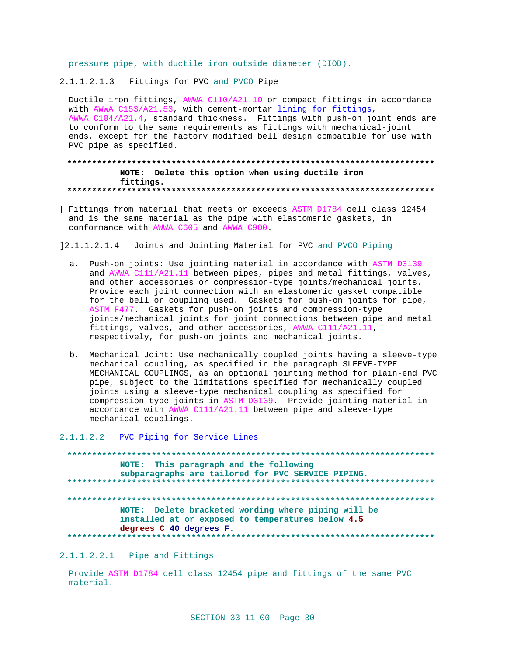pressure pipe, with ductile iron outside diameter (DIOD).

2.1.1.2.1.3 Fittings for PVC and PVCO Pipe

Ductile iron fittings, AWWA Cl10/A21.10 or compact fittings in accordance with AWWA C153/A21.53, with cement-mortar lining for fittings, AWWA C104/A21.4, standard thickness. Fittings with push-on joint ends are to conform to the same requirements as fittings with mechanical-joint ends, except for the factory modified bell design compatible for use with PVC pipe as specified.

### NOTE: Delete this option when using ductile iron fittings.

[ Fittings from material that meets or exceeds ASTM D1784 cell class 12454 and is the same material as the pipe with elastomeric gaskets, in conformance with AWWA C605 and AWWA C900.

12.1.1.2.1.4 Joints and Jointing Material for PVC and PVCO Piping

- a. Push-on joints: Use jointing material in accordance with ASTM D3139 and AWWA C111/A21.11 between pipes, pipes and metal fittings, valves, and other accessories or compression-type joints/mechanical joints. Provide each joint connection with an elastomeric gasket compatible for the bell or coupling used. Gaskets for push-on joints for pipe, ASTM F477. Gaskets for push-on joints and compression-type joints/mechanical joints for joint connections between pipe and metal fittings, valves, and other accessories, AWWA C111/A21.11, respectively, for push-on joints and mechanical joints.
- b. Mechanical Joint: Use mechanically coupled joints having a sleeve-type mechanical coupling, as specified in the paragraph SLEEVE-TYPE MECHANICAL COUPLINGS, as an optional jointing method for plain-end PVC pipe, subject to the limitations specified for mechanically coupled joints using a sleeve-type mechanical coupling as specified for compression-type joints in ASTM D3139. Provide jointing material in accordance with AWWA C111/A21.11 between pipe and sleeve-type mechanical couplings.

### 2.1.1.2.2 PVC Piping for Service Lines

NOTE: This paragraph and the following subparagraphs are tailored for PVC SERVICE PIPING. NOTE: Delete bracketed wording where piping will be installed at or exposed to temperatures below 4.5 degrees C 40 degrees F. 

2.1.1.2.2.1 Pipe and Fittings

Provide ASTM D1784 cell class 12454 pipe and fittings of the same PVC material.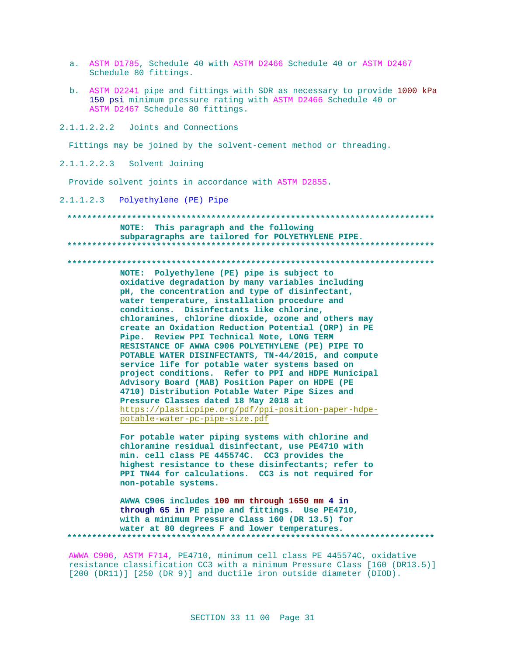- a. ASTM D1785, Schedule 40 with ASTM D2466 Schedule 40 or ASTM D2467 Schedule 80 fittings.
- b. ASTM D2241 pipe and fittings with SDR as necessary to provide 1000 kPa 150 psi minimum pressure rating with ASTM D2466 Schedule 40 or ASTM D2467 Schedule 80 fittings.

 $2.1.1.2.2.2$ Joints and Connections

Fittings may be joined by the solvent-cement method or threading.

2.1.1.2.2.3 Solvent Joining

Provide solvent joints in accordance with ASTM D2855.

2.1.1.2.3 Polyethylene (PE) Pipe

NOTE: This paragraph and the following subparagraphs are tailored for POLYETHYLENE PIPE. 

NOTE: Polyethylene (PE) pipe is subject to oxidative degradation by many variables including pH, the concentration and type of disinfectant, water temperature, installation procedure and conditions. Disinfectants like chlorine, chloramines, chlorine dioxide, ozone and others may create an Oxidation Reduction Potential (ORP) in PE Pipe. Review PPI Technical Note, LONG TERM RESISTANCE OF AWWA C906 POLYETHYLENE (PE) PIPE TO POTABLE WATER DISINFECTANTS, TN-44/2015, and compute service life for potable water systems based on project conditions. Refer to PPI and HDPE Municipal Advisory Board (MAB) Position Paper on HDPE (PE 4710) Distribution Potable Water Pipe Sizes and Pressure Classes dated 18 May 2018 at https://plasticpipe.org/pdf/ppi-position-paper-hdpepotable-water-pc-pipe-size.pdf

For potable water piping systems with chlorine and chloramine residual disinfectant, use PE4710 with min. cell class PE 445574C. CC3 provides the highest resistance to these disinfectants; refer to PPI TN44 for calculations. CC3 is not required for non-potable systems.

AWWA C906 includes 100 mm through 1650 mm 4 in through 65 in PE pipe and fittings. Use PE4710, with a minimum Pressure Class 160 (DR 13.5) for water at 80 degrees F and lower temperatures. . . . . . . . . . . . . . . . . .

AWWA C906, ASTM F714, PE4710, minimum cell class PE 445574C, oxidative resistance classification CC3 with a minimum Pressure Class [160 (DR13.5)] [200 (DR11)] [250 (DR 9)] and ductile iron outside diameter (DIOD).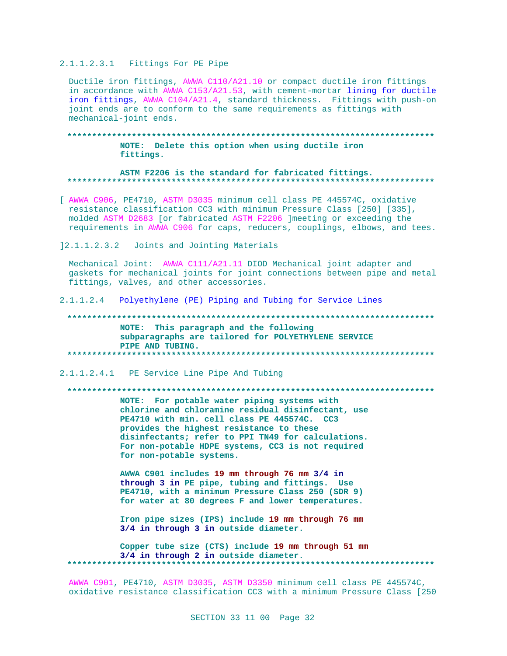### 2.1.1.2.3.1 Fittings For PE Pipe

Ductile iron fittings, AWWA C110/A21.10 or compact ductile iron fittings in accordance with AWWA C153/A21.53, with cement-mortar lining for ductile iron fittings, AWWA C104/A21.4, standard thickness. Fittings with push-on joint ends are to conform to the same requirements as fittings with mechanical-joint ends.

### NOTE: Delete this option when using ductile iron fittings.

### ASTM F2206 is the standard for fabricated fittings.

- [ AWWA C906, PE4710, ASTM D3035 minimum cell class PE 445574C, oxidative resistance classification CC3 with minimum Pressure Class [250] [335], molded ASTM D2683 [or fabricated ASTM F2206 ]meeting or exceeding the requirements in AWWA C906 for caps, reducers, couplings, elbows, and tees.
- 12.1.1.2.3.2 Joints and Jointing Materials

Mechanical Joint: AWWA C111/A21.11 DIOD Mechanical joint adapter and gaskets for mechanical joints for joint connections between pipe and metal fittings, valves, and other accessories.

 $2.1.1.2.4$ Polyethylene (PE) Piping and Tubing for Service Lines

### NOTE: This paragraph and the following subparagraphs are tailored for POLYETHYLENE SERVICE PIPE AND TUBING.

2.1.1.2.4.1 PE Service Line Pipe And Tubing

### 

NOTE: For potable water piping systems with chlorine and chloramine residual disinfectant, use PE4710 with min. cell class PE 445574C. CC3 provides the highest resistance to these disinfectants; refer to PPI TN49 for calculations. For non-potable HDPE systems, CC3 is not required for non-potable systems.

AWWA C901 includes 19 mm through 76 mm 3/4 in through 3 in PE pipe, tubing and fittings. Use PE4710, with a minimum Pressure Class 250 (SDR 9) for water at 80 degrees F and lower temperatures.

Iron pipe sizes (IPS) include 19 mm through 76 mm 3/4 in through 3 in outside diameter.

Copper tube size (CTS) include 19 mm through 51 mm 3/4 in through 2 in outside diameter. \*\*\*\*\*\*\*\*\*\*\* 

AWWA C901, PE4710, ASTM D3035, ASTM D3350 minimum cell class PE 445574C, oxidative resistance classification CC3 with a minimum Pressure Class [250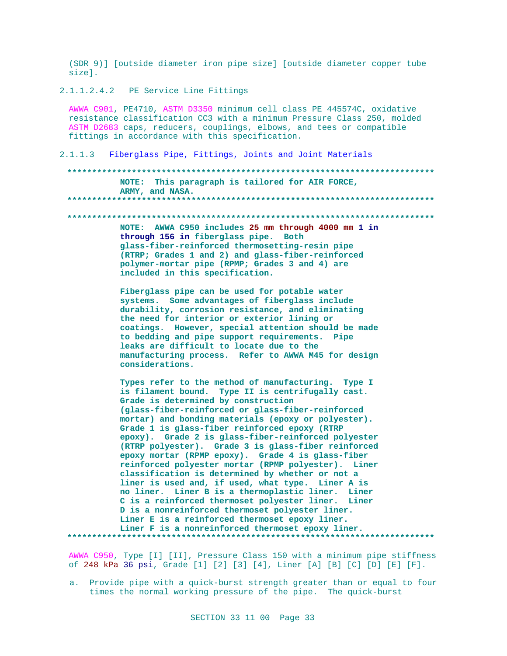(SDR 9)] [outside diameter iron pipe size] [outside diameter copper tube size].

2.1.1.2.4.2 PE Service Line Fittings

AWWA C901, PE4710, ASTM D3350 minimum cell class PE 445574C, oxidative resistance classification CC3 with a minimum Pressure Class 250, molded ASTM D2683 caps, reducers, couplings, elbows, and tees or compatible fittings in accordance with this specification.

2.1.1.3 Fiberglass Pipe, Fittings, Joints and Joint Materials

### **\*\*\*\*\*\*\*\*\*\*\*\*\*\*\*\*\*\*\*\*\*\*\*\*\*\*\*\*\*\*\*\*\*\*\*\*\*\*\*\*\*\*\*\*\*\*\*\*\*\*\*\*\*\*\*\*\*\*\*\*\*\*\*\*\*\*\*\*\*\*\*\*\*\* NOTE: This paragraph is tailored for AIR FORCE, ARMY, and NASA. \*\*\*\*\*\*\*\*\*\*\*\*\*\*\*\*\*\*\*\*\*\*\*\*\*\*\*\*\*\*\*\*\*\*\*\*\*\*\*\*\*\*\*\*\*\*\*\*\*\*\*\*\*\*\*\*\*\*\*\*\*\*\*\*\*\*\*\*\*\*\*\*\*\***

**\*\*\*\*\*\*\*\*\*\*\*\*\*\*\*\*\*\*\*\*\*\*\*\*\*\*\*\*\*\*\*\*\*\*\*\*\*\*\*\*\*\*\*\*\*\*\*\*\*\*\*\*\*\*\*\*\*\*\*\*\*\*\*\*\*\*\*\*\*\*\*\*\*\***

**NOTE: AWWA C950 includes 25 mm through 4000 mm 1 in through 156 in fiberglass pipe. Both glass-fiber-reinforced thermosetting-resin pipe (RTRP; Grades 1 and 2) and glass-fiber-reinforced polymer-mortar pipe (RPMP; Grades 3 and 4) are included in this specification.**

**Fiberglass pipe can be used for potable water systems. Some advantages of fiberglass include durability, corrosion resistance, and eliminating the need for interior or exterior lining or coatings. However, special attention should be made to bedding and pipe support requirements. Pipe leaks are difficult to locate due to the manufacturing process. Refer to AWWA M45 for design considerations.**

**Types refer to the method of manufacturing. Type I is filament bound. Type II is centrifugally cast. Grade is determined by construction (glass-fiber-reinforced or glass-fiber-reinforced mortar) and bonding materials (epoxy or polyester). Grade 1 is glass-fiber reinforced epoxy (RTRP epoxy). Grade 2 is glass-fiber-reinforced polyester (RTRP polyester). Grade 3 is glass-fiber reinforced epoxy mortar (RPMP epoxy). Grade 4 is glass-fiber reinforced polyester mortar (RPMP polyester). Liner classification is determined by whether or not a liner is used and, if used, what type. Liner A is no liner. Liner B is a thermoplastic liner. Liner C is a reinforced thermoset polyester liner. Liner D is a nonreinforced thermoset polyester liner. Liner E is a reinforced thermoset epoxy liner. Liner F is a nonreinforced thermoset epoxy liner. \*\*\*\*\*\*\*\*\*\*\*\*\*\*\*\*\*\*\*\*\*\*\*\*\*\*\*\*\*\*\*\*\*\*\*\*\*\*\*\*\*\*\*\*\*\*\*\*\*\*\*\*\*\*\*\*\*\*\*\*\*\*\*\*\*\*\*\*\*\*\*\*\*\***

AWWA C950, Type [I] [II], Pressure Class 150 with a minimum pipe stiffness of 248 kPa 36 psi, Grade [1] [2] [3] [4], Liner [A] [B] [C] [D] [E] [F].

a. Provide pipe with a quick-burst strength greater than or equal to four times the normal working pressure of the pipe. The quick-burst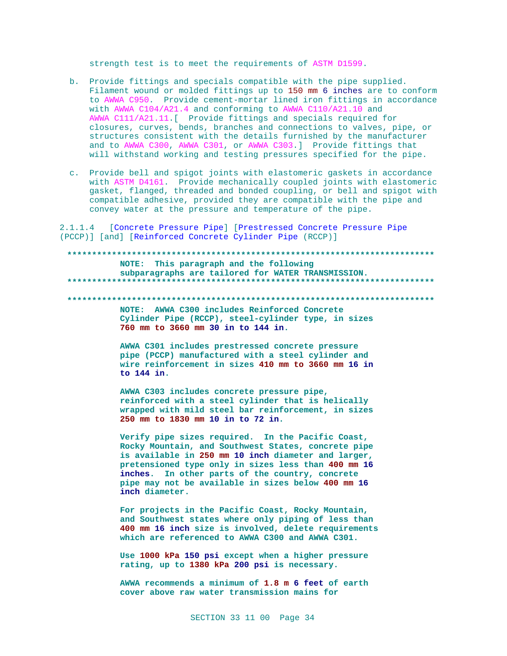strength test is to meet the requirements of ASTM D1599.

- b. Provide fittings and specials compatible with the pipe supplied. Filament wound or molded fittings up to 150 mm 6 inches are to conform to AWWA C950. Provide cement-mortar lined iron fittings in accordance with AWWA C104/A21.4 and conforming to AWWA C110/A21.10 and AWWA C111/A21.11.[ Provide fittings and specials required for closures, curves, bends, branches and connections to valves, pipe, or structures consistent with the details furnished by the manufacturer and to AWWA C300, AWWA C301, or AWWA C303.] Provide fittings that will withstand working and testing pressures specified for the pipe.
- c. Provide bell and spigot joints with elastomeric gaskets in accordance with ASTM D4161. Provide mechanically coupled joints with elastomeric gasket, flanged, threaded and bonded coupling, or bell and spigot with compatible adhesive, provided they are compatible with the pipe and convey water at the pressure and temperature of the pipe.

2.1.1.4 [Concrete Pressure Pipe] [Prestressed Concrete Pressure Pipe (PCCP)] [and] [Reinforced Concrete Cylinder Pipe (RCCP)]

## NOTE: This paragraph and the following subparagraphs are tailored for WATER TRANSMISSION. NOTE: AWWA C300 includes Reinforced Concrete Cylinder Pipe (RCCP), steel-cylinder type, in sizes 760 mm to 3660 mm 30 in to 144 in. AWWA C301 includes prestressed concrete pressure pipe (PCCP) manufactured with a steel cylinder and wire reinforcement in sizes 410 mm to 3660 mm 16 in to  $144$  in. AWWA C303 includes concrete pressure pipe, reinforced with a steel cylinder that is helically wrapped with mild steel bar reinforcement, in sizes 250 mm to 1830 mm 10 in to 72 in. Verify pipe sizes required. In the Pacific Coast, Rocky Mountain, and Southwest States, concrete pipe is available in 250 mm 10 inch diameter and larger, pretensioned type only in sizes less than 400 mm 16 inches. In other parts of the country, concrete pipe may not be available in sizes below 400 mm 16 inch diameter. For projects in the Pacific Coast, Rocky Mountain,

and Southwest states where only piping of less than 400 mm 16 inch size is involved, delete requirements which are referenced to AWWA C300 and AWWA C301.

Use 1000 kPa 150 psi except when a higher pressure rating, up to 1380 kPa 200 psi is necessary.

AWWA recommends a minimum of 1.8 m 6 feet of earth cover above raw water transmission mains for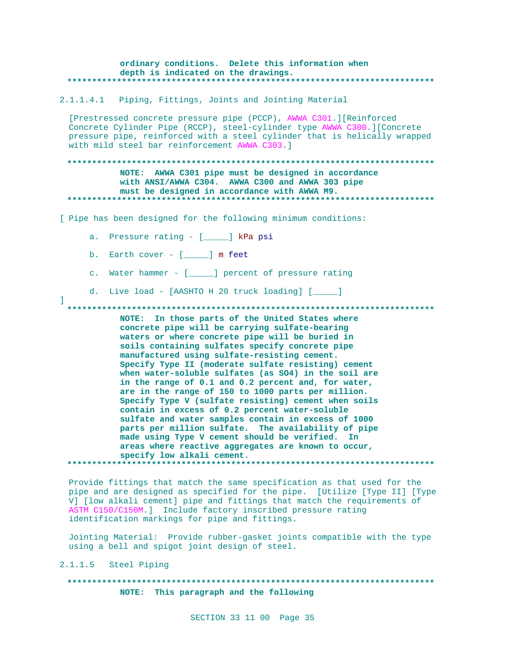### ordinary conditions. Delete this information when depth is indicated on the drawings. \*\*\*\*\*\*\*\*\*\*\*\*\*\*\*\*\*\*\*\*\*\*

2.1.1.4.1 Piping, Fittings, Joints and Jointing Material

[Prestressed concrete pressure pipe (PCCP), AWWA C301.][Reinforced Concrete Cylinder Pipe (RCCP), steel-cylinder type AWWA C300. ] [Concrete pressure pipe, reinforced with a steel cylinder that is helically wrapped with mild steel bar reinforcement AWWA C303.]

### NOTE: AWWA C301 pipe must be designed in accordance with ANSI/AWWA C304. AWWA C300 and AWWA 303 pipe must be designed in accordance with AWWA M9. \*\*\*\*\*\*\*\*\*\*\*\*\*\*\*\*\*

[ Pipe has been designed for the following minimum conditions:

- a. Pressure rating [\_\_\_\_] kPa psi
- b. Earth cover  $[$   $]$  m feet
- c. Water hammer [\_\_\_\_\_] percent of pressure rating
- d. Live load [AASHTO H 20 truck loading] [\_\_\_\_]

NOTE: In those parts of the United States where concrete pipe will be carrying sulfate-bearing waters or where concrete pipe will be buried in soils containing sulfates specify concrete pipe manufactured using sulfate-resisting cement. Specify Type II (moderate sulfate resisting) cement when water-soluble sulfates (as SO4) in the soil are in the range of 0.1 and 0.2 percent and, for water, are in the range of 150 to 1000 parts per million. Specify Type V (sulfate resisting) cement when soils contain in excess of 0.2 percent water-soluble sulfate and water samples contain in excess of 1000 parts per million sulfate. The availability of pipe made using Type V cement should be verified. In areas where reactive aggregates are known to occur, specify low alkali cement. 

Provide fittings that match the same specification as that used for the pipe and are designed as specified for the pipe. [Utilize [Type II] [Type V] [low alkali cement] pipe and fittings that match the requirements of ASTM C150/C150M.] Include factory inscribed pressure rating identification markings for pipe and fittings.

Jointing Material: Provide rubber-gasket joints compatible with the type using a bell and spigot joint design of steel.

2.1.1.5 Steel Piping

 $\mathbb{L}$ 

NOTE: This paragraph and the following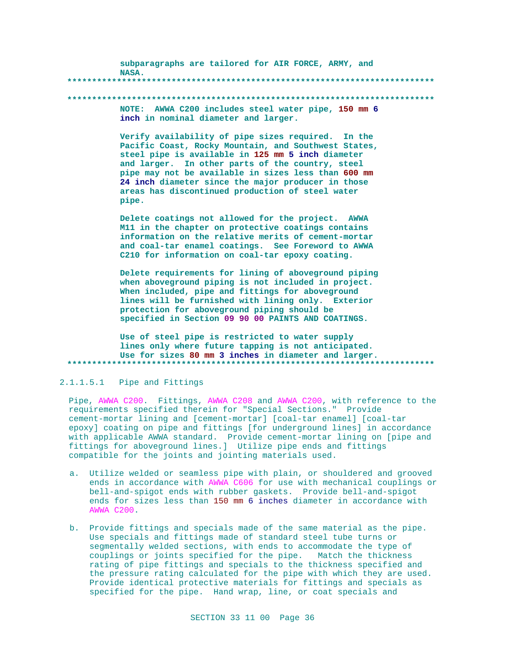subparagraphs are tailored for AIR FORCE, ARMY, and NASA. 

### 

NOTE: AWWA C200 includes steel water pipe, 150 mm 6 inch in nominal diameter and larger.

Verify availability of pipe sizes required. In the Pacific Coast, Rocky Mountain, and Southwest States, steel pipe is available in 125 mm 5 inch diameter and larger. In other parts of the country, steel pipe may not be available in sizes less than 600 mm 24 inch diameter since the major producer in those areas has discontinued production of steel water pipe.

Delete coatings not allowed for the project. AWWA M11 in the chapter on protective coatings contains information on the relative merits of cement-mortar and coal-tar enamel coatings. See Foreword to AWWA C210 for information on coal-tar epoxy coating.

Delete requirements for lining of aboveground piping when aboveground piping is not included in project. When included, pipe and fittings for aboveground lines will be furnished with lining only. Exterior protection for aboveground piping should be specified in Section 09 90 00 PAINTS AND COATINGS.

Use of steel pipe is restricted to water supply lines only where future tapping is not anticipated. Use for sizes 80 mm 3 inches in diameter and larger. \*\*\*\*\*\*\*\*\*\*\*\*\*

### 2.1.1.5.1 Pipe and Fittings

Pipe, AWWA C200. Fittings, AWWA C208 and AWWA C200, with reference to the requirements specified therein for "Special Sections." Provide cement-mortar lining and [cement-mortar] [coal-tar enamel] [coal-tar epoxy] coating on pipe and fittings [for underground lines] in accordance with applicable AWNA standard. Provide cement-mortar lining on [pipe and fittings for aboveground lines.] Utilize pipe ends and fittings compatible for the joints and jointing materials used.

- a. Utilize welded or seamless pipe with plain, or shouldered and grooved ends in accordance with AWWA C606 for use with mechanical couplings or bell-and-spigot ends with rubber gaskets. Provide bell-and-spigot ends for sizes less than 150 mm 6 inches diameter in accordance with **AWWA C200.**
- b. Provide fittings and specials made of the same material as the pipe. Use specials and fittings made of standard steel tube turns or segmentally welded sections, with ends to accommodate the type of couplings or joints specified for the pipe. Match the thickness rating of pipe fittings and specials to the thickness specified and the pressure rating calculated for the pipe with which they are used. Provide identical protective materials for fittings and specials as specified for the pipe. Hand wrap, line, or coat specials and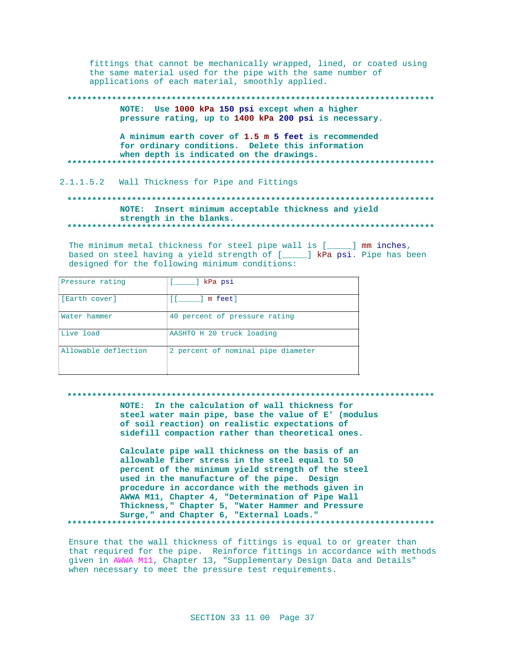fittings that cannot be mechanically wrapped, lined, or coated using the same material used for the pipe with the same number of applications of each material, smoothly applied.

NOTE: Use 1000 kPa 150 psi except when a higher pressure rating, up to 1400 kPa 200 psi is necessary.

A minimum earth cover of 1.5 m 5 feet is recommended for ordinary conditions. Delete this information when depth is indicated on the drawings. \*\*\*\*\*\*\*\*\*\*\*\*\*

## 2.1.1.5.2 Wall Thickness for Pipe and Fittings

## NOTE: Insert minimum acceptable thickness and yield strength in the blanks.

The minimum metal thickness for steel pipe wall is [ \_\_\_\_ ] mm inches, based on steel having a yield strength of [\_\_\_\_] kPa psi. Pipe has been designed for the following minimum conditions:

| Pressure rating      | kPa psi                            |
|----------------------|------------------------------------|
| [Earth cover]        | m feetl<br>FF 3                    |
| Water hammer         | 40 percent of pressure rating      |
| Live load            | AASHTO H 20 truck loading          |
| Allowable deflection | 2 percent of nominal pipe diameter |

#### \*\*\*\*\*\*\*\*\*\*\*\*\*\*\*\*\*\*\*\*\*\*\*\*\*\*\*\*\*\*\*\*\*\*\*\*

NOTE: In the calculation of wall thickness for steel water main pipe, base the value of E' (modulus of soil reaction) on realistic expectations of sidefill compaction rather than theoretical ones.

Calculate pipe wall thickness on the basis of an allowable fiber stress in the steel equal to 50 percent of the minimum yield strength of the steel used in the manufacture of the pipe. Design procedure in accordance with the methods given in AWWA M11, Chapter 4, "Determination of Pipe Wall Thickness, " Chapter 5, "Water Hammer and Pressure Surge," and Chapter 6, "External Loads." 

Ensure that the wall thickness of fittings is equal to or greater than that required for the pipe. Reinforce fittings in accordance with methods given in AWWA M11, Chapter 13, "Supplementary Design Data and Details" when necessary to meet the pressure test requirements.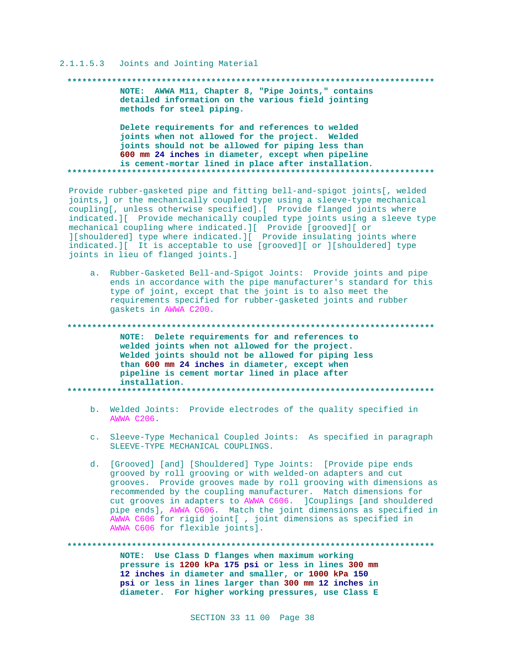#### 2.1.1.5.3 Joints and Jointing Material

#### 

NOTE: AWWA M11, Chapter 8, "Pipe Joints," contains detailed information on the various field jointing methods for steel piping.

Delete requirements for and references to welded joints when not allowed for the project. Welded joints should not be allowed for piping less than 600 mm 24 inches in diameter, except when pipeline is cement-mortar lined in place after installation. 

Provide rubber-gasketed pipe and fitting bell-and-spigot joints[, welded joints, ] or the mechanically coupled type using a sleeve-type mechanical coupling[, unless otherwise specified].[ Provide flanged joints where indicated. I Provide mechanically coupled type joints using a sleeve type mechanical coupling where indicated. I Provide [grooved] [ or ][shouldered] type where indicated.][ Provide insulating joints where indicated. I It is acceptable to use [grooved][ or ][shouldered] type joints in lieu of flanged joints.]

a. Rubber-Gasketed Bell-and-Spigot Joints: Provide joints and pipe ends in accordance with the pipe manufacturer's standard for this type of joint, except that the joint is to also meet the requirements specified for rubber-gasketed joints and rubber gaskets in AWWA C200.

\*\*\*\*\*\*\*\*\*\*\* NOTE: Delete requirements for and references to welded joints when not allowed for the project. Welded joints should not be allowed for piping less than 600 mm 24 inches in diameter, except when pipeline is cement mortar lined in place after installation. 

- b. Welded Joints: Provide electrodes of the quality specified in **AWWA C206.**
- c. Sleeve-Type Mechanical Coupled Joints: As specified in paragraph SLEEVE-TYPE MECHANICAL COUPLINGS.
- d. [Grooved] [and] [Shouldered] Type Joints: [Provide pipe ends grooved by roll grooving or with welded-on adapters and cut grooves. Provide grooves made by roll grooving with dimensions as recommended by the coupling manufacturer. Match dimensions for cut grooves in adapters to AWWA C606. Couplings [and shouldered pipe ends], AWWA C606. Match the joint dimensions as specified in AWWA C606 for rigid joint[ , joint dimensions as specified in AWWA C606 for flexible joints].

NOTE: Use Class D flanges when maximum working pressure is 1200 kPa 175 psi or less in lines 300 mm 12 inches in diameter and smaller, or 1000 kPa 150 psi or less in lines larger than 300 mm 12 inches in diameter. For higher working pressures, use Class E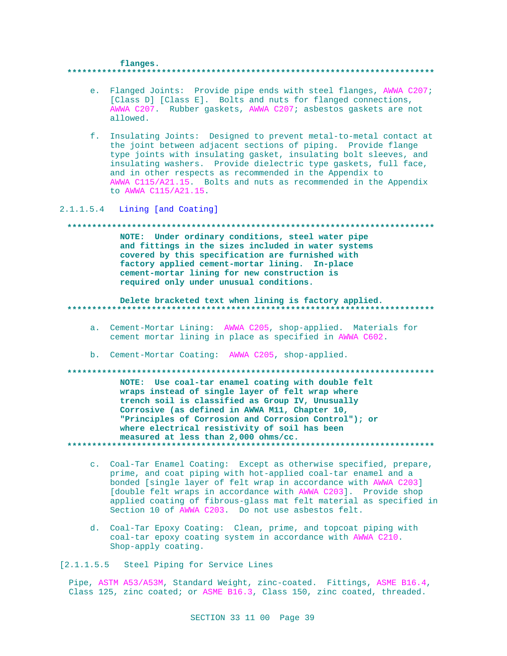#### flanges.

- e. Flanged Joints: Provide pipe ends with steel flanges, AWWA C207; [Class D] [Class E]. Bolts and nuts for flanged connections, AWWA C207. Rubber gaskets, AWWA C207; asbestos gaskets are not allowed.
- f. Insulating Joints: Designed to prevent metal-to-metal contact at the joint between adjacent sections of piping. Provide flange type joints with insulating gasket, insulating bolt sleeves, and insulating washers. Provide dielectric type gaskets, full face, and in other respects as recommended in the Appendix to AWWA C115/A21.15. Bolts and nuts as recommended in the Appendix to AWWA C115/A21.15.

2.1.1.5.4 Lining [and Coating]

## 

NOTE: Under ordinary conditions, steel water pipe and fittings in the sizes included in water systems covered by this specification are furnished with factory applied cement-mortar lining. In-place cement-mortar lining for new construction is required only under unusual conditions.

## Delete bracketed text when lining is factory applied.

- a. Cement-Mortar Lining: AWWA C205, shop-applied. Materials for cement mortar lining in place as specified in AWWA C602.
- b. Cement-Mortar Coating: AWWA C205, shop-applied.

## NOTE: Use coal-tar enamel coating with double felt wraps instead of single layer of felt wrap where trench soil is classified as Group IV, Unusually Corrosive (as defined in AWWA M11, Chapter 10, "Principles of Corrosion and Corrosion Control"); or where electrical resistivity of soil has been measured at less than 2,000 ohms/cc.

- c. Coal-Tar Enamel Coating: Except as otherwise specified, prepare, prime, and coat piping with hot-applied coal-tar enamel and a bonded [single layer of felt wrap in accordance with AWWA C203] [double felt wraps in accordance with AWWA C203]. Provide shop applied coating of fibrous-glass mat felt material as specified in Section 10 of AWWA C203. Do not use asbestos felt.
- d. Coal-Tar Epoxy Coating: Clean, prime, and topcoat piping with coal-tar epoxy coating system in accordance with AWWA C210. Shop-apply coating.

[2.1.1.5.5 Steel Piping for Service Lines

Pipe, ASTM A53/A53M, Standard Weight, zinc-coated. Fittings, ASME B16.4, Class 125, zinc coated; or ASME B16.3, Class 150, zinc coated, threaded.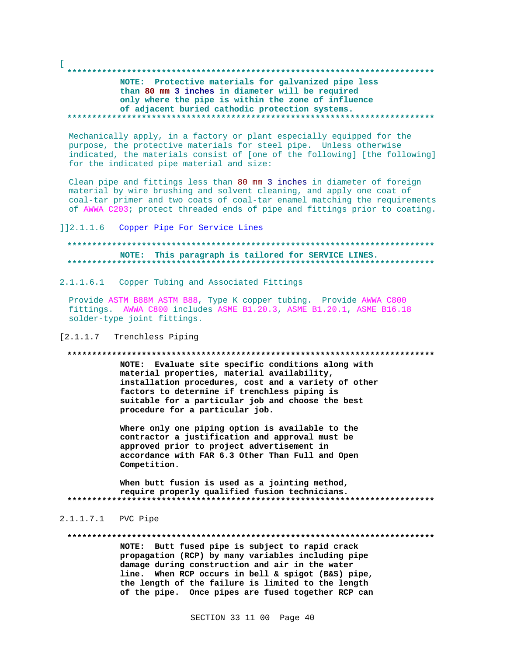# NOTE: Protective materials for galvanized pipe less than 80 mm 3 inches in diameter will be required only where the pipe is within the zone of influence of adjacent buried cathodic protection systems.

Mechanically apply, in a factory or plant especially equipped for the purpose, the protective materials for steel pipe. Unless otherwise indicated, the materials consist of [one of the following] [the following] for the indicated pipe material and size:

Clean pipe and fittings less than 80 mm 3 inches in diameter of foreign material by wire brushing and solvent cleaning, and apply one coat of coal-tar primer and two coats of coal-tar enamel matching the requirements of AWWA C203; protect threaded ends of pipe and fittings prior to coating.

 $112.1.1.6$ Copper Pipe For Service Lines

## NOTE: This paragraph is tailored for SERVICE LINES.

2.1.1.6.1 Copper Tubing and Associated Fittings

Provide ASTM B88M ASTM B88, Type K copper tubing. Provide AWWA C800 fittings. AWWA C800 includes ASME B1.20.3, ASME B1.20.1, ASME B16.18 solder-type joint fittings.

#### $[2.1.1.7]$ Trenchless Piping

#### 

NOTE: Evaluate site specific conditions along with material properties, material availability, installation procedures, cost and a variety of other factors to determine if trenchless piping is suitable for a particular job and choose the best procedure for a particular job.

Where only one piping option is available to the contractor a justification and approval must be approved prior to project advertisement in accordance with FAR 6.3 Other Than Full and Open Competition.

When butt fusion is used as a jointing method, require properly qualified fusion technicians. 

## 2.1.1.7.1 PVC Pipe

#### 

NOTE: Butt fused pipe is subject to rapid crack propagation (RCP) by many variables including pipe damage during construction and air in the water line. When RCP occurs in bell & spigot (B&S) pipe, the length of the failure is limited to the length of the pipe. Once pipes are fused together RCP can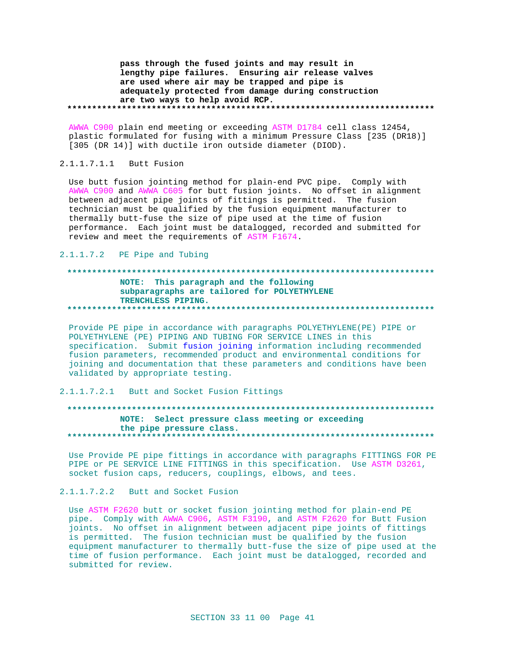pass through the fused joints and may result in lengthy pipe failures. Ensuring air release valves are used where air may be trapped and pipe is adequately protected from damage during construction are two ways to help avoid RCP. 

AWWA C900 plain end meeting or exceeding ASTM D1784 cell class 12454, plastic formulated for fusing with a minimum Pressure Class [235 (DR18)] [305 (DR 14)] with ductile iron outside diameter (DIOD).

## 2.1.1.7.1.1 Butt Fusion

Use butt fusion jointing method for plain-end PVC pipe. Comply with AWWA C900 and AWWA C605 for butt fusion joints. No offset in alignment between adjacent pipe joints of fittings is permitted. The fusion technician must be qualified by the fusion equipment manufacturer to thermally butt-fuse the size of pipe used at the time of fusion performance. Each joint must be datalogged, recorded and submitted for review and meet the requirements of ASTM F1674.

### 2.1.1.7.2 PE Pipe and Tubing

#### 

#### NOTE: This paragraph and the following subparagraphs are tailored for POLYETHYLENE TRENCHLESS PIPING.

Provide PE pipe in accordance with paragraphs POLYETHYLENE(PE) PIPE or POLYETHYLENE (PE) PIPING AND TUBING FOR SERVICE LINES in this specification. Submit fusion joining information including recommended fusion parameters, recommended product and environmental conditions for joining and documentation that these parameters and conditions have been validated by appropriate testing.

## 2.1.1.7.2.1 Butt and Socket Fusion Fittings

## NOTE: Select pressure class meeting or exceeding the pipe pressure class.

Use Provide PE pipe fittings in accordance with paragraphs FITTINGS FOR PE PIPE Or PE SERVICE LINE FITTINGS in this specification. Use ASTM D3261, socket fusion caps, reducers, couplings, elbows, and tees.

## 2.1.1.7.2.2 Butt and Socket Fusion

Use ASTM F2620 butt or socket fusion jointing method for plain-end PE pipe. Comply with AWWA C906, ASTM F3190, and ASTM F2620 for Butt Fusion joints. No offset in alignment between adjacent pipe joints of fittings is permitted. The fusion technician must be qualified by the fusion equipment manufacturer to thermally butt-fuse the size of pipe used at the time of fusion performance. Each joint must be datalogged, recorded and submitted for review.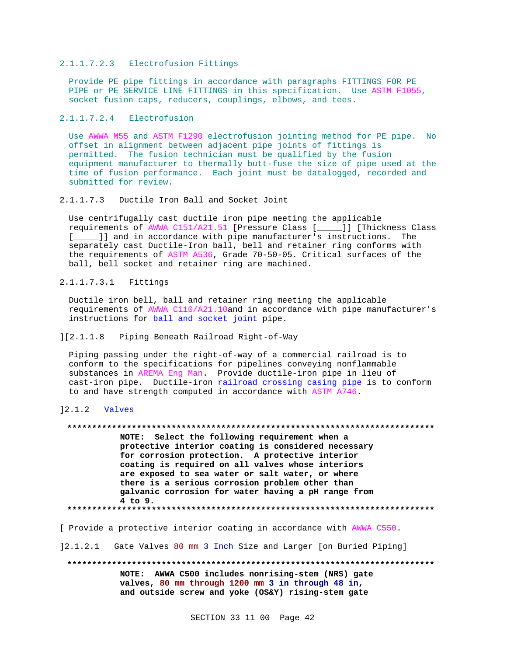#### 2.1.1.7.2.3 Electrofusion Fittings

Provide PE pipe fittings in accordance with paragraphs FITTINGS FOR PE PIPE or PE SERVICE LINE FITTINGS in this specification. Use ASTM F1055, socket fusion caps, reducers, couplings, elbows, and tees.

2.1.1.7.2.4 Electrofusion

Use AWWA M55 and ASTM F1290 electrofusion jointing method for PE pipe. No offset in alignment between adjacent pipe joints of fittings is permitted. The fusion technician must be qualified by the fusion equipment manufacturer to thermally butt-fuse the size of pipe used at the time of fusion performance. Each joint must be datalogged, recorded and submitted for review.

2.1.1.7.3 Ductile Iron Ball and Socket Joint

Use centrifugally cast ductile iron pipe meeting the applicable requirements of AWWA C151/A21.51 [Pressure Class [\_\_\_\_\_]] [Thickness Class [\_\_\_\_\_]] and in accordance with pipe manufacturer's instructions. The separately cast Ductile-Iron ball, bell and retainer ring conforms with the requirements of ASTM A536, Grade 70-50-05. Critical surfaces of the ball, bell socket and retainer ring are machined.

2.1.1.7.3.1 Fittings

Ductile iron bell, ball and retainer ring meeting the applicable requirements of AWWA C110/A21.10and in accordance with pipe manufacturer's instructions for ball and socket joint pipe.

][2.1.1.8 Piping Beneath Railroad Right-of-Way

Piping passing under the right-of-way of a commercial railroad is to conform to the specifications for pipelines conveying nonflammable substances in AREMA Eng Man. Provide ductile-iron pipe in lieu of cast-iron pipe. Ductile-iron railroad crossing casing pipe is to conform to and have strength computed in accordance with ASTM A746.

]2.1.2 Valves

**\*\*\*\*\*\*\*\*\*\*\*\*\*\*\*\*\*\*\*\*\*\*\*\*\*\*\*\*\*\*\*\*\*\*\*\*\*\*\*\*\*\*\*\*\*\*\*\*\*\*\*\*\*\*\*\*\*\*\*\*\*\*\*\*\*\*\*\*\*\*\*\*\*\***

**NOTE: Select the following requirement when a protective interior coating is considered necessary for corrosion protection. A protective interior coating is required on all valves whose interiors are exposed to sea water or salt water, or where there is a serious corrosion problem other than galvanic corrosion for water having a pH range from 4 to 9. \*\*\*\*\*\*\*\*\*\*\*\*\*\*\*\*\*\*\*\*\*\*\*\*\*\*\*\*\*\*\*\*\*\*\*\*\*\*\*\*\*\*\*\*\*\*\*\*\*\*\*\*\*\*\*\*\*\*\*\*\*\*\*\*\*\*\*\*\*\*\*\*\*\***

[ Provide a protective interior coating in accordance with AWWA C550.

]2.1.2.1 Gate Valves 80 mm 3 Inch Size and Larger [on Buried Piping]

**\*\*\*\*\*\*\*\*\*\*\*\*\*\*\*\*\*\*\*\*\*\*\*\*\*\*\*\*\*\*\*\*\*\*\*\*\*\*\*\*\*\*\*\*\*\*\*\*\*\*\*\*\*\*\*\*\*\*\*\*\*\*\*\*\*\*\*\*\*\*\*\*\*\* NOTE: AWWA C500 includes nonrising-stem (NRS) gate valves, 80 mm through 1200 mm 3 in through 48 in, and outside screw and yoke (OS&Y) rising-stem gate**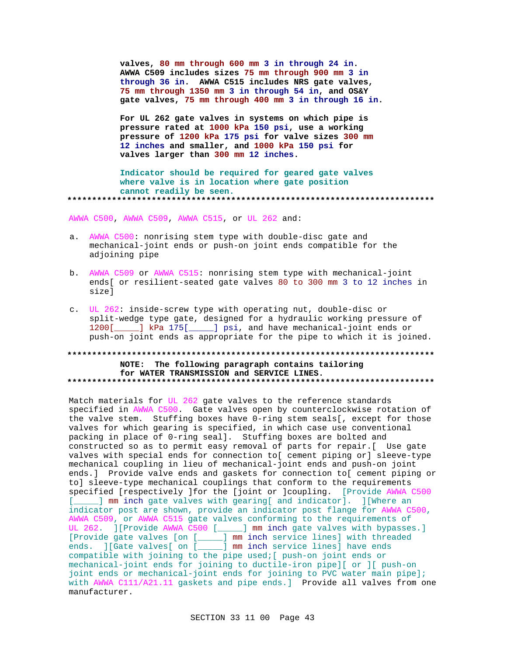valves, 80 mm through 600 mm 3 in through 24 in. AWWA C509 includes sizes 75 mm through 900 mm 3 in through 36 in. AWWA C515 includes NRS gate valves, 75 mm through 1350 mm 3 in through 54 in, and OS&Y gate valves, 75 mm through 400 mm 3 in through 16 in.

For UL 262 gate valves in systems on which pipe is pressure rated at 1000 kPa 150 psi, use a working pressure of 1200 kPa 175 psi for valve sizes 300 mm 12 inches and smaller, and 1000 kPa 150 psi for valves larger than 300 mm 12 inches.

Indicator should be required for geared gate valves where valve is in location where gate position cannot readily be seen. 

AWWA C500, AWWA C509, AWWA C515, or UL 262 and:

- a. AWWA C500: nonrising stem type with double-disc gate and mechanical-joint ends or push-on joint ends compatible for the adjoining pipe
- b. AWWA C509 or AWWA C515: nonrising stem type with mechanical-joint ends[ or resilient-seated gate valves 80 to 300 mm 3 to 12 inches in sizel
- c. UL 262: inside-screw type with operating nut, double-disc or split-wedge type gate, designed for a hydraulic working pressure of 1200[\_\_\_\_\_] kPa 175[\_\_\_\_\_] psi, and have mechanical-joint ends or push-on joint ends as appropriate for the pipe to which it is joined.

## NOTE: The following paragraph contains tailoring for WATER TRANSMISSION and SERVICE LINES.

Match materials for UL 262 gate valves to the reference standards specified in AWWA C500. Gate valves open by counterclockwise rotation of the valve stem. Stuffing boxes have 0-ring stem seals[, except for those valves for which gearing is specified, in which case use conventional packing in place of 0-ring seal]. Stuffing boxes are bolted and constructed so as to permit easy removal of parts for repair.[ Use gate valves with special ends for connection to[ cement piping or] sleeve-type mechanical coupling in lieu of mechanical-joint ends and push-on joint ends.] Provide valve ends and gaskets for connection to[ cement piping or to] sleeve-type mechanical couplings that conform to the requirements specified [respectively ] for the [joint or ] coupling. [Provide AWWA C500 [ \_\_\_\_ ] mm inch gate valves with gearing[ and indicator]. ][Where an indicator post are shown, provide an indicator post flange for AWWA C500, AWWA C509, or AWWA C515 gate valves conforming to the requirements of UL 262. ] [Provide AWWA C500 [\_\_\_\_] mm inch gate valves with bypasses.] [Provide gate valves [on [\_\_\_\_] mm inch service lines] with threaded ends. ][Gate valves[ on [\_\_\_\_] mm inch service lines] have ends compatible with joining to the pipe used; [ push-on joint ends or mechanical-joint ends for joining to ductile-iron pipe][ or ][ push-on joint ends or mechanical-joint ends for joining to PVC water main pipe]; with AWWA Cll1/A21.11 gaskets and pipe ends.] Provide all valves from one manufacturer.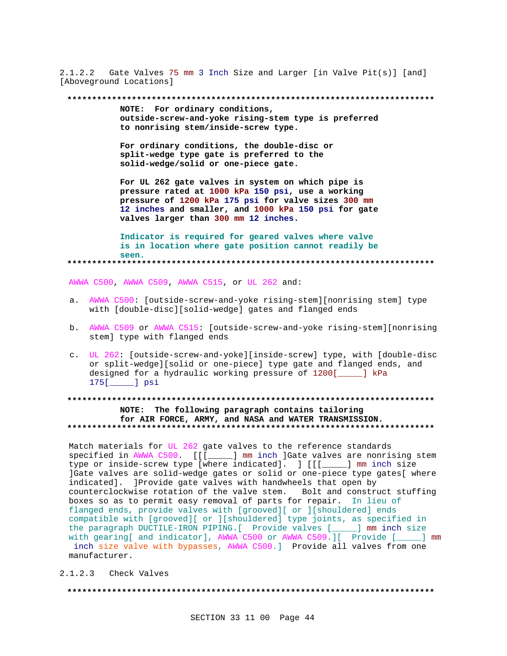2.1.2.2 Gate Valves 75 mm 3 Inch Size and Larger [in Valve Pit(s)] [and] [Aboveground Locations]

**\*\*\*\*\*\*\*\*\*\*\*\*\*\*\*\*\*\*\*\*\*\*\*\*\*\*\*\*\*\*\*\*\*\*\*\*\*\*\*\*\*\*\*\*\*\*\*\*\*\*\*\*\*\*\*\*\*\*\*\*\*\*\*\*\*\*\*\*\*\*\*\*\*\***

**NOTE: For ordinary conditions, outside-screw-and-yoke rising-stem type is preferred to nonrising stem/inside-screw type.**

**For ordinary conditions, the double-disc or split-wedge type gate is preferred to the solid-wedge/solid or one-piece gate.**

**For UL 262 gate valves in system on which pipe is pressure rated at 1000 kPa 150 psi, use a working pressure of 1200 kPa 175 psi for valve sizes 300 mm 12 inches and smaller, and 1000 kPa 150 psi for gate valves larger than 300 mm 12 inches.**

**Indicator is required for geared valves where valve is in location where gate position cannot readily be seen. \*\*\*\*\*\*\*\*\*\*\*\*\*\*\*\*\*\*\*\*\*\*\*\*\*\*\*\*\*\*\*\*\*\*\*\*\*\*\*\*\*\*\*\*\*\*\*\*\*\*\*\*\*\*\*\*\*\*\*\*\*\*\*\*\*\*\*\*\*\*\*\*\*\***

AWWA C500, AWWA C509, AWWA C515, or UL 262 and:

- a. AWWA C500: [outside-screw-and-yoke rising-stem][nonrising stem] type with [double-disc][solid-wedge] gates and flanged ends
- b. AWWA C509 or AWWA C515: [outside-screw-and-yoke rising-stem][nonrising stem] type with flanged ends
- c. UL 262: [outside-screw-and-yoke][inside-screw] type, with [double-disc or split-wedge][solid or one-piece] type gate and flanged ends, and designed for a hydraulic working pressure of 1200[\_\_\_\_\_] kPa 175[\_\_\_\_\_] psi

# **\*\*\*\*\*\*\*\*\*\*\*\*\*\*\*\*\*\*\*\*\*\*\*\*\*\*\*\*\*\*\*\*\*\*\*\*\*\*\*\*\*\*\*\*\*\*\*\*\*\*\*\*\*\*\*\*\*\*\*\*\*\*\*\*\*\*\*\*\*\*\*\*\*\* NOTE: The following paragraph contains tailoring for AIR FORCE, ARMY, and NASA and WATER TRANSMISSION. \*\*\*\*\*\*\*\*\*\*\*\*\*\*\*\*\*\*\*\*\*\*\*\*\*\*\*\*\*\*\*\*\*\*\*\*\*\*\*\*\*\*\*\*\*\*\*\*\*\*\*\*\*\*\*\*\*\*\*\*\*\*\*\*\*\*\*\*\*\*\*\*\*\***

Match materials for UL 262 gate valves to the reference standards specified in AWWA C500. [[[\_\_\_\_\_] mm inch ]Gate valves are nonrising stem type or inside-screw type [where indicated]. ] [[[\_\_\_\_\_] mm inch size ]Gate valves are solid-wedge gates or solid or one-piece type gates[ where indicated]. ]Provide gate valves with handwheels that open by counterclockwise rotation of the valve stem. Bolt and construct stuffing boxes so as to permit easy removal of parts for repair. In lieu of flanged ends, provide valves with [grooved][ or ][shouldered] ends compatible with [grooved][ or ][shouldered] type joints, as specified in the paragraph DUCTILE-IRON PIPING.[ Provide valves [\_\_\_\_\_] mm inch size with gearing[ and indicator], AWWA C500 or AWWA C509.][ Provide [\_\_\_\_] mm inch size valve with bypasses, AWWA C500.] Provide all valves from one manufacturer.

2.1.2.3 Check Valves

**\*\*\*\*\*\*\*\*\*\*\*\*\*\*\*\*\*\*\*\*\*\*\*\*\*\*\*\*\*\*\*\*\*\*\*\*\*\*\*\*\*\*\*\*\*\*\*\*\*\*\*\*\*\*\*\*\*\*\*\*\*\*\*\*\*\*\*\*\*\*\*\*\*\***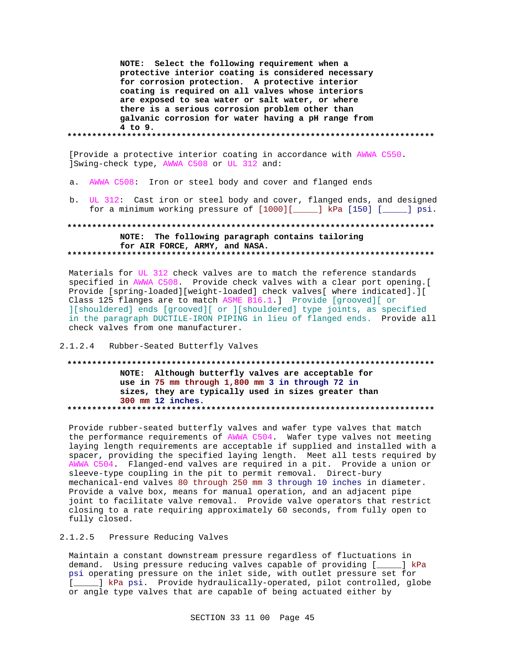NOTE: Select the following requirement when a protective interior coating is considered necessary for corrosion protection. A protective interior coating is required on all valves whose interiors are exposed to sea water or salt water, or where there is a serious corrosion problem other than galvanic corrosion for water having a pH range from  $4$  to  $9$ .

[Provide a protective interior coating in accordance with AWWA C550. ]Swing-check type, AWWA C508 or UL 312 and:

- a. AWWA C508: Iron or steel body and cover and flanged ends
- b. UL 312: Cast iron or steel body and cover, flanged ends, and designed for a minimum working pressure of [1000][\_\_\_\_\_] kPa [150] [\_\_\_\_\_] psi.

# NOTE: The following paragraph contains tailoring for AIR FORCE, ARMY, and NASA.

Materials for UL 312 check valves are to match the reference standards specified in AWWA C508. Provide check valves with a clear port opening. Provide [spring-loaded][weight-loaded] check valves[ where indicated].][ Class 125 flanges are to match ASME B16.1.] Provide [grooved][ or ][shouldered] ends [grooved][ or ][shouldered] type joints, as specified in the paragraph DUCTILE-IRON PIPING in lieu of flanged ends. Provide all check valves from one manufacturer.

## 2.1.2.4 Rubber-Seated Butterfly Valves

# NOTE: Although butterfly valves are acceptable for use in 75 mm through 1,800 mm 3 in through 72 in sizes, they are typically used in sizes greater than 300 mm 12 inches.

Provide rubber-seated butterfly valves and wafer type valves that match the performance requirements of AWWA C504. Wafer type valves not meeting laying length requirements are acceptable if supplied and installed with a spacer, providing the specified laying length. Meet all tests required by AWWA C504. Flanged-end valves are required in a pit. Provide a union or sleeve-type coupling in the pit to permit removal. Direct-bury mechanical-end valves 80 through 250 mm 3 through 10 inches in diameter. Provide a valve box, means for manual operation, and an adjacent pipe joint to facilitate valve removal. Provide valve operators that restrict closing to a rate requiring approximately 60 seconds, from fully open to fully closed.

# 2.1.2.5 Pressure Reducing Valves

Maintain a constant downstream pressure regardless of fluctuations in demand. Using pressure reducing valves capable of providing [\_\_\_\_] kPa psi operating pressure on the inlet side, with outlet pressure set for [\_\_\_\_] kPa psi. Provide hydraulically-operated, pilot controlled, globe or angle type valves that are capable of being actuated either by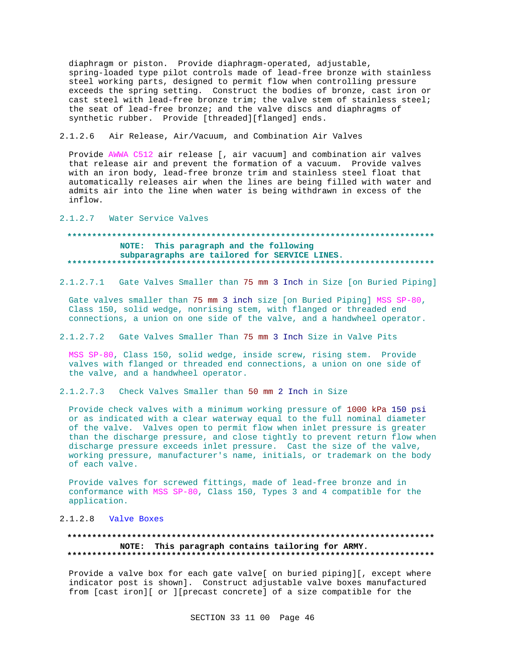diaphragm or piston. Provide diaphragm-operated, adjustable, spring-loaded type pilot controls made of lead-free bronze with stainless steel working parts, designed to permit flow when controlling pressure exceeds the spring setting. Construct the bodies of bronze, cast iron or cast steel with lead-free bronze trim; the valve stem of stainless steel; the seat of lead-free bronze; and the valve discs and diaphragms of synthetic rubber. Provide [threaded][flanged] ends.

## 2.1.2.6 Air Release, Air/Vacuum, and Combination Air Valves

Provide AWWA C512 air release [, air vacuum] and combination air valves that release air and prevent the formation of a vacuum. Provide valves with an iron body, lead-free bronze trim and stainless steel float that automatically releases air when the lines are being filled with water and admits air into the line when water is being withdrawn in excess of the inflow.

#### 2.1.2.7 Water Service Valves

# **\*\*\*\*\*\*\*\*\*\*\*\*\*\*\*\*\*\*\*\*\*\*\*\*\*\*\*\*\*\*\*\*\*\*\*\*\*\*\*\*\*\*\*\*\*\*\*\*\*\*\*\*\*\*\*\*\*\*\*\*\*\*\*\*\*\*\*\*\*\*\*\*\*\* NOTE: This paragraph and the following subparagraphs are tailored for SERVICE LINES. \*\*\*\*\*\*\*\*\*\*\*\*\*\*\*\*\*\*\*\*\*\*\*\*\*\*\*\*\*\*\*\*\*\*\*\*\*\*\*\*\*\*\*\*\*\*\*\*\*\*\*\*\*\*\*\*\*\*\*\*\*\*\*\*\*\*\*\*\*\*\*\*\*\***

2.1.2.7.1 Gate Valves Smaller than 75 mm 3 Inch in Size [on Buried Piping]

Gate valves smaller than 75 mm 3 inch size [on Buried Piping] MSS SP-80, Class 150, solid wedge, nonrising stem, with flanged or threaded end connections, a union on one side of the valve, and a handwheel operator.

## 2.1.2.7.2 Gate Valves Smaller Than 75 mm 3 Inch Size in Valve Pits

MSS SP-80, Class 150, solid wedge, inside screw, rising stem. Provide valves with flanged or threaded end connections, a union on one side of the valve, and a handwheel operator.

2.1.2.7.3 Check Valves Smaller than 50 mm 2 Inch in Size

Provide check valves with a minimum working pressure of 1000 kPa 150 psi or as indicated with a clear waterway equal to the full nominal diameter of the valve. Valves open to permit flow when inlet pressure is greater than the discharge pressure, and close tightly to prevent return flow when discharge pressure exceeds inlet pressure. Cast the size of the valve, working pressure, manufacturer's name, initials, or trademark on the body of each valve.

Provide valves for screwed fittings, made of lead-free bronze and in conformance with MSS SP-80, Class 150, Types 3 and 4 compatible for the application.

## 2.1.2.8 Valve Boxes

## **\*\*\*\*\*\*\*\*\*\*\*\*\*\*\*\*\*\*\*\*\*\*\*\*\*\*\*\*\*\*\*\*\*\*\*\*\*\*\*\*\*\*\*\*\*\*\*\*\*\*\*\*\*\*\*\*\*\*\*\*\*\*\*\*\*\*\*\*\*\*\*\*\*\* NOTE: This paragraph contains tailoring for ARMY. \*\*\*\*\*\*\*\*\*\*\*\*\*\*\*\*\*\*\*\*\*\*\*\*\*\*\*\*\*\*\*\*\*\*\*\*\*\*\*\*\*\*\*\*\*\*\*\*\*\*\*\*\*\*\*\*\*\*\*\*\*\*\*\*\*\*\*\*\*\*\*\*\*\***

Provide a valve box for each gate valve[ on buried piping][, except where indicator post is shown]. Construct adjustable valve boxes manufactured from [cast iron][ or ][precast concrete] of a size compatible for the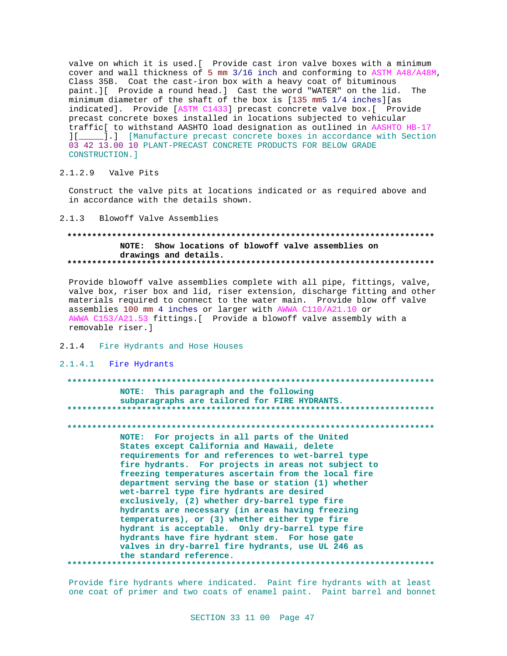valve on which it is used.[ Provide cast iron valve boxes with a minimum cover and wall thickness of 5 mm 3/16 inch and conforming to ASTM A48/A48M, Class 35B. Coat the cast-iron box with a heavy coat of bituminous paint.][ Provide a round head.] Cast the word "WATER" on the lid. The minimum diameter of the shaft of the box is [135 mm5 1/4 inches][as indicated]. Provide [ASTM C1433] precast concrete valve box.[ Provide precast concrete boxes installed in locations subjected to vehicular traffic[ to withstand AASHTO load designation as outlined in AASHTO HB-17 ][\_\_\_\_\_].] [Manufacture precast concrete boxes in accordance with Section 03 42 13.00 10 PLANT-PRECAST CONCRETE PRODUCTS FOR BELOW GRADE CONSTRUCTION.]

## 2.1.2.9 Valve Pits

Construct the valve pits at locations indicated or as required above and in accordance with the details shown.

#### 2.1.3 Blowoff Valve Assemblies

## **\*\*\*\*\*\*\*\*\*\*\*\*\*\*\*\*\*\*\*\*\*\*\*\*\*\*\*\*\*\*\*\*\*\*\*\*\*\*\*\*\*\*\*\*\*\*\*\*\*\*\*\*\*\*\*\*\*\*\*\*\*\*\*\*\*\*\*\*\*\*\*\*\*\* NOTE: Show locations of blowoff valve assemblies on drawings and details. \*\*\*\*\*\*\*\*\*\*\*\*\*\*\*\*\*\*\*\*\*\*\*\*\*\*\*\*\*\*\*\*\*\*\*\*\*\*\*\*\*\*\*\*\*\*\*\*\*\*\*\*\*\*\*\*\*\*\*\*\*\*\*\*\*\*\*\*\*\*\*\*\*\***

Provide blowoff valve assemblies complete with all pipe, fittings, valve, valve box, riser box and lid, riser extension, discharge fitting and other materials required to connect to the water main. Provide blow off valve assemblies 100 mm 4 inches or larger with AWWA C110/A21.10 or AWWA C153/A21.53 fittings.[ Provide a blowoff valve assembly with a removable riser.]

#### 2.1.4 Fire Hydrants and Hose Houses

#### 2.1.4.1 Fire Hydrants

#### **\*\*\*\*\*\*\*\*\*\*\*\*\*\*\*\*\*\*\*\*\*\*\*\*\*\*\*\*\*\*\*\*\*\*\*\*\*\*\*\*\*\*\*\*\*\*\*\*\*\*\*\*\*\*\*\*\*\*\*\*\*\*\*\*\*\*\*\*\*\*\*\*\*\***

#### **NOTE: This paragraph and the following subparagraphs are tailored for FIRE HYDRANTS. \*\*\*\*\*\*\*\*\*\*\*\*\*\*\*\*\*\*\*\*\*\*\*\*\*\*\*\*\*\*\*\*\*\*\*\*\*\*\*\*\*\*\*\*\*\*\*\*\*\*\*\*\*\*\*\*\*\*\*\*\*\*\*\*\*\*\*\*\*\*\*\*\*\***

**\*\*\*\*\*\*\*\*\*\*\*\*\*\*\*\*\*\*\*\*\*\*\*\*\*\*\*\*\*\*\*\*\*\*\*\*\*\*\*\*\*\*\*\*\*\*\*\*\*\*\*\*\*\*\*\*\*\*\*\*\*\*\*\*\*\*\*\*\*\*\*\*\*\***

**NOTE: For projects in all parts of the United States except California and Hawaii, delete requirements for and references to wet-barrel type fire hydrants. For projects in areas not subject to freezing temperatures ascertain from the local fire department serving the base or station (1) whether wet-barrel type fire hydrants are desired exclusively, (2) whether dry-barrel type fire hydrants are necessary (in areas having freezing temperatures), or (3) whether either type fire hydrant is acceptable. Only dry-barrel type fire hydrants have fire hydrant stem. For hose gate valves in dry-barrel fire hydrants, use UL 246 as the standard reference. \*\*\*\*\*\*\*\*\*\*\*\*\*\*\*\*\*\*\*\*\*\*\*\*\*\*\*\*\*\*\*\*\*\*\*\*\*\*\*\*\*\*\*\*\*\*\*\*\*\*\*\*\*\*\*\*\*\*\*\*\*\*\*\*\*\*\*\*\*\*\*\*\*\***

Provide fire hydrants where indicated. Paint fire hydrants with at least one coat of primer and two coats of enamel paint. Paint barrel and bonnet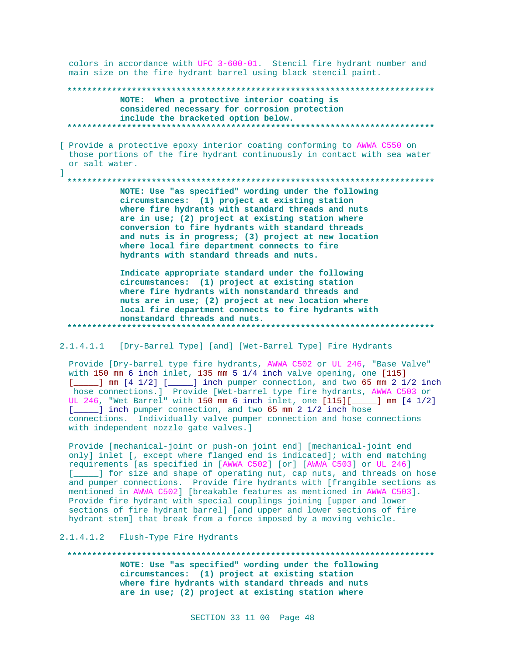colors in accordance with UFC 3-600-01. Stencil fire hydrant number and main size on the fire hydrant barrel using black stencil paint.

NOTE: When a protective interior coating is considered necessary for corrosion protection include the bracketed option below. 

[ Provide a protective epoxy interior coating conforming to AWWA C550 on those portions of the fire hydrant continuously in contact with sea water or salt water.

NOTE: Use "as specified" wording under the following circumstances: (1) project at existing station where fire hydrants with standard threads and nuts are in use; (2) project at existing station where conversion to fire hydrants with standard threads and nuts is in progress; (3) project at new location where local fire department connects to fire hydrants with standard threads and nuts.

Indicate appropriate standard under the following circumstances: (1) project at existing station where fire hydrants with nonstandard threads and nuts are in use; (2) project at new location where local fire department connects to fire hydrants with nonstandard threads and nuts.

2.1.4.1.1 [Dry-Barrel Type] [and] [Wet-Barrel Type] Fire Hydrants

Provide [Dry-barrel type fire hydrants, AWWA C502 or UL 246, "Base Valve" with 150 mm 6 inch inlet, 135 mm 5 1/4 inch valve opening, one [115]  $[$   $\text{mm}$   $[4 \ 1/2]$   $[\text{mm}$   $]$  inch pumper connection, and two 65 mm 2 1/2 inch hose connections.] Provide [Wet-barrel type fire hydrants, AWWA C503 or UL 246, "Wet Barrel" with 150 mm 6 inch inlet, one [115][ \_\_\_\_\_ ] mm [4 1/2] [\_\_\_\_] inch pumper connection, and two 65 mm 2 1/2 inch hose connections. Individually valve pumper connection and hose connections with independent nozzle gate valves.]

Provide [mechanical-joint or push-on joint end] [mechanical-joint end only] inlet [, except where flanged end is indicated]; with end matching requirements [as specified in [AWWA C502] [or] [AWWA C503] or UL 246] [\_\_\_\_] for size and shape of operating nut, cap nuts, and threads on hose and pumper connections. Provide fire hydrants with [frangible sections as mentioned in AWWA C502] [breakable features as mentioned in AWWA C503]. Provide fire hydrant with special couplings joining [upper and lower sections of fire hydrant barrel] [and upper and lower sections of fire hydrant stem] that break from a force imposed by a moving vehicle.

2.1.4.1.2 Flush-Type Fire Hydrants

 $\mathbf{1}$ 

NOTE: Use "as specified" wording under the following circumstances: (1) project at existing station where fire hydrants with standard threads and nuts are in use; (2) project at existing station where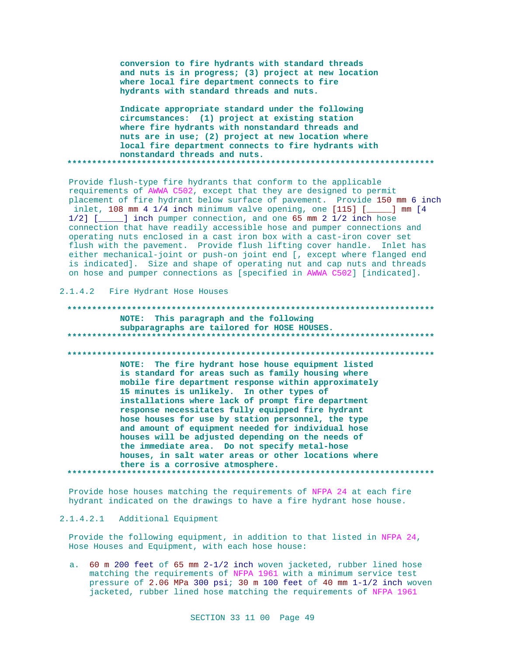conversion to fire hydrants with standard threads and nuts is in progress; (3) project at new location where local fire department connects to fire hydrants with standard threads and nuts.

Indicate appropriate standard under the following circumstances: (1) project at existing station where fire hydrants with nonstandard threads and nuts are in use; (2) project at new location where local fire department connects to fire hydrants with nonstandard threads and nuts. \*\*\*\*\*\*\*\*\*\*\*\*

Provide flush-type fire hydrants that conform to the applicable requirements of AWWA C502, except that they are designed to permit placement of fire hydrant below surface of pavement. Provide 150 mm 6 inch inlet, 108 mm 4 1/4 inch minimum valve opening, one [115] [  $\Box$  mm  $[4]$  $1/2$ ] [\_\_\_\_] inch pumper connection, and one 65 mm 2 1/2 inch hose connection that have readily accessible hose and pumper connections and operating nuts enclosed in a cast iron box with a cast-iron cover set flush with the pavement. Provide flush lifting cover handle. Inlet has either mechanical-joint or push-on joint end [, except where flanged end is indicated]. Size and shape of operating nut and cap nuts and threads on hose and pumper connections as [specified in AWWA C502] [indicated].

2.1.4.2 Fire Hydrant Hose Houses

NOTE: This paragraph and the following subparagraphs are tailored for HOSE HOUSES. NOTE: The fire hydrant hose house equipment listed is standard for areas such as family housing where mobile fire department response within approximately 15 minutes is unlikely. In other types of installations where lack of prompt fire department response necessitates fully equipped fire hydrant hose houses for use by station personnel, the type and amount of equipment needed for individual hose houses will be adjusted depending on the needs of the immediate area. Do not specify metal-hose houses, in salt water areas or other locations where there is a corrosive atmosphere. 

Provide hose houses matching the requirements of NFPA 24 at each fire hydrant indicated on the drawings to have a fire hydrant hose house.

## 2.1.4.2.1 Additional Equipment

Provide the following equipment, in addition to that listed in NFPA 24, Hose Houses and Equipment, with each hose house:

a. 60 m 200 feet of 65 mm 2-1/2 inch woven jacketed, rubber lined hose matching the requirements of NFPA 1961 with a minimum service test pressure of 2.06 MPa 300 psi; 30 m 100 feet of 40 mm 1-1/2 inch woven jacketed, rubber lined hose matching the requirements of NFPA 1961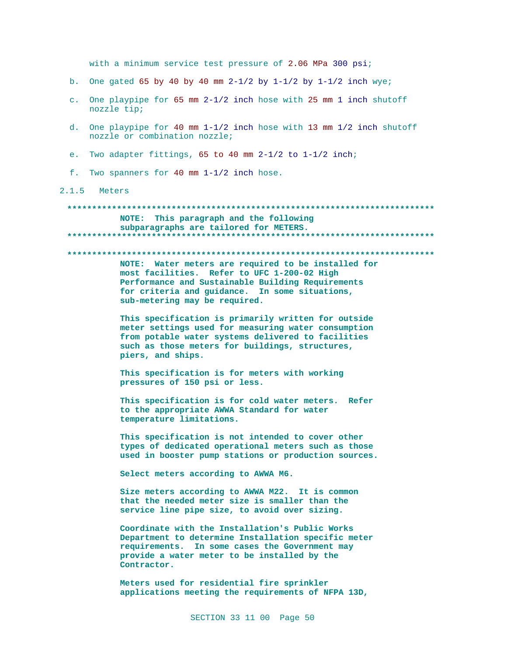with a minimum service test pressure of 2.06 MPa 300 psi;

- b. One gated 65 by 40 by 40 mm  $2-1/2$  by  $1-1/2$  by  $1-1/2$  inch wye;
- c. One playpipe for 65 mm 2-1/2 inch hose with 25 mm 1 inch shutoff nozzle tip;
- d. One playpipe for 40 mm 1-1/2 inch hose with 13 mm 1/2 inch shutoff nozzle or combination nozzle;
- e. Two adapter fittings, 65 to 40 mm  $2-1/2$  to  $1-1/2$  inch;
- f. Two spanners for 40 mm  $1-1/2$  inch hose.
- 2.1.5 Meters

#### 

#### NOTE: This paragraph and the following subparagraphs are tailored for METERS.

#### 

NOTE: Water meters are required to be installed for most facilities. Refer to UFC 1-200-02 High Performance and Sustainable Building Requirements for criteria and guidance. In some situations, sub-metering may be required.

This specification is primarily written for outside meter settings used for measuring water consumption from potable water systems delivered to facilities such as those meters for buildings, structures, piers, and ships.

This specification is for meters with working pressures of 150 psi or less.

This specification is for cold water meters. Refer to the appropriate AWWA Standard for water temperature limitations.

This specification is not intended to cover other types of dedicated operational meters such as those used in booster pump stations or production sources.

Select meters according to AWWA M6.

Size meters according to AWWA M22. It is common that the needed meter size is smaller than the service line pipe size, to avoid over sizing.

Coordinate with the Installation's Public Works Department to determine Installation specific meter requirements. In some cases the Government may provide a water meter to be installed by the Contractor.

Meters used for residential fire sprinkler applications meeting the requirements of NFPA 13D,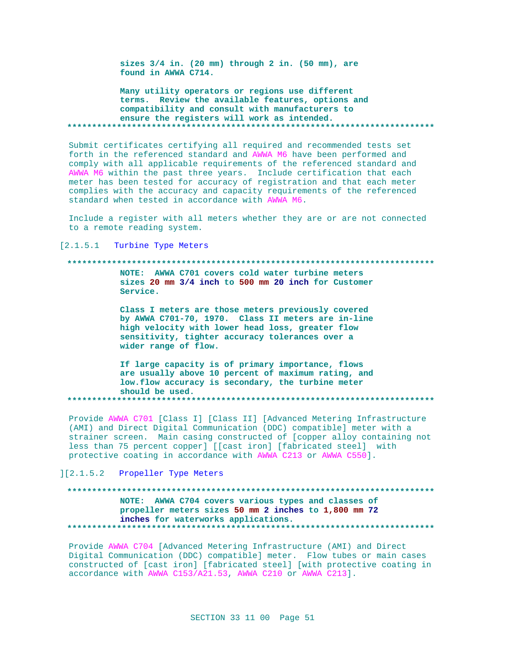sizes 3/4 in. (20 mm) through 2 in. (50 mm), are found in AWWA C714.

Many utility operators or regions use different terms. Review the available features, options and compatibility and consult with manufacturers to ensure the registers will work as intended. 

Submit certificates certifying all required and recommended tests set forth in the referenced standard and AWWA M6 have been performed and comply with all applicable requirements of the referenced standard and AWWA M6 within the past three years. Include certification that each meter has been tested for accuracy of registration and that each meter complies with the accuracy and capacity requirements of the referenced standard when tested in accordance with AWWA M6.

Include a register with all meters whether they are or are not connected to a remote reading system.

[2.1.5.1 Turbine Type Meters

#### 

NOTE: AWWA C701 covers cold water turbine meters sizes 20 mm 3/4 inch to 500 mm 20 inch for Customer Service.

Class I meters are those meters previously covered by AWWA C701-70, 1970. Class II meters are in-line high velocity with lower head loss, greater flow sensitivity, tighter accuracy tolerances over a wider range of flow.

If large capacity is of primary importance, flows are usually above 10 percent of maximum rating, and low.flow accuracy is secondary, the turbine meter should be used. 

Provide AWWA C701 [Class I] [Class II] [Advanced Metering Infrastructure (AMI) and Direct Digital Communication (DDC) compatible] meter with a strainer screen. Main casing constructed of [copper alloy containing not less than 75 percent copper] [[cast iron] [fabricated steel] with protective coating in accordance with AWWA C213 or AWWA C550].

][2.1.5.2 Propeller Type Meters

# NOTE: AWWA C704 covers various types and classes of propeller meters sizes 50 mm 2 inches to 1,800 mm 72 inches for waterworks applications.

Provide AWWA C704 [Advanced Metering Infrastructure (AMI) and Direct Digital Communication (DDC) compatible] meter. Flow tubes or main cases constructed of [cast iron] [fabricated steel] [with protective coating in accordance with AWWA C153/A21.53, AWWA C210 or AWWA C213].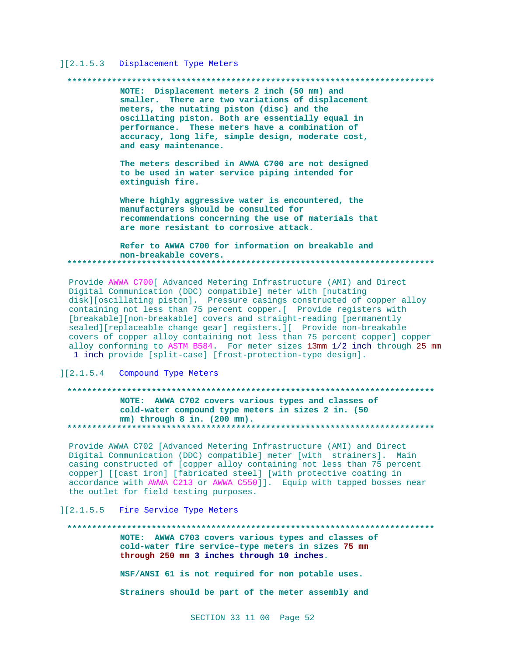## ][2.1.5.3 Displacement Type Meters

#### 

NOTE: Displacement meters 2 inch (50 mm) and smaller. There are two variations of displacement meters, the nutating piston (disc) and the oscillating piston. Both are essentially equal in performance. These meters have a combination of accuracy, long life, simple design, moderate cost, and easy maintenance.

The meters described in AWWA C700 are not designed to be used in water service piping intended for extinguish fire.

Where highly aggressive water is encountered, the manufacturers should be consulted for recommendations concerning the use of materials that are more resistant to corrosive attack.

Refer to AWWA C700 for information on breakable and non-breakable covers. 

Provide AWWA C700[ Advanced Metering Infrastructure (AMI) and Direct Digital Communication (DDC) compatible] meter with [nutating disk][oscillating piston]. Pressure casings constructed of copper alloy containing not less than 75 percent copper. [ Provide registers with [breakable][non-breakable] covers and straight-reading [permanently sealed][replaceable change gear] registers.][ Provide non-breakable covers of copper alloy containing not less than 75 percent copper] copper alloy conforming to ASTM B584. For meter sizes 13mm 1/2 inch through 25 mm 1 inch provide [split-case] [frost-protection-type design].

#### ][2.1.5.4 Compound Type Meters

# NOTE: AWWA C702 covers various types and classes of cold-water compound type meters in sizes 2 in. (50 mm) through 8 in. (200 mm).

Provide AWWA C702 [Advanced Metering Infrastructure (AMI) and Direct Digital Communication (DDC) compatible] meter [with strainers]. Main casing constructed of [copper alloy containing not less than 75 percent copper] [[cast iron] [fabricated steel] [with protective coating in accordance with AWWA C213 or AWWA C550]]. Equip with tapped bosses near the outlet for field testing purposes.

## ][2.1.5.5 Fire Service Type Meters

#### 

NOTE: AWWA C703 covers various types and classes of cold-water fire service-type meters in sizes 75 mm through 250 mm 3 inches through 10 inches.

NSF/ANSI 61 is not required for non potable uses.

Strainers should be part of the meter assembly and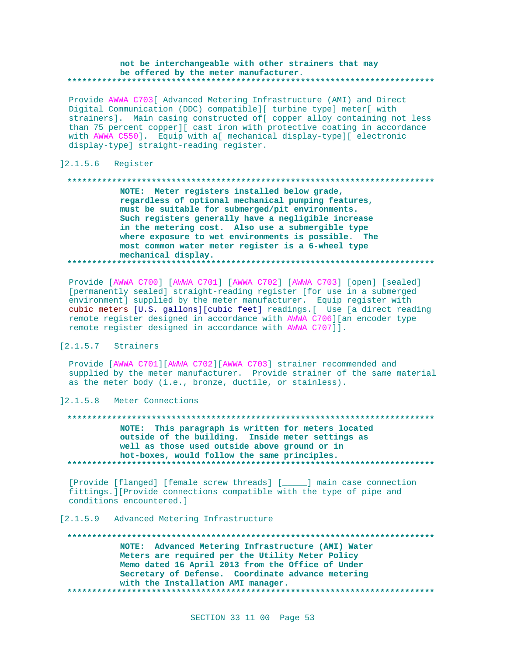#### **not be interchangeable with other strainers that may be offered by the meter manufacturer. \*\*\*\*\*\*\*\*\*\*\*\*\*\*\*\*\*\*\*\*\*\*\*\*\*\*\*\*\*\*\*\*\*\*\*\*\*\*\*\*\*\*\*\*\*\*\*\*\*\*\*\*\*\*\*\*\*\*\*\*\*\*\*\*\*\*\*\*\*\*\*\*\*\***

Provide AWWA C703[ Advanced Metering Infrastructure (AMI) and Direct Digital Communication (DDC) compatible][ turbine type] meter[ with strainers]. Main casing constructed of[ copper alloy containing not less than 75 percent copper][ cast iron with protective coating in accordance with AWWA C550]. Equip with a[ mechanical display-type][ electronic display-type] straight-reading register.

## ]2.1.5.6 Register

## **\*\*\*\*\*\*\*\*\*\*\*\*\*\*\*\*\*\*\*\*\*\*\*\*\*\*\*\*\*\*\*\*\*\*\*\*\*\*\*\*\*\*\*\*\*\*\*\*\*\*\*\*\*\*\*\*\*\*\*\*\*\*\*\*\*\*\*\*\*\*\*\*\*\* NOTE: Meter registers installed below grade, regardless of optional mechanical pumping features, must be suitable for submerged/pit environments. Such registers generally have a negligible increase in the metering cost. Also use a submergible type where exposure to wet environments is possible. The most common water meter register is a 6-wheel type mechanical display. \*\*\*\*\*\*\*\*\*\*\*\*\*\*\*\*\*\*\*\*\*\*\*\*\*\*\*\*\*\*\*\*\*\*\*\*\*\*\*\*\*\*\*\*\*\*\*\*\*\*\*\*\*\*\*\*\*\*\*\*\*\*\*\*\*\*\*\*\*\*\*\*\*\***

Provide [AWWA C700] [AWWA C701] [AWWA C702] [AWWA C703] [open] [sealed] [permanently sealed] straight-reading register [for use in a submerged environment] supplied by the meter manufacturer. Equip register with cubic meters [U.S. gallons][cubic feet] readings.[ Use [a direct reading remote register designed in accordance with AWWA C706][an encoder type remote register designed in accordance with AWWA C707]].

## [2.1.5.7 Strainers

Provide [AWWA C701][AWWA C702][AWWA C703] strainer recommended and supplied by the meter manufacturer. Provide strainer of the same material as the meter body (i.e., bronze, ductile, or stainless).

]2.1.5.8 Meter Connections

#### **\*\*\*\*\*\*\*\*\*\*\*\*\*\*\*\*\*\*\*\*\*\*\*\*\*\*\*\*\*\*\*\*\*\*\*\*\*\*\*\*\*\*\*\*\*\*\*\*\*\*\*\*\*\*\*\*\*\*\*\*\*\*\*\*\*\*\*\*\*\*\*\*\*\***

**NOTE: This paragraph is written for meters located outside of the building. Inside meter settings as well as those used outside above ground or in hot-boxes, would follow the same principles. \*\*\*\*\*\*\*\*\*\*\*\*\*\*\*\*\*\*\*\*\*\*\*\*\*\*\*\*\*\*\*\*\*\*\*\*\*\*\*\*\*\*\*\*\*\*\*\*\*\*\*\*\*\*\*\*\*\*\*\*\*\*\*\*\*\*\*\*\*\*\*\*\*\***

[Provide [flanged] [female screw threads] [\_\_\_\_\_] main case connection fittings.][Provide connections compatible with the type of pipe and conditions encountered.]

## [2.1.5.9 Advanced Metering Infrastructure

**\*\*\*\*\*\*\*\*\*\*\*\*\*\*\*\*\*\*\*\*\*\*\*\*\*\*\*\*\*\*\*\*\*\*\*\*\*\*\*\*\*\*\*\*\*\*\*\*\*\*\*\*\*\*\*\*\*\*\*\*\*\*\*\*\*\*\*\*\*\*\*\*\*\* NOTE: Advanced Metering Infrastructure (AMI) Water Meters are required per the Utility Meter Policy Memo dated 16 April 2013 from the Office of Under Secretary of Defense. Coordinate advance metering with the Installation AMI manager. \*\*\*\*\*\*\*\*\*\*\*\*\*\*\*\*\*\*\*\*\*\*\*\*\*\*\*\*\*\*\*\*\*\*\*\*\*\*\*\*\*\*\*\*\*\*\*\*\*\*\*\*\*\*\*\*\*\*\*\*\*\*\*\*\*\*\*\*\*\*\*\*\*\***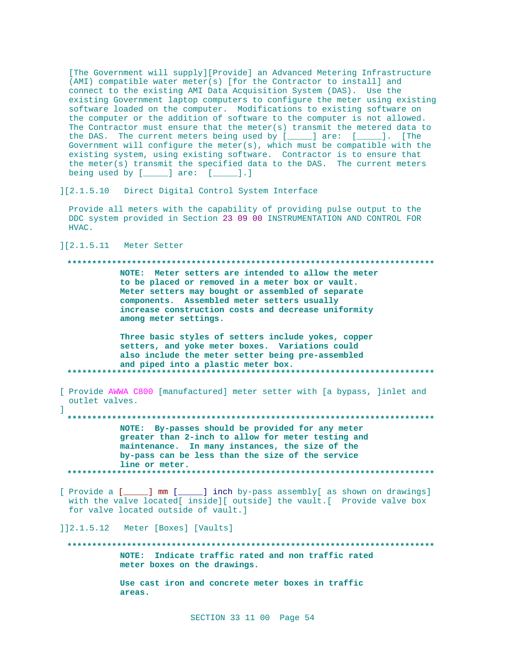[The Government will supply][Provide] an Advanced Metering Infrastructure (AMI) compatible water meter(s) [for the Contractor to install] and connect to the existing AMI Data Acquisition System (DAS). Use the existing Government laptop computers to configure the meter using existing software loaded on the computer. Modifications to existing software on the computer or the addition of software to the computer is not allowed. The Contractor must ensure that the meter(s) transmit the metered data to the DAS. The current meters being used by [\_\_\_\_] are: [\_\_\_\_]. [The Government will configure the meter(s), which must be compatible with the existing system, using existing software. Contractor is to ensure that the meter(s) transmit the specified data to the DAS. The current meters being used by  $[$   $]$  are:  $[$   $]$ .]

 $] [2.1.5.10]$ Direct Digital Control System Interface

Provide all meters with the capability of providing pulse output to the DDC system provided in Section 23 09 00 INSTRUMENTATION AND CONTROL FOR HVAC.

][2.1.5.11 Meter Setter

 $\mathbb{L}$ 

## 

NOTE: Meter setters are intended to allow the meter to be placed or removed in a meter box or vault. Meter setters may bought or assembled of separate components. Assembled meter setters usually increase construction costs and decrease uniformity among meter settings.

Three basic styles of setters include yokes, copper setters, and yoke meter boxes. Variations could also include the meter setter being pre-assembled and piped into a plastic meter box. . . . . . . . . . . . . . . \*\*\*\*\*\*\*\*\*\*\*\*\*\*\*\*\*\*\*\*\*\*\*\*\*\*\*\*\*\*

[ Provide AWWA C800 [manufactured] meter setter with [a bypass, ]inlet and outlet valves.

NOTE: By-passes should be provided for any meter greater than 2-inch to allow for meter testing and maintenance. In many instances, the size of the by-pass can be less than the size of the service line or meter. 

\_\_\_] inch by-pass assembly[ as shown on drawings] [ Provide a [ \_\_\_\_ ] mm [ \_\_ with the valve located[ inside][ outside] the vault.[ Provide valve box for valve located outside of vault.]

]]2.1.5.12 Meter [Boxes] [Vaults]

NOTE: Indicate traffic rated and non traffic rated meter boxes on the drawings.

> Use cast iron and concrete meter boxes in traffic areas.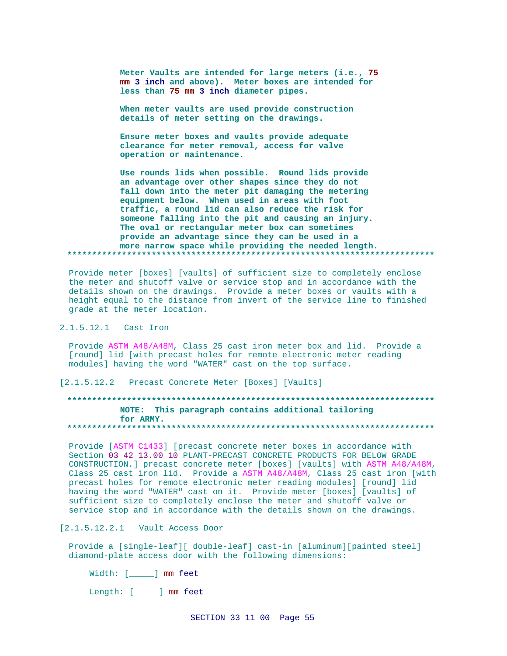Meter Vaults are intended for large meters (i.e., 75 mm 3 inch and above). Meter boxes are intended for less than 75 mm 3 inch diameter pipes.

When meter vaults are used provide construction details of meter setting on the drawings.

Ensure meter boxes and vaults provide adequate clearance for meter removal, access for valve operation or maintenance.

Use rounds lids when possible. Round lids provide an advantage over other shapes since they do not fall down into the meter pit damaging the metering equipment below. When used in areas with foot traffic, a round lid can also reduce the risk for someone falling into the pit and causing an injury. The oval or rectangular meter box can sometimes provide an advantage since they can be used in a more narrow space while providing the needed length. 

Provide meter [boxes] [vaults] of sufficient size to completely enclose the meter and shutoff valve or service stop and in accordance with the details shown on the drawings. Provide a meter boxes or vaults with a height equal to the distance from invert of the service line to finished grade at the meter location.

## 2.1.5.12.1 Cast Iron

Provide ASTM A48/A48M, Class 25 cast iron meter box and lid. Provide a [round] lid [with precast holes for remote electronic meter reading modules] having the word "WATER" cast on the top surface.

[2.1.5.12.2 Precast Concrete Meter [Boxes] [Vaults]

# NOTE: This paragraph contains additional tailoring for ARMY.

Provide [ASTM C1433] [precast concrete meter boxes in accordance with Section 03 42 13.00 10 PLANT-PRECAST CONCRETE PRODUCTS FOR BELOW GRADE CONSTRUCTION. ] precast concrete meter [boxes] [vaults] with ASTM A48/A48M, Class 25 cast iron lid. Provide a ASTM A48/A48M, Class 25 cast iron [with precast holes for remote electronic meter reading modules] [round] lid having the word "WATER" cast on it. Provide meter [boxes] [vaults] of sufficient size to completely enclose the meter and shutoff valve or service stop and in accordance with the details shown on the drawings.

[2.1.5.12.2.1 Vault Access Door

Provide a [single-leaf][ double-leaf] cast-in [aluminum][painted steel] diamond-plate access door with the following dimensions:

Width: [\_\_\_\_\_] mm feet

Length: [*\_\_\_\_*] mm feet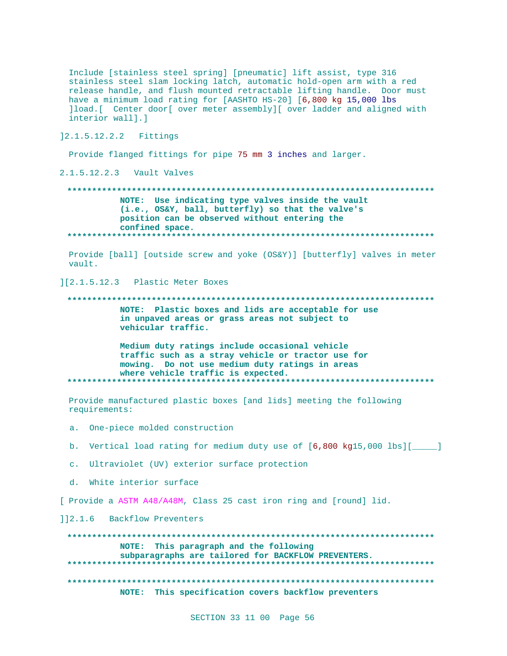Include [stainless steel spring] [pneumatic] lift assist, type 316 stainless steel slam locking latch, automatic hold-open arm with a red release handle, and flush mounted retractable lifting handle. Door must have a minimum load rating for [AASHTO HS-20] [6,800 kg 15,000 lbs ]load. [ Center door [ over meter assembly] [ over ladder and aligned with interior wall].] 12.1.5.12.2.2 Fittings Provide flanged fittings for pipe 75 mm 3 inches and larger. 2.1.5.12.2.3 Vault Valves

NOTE: Use indicating type valves inside the vault (i.e., OS&Y, ball, butterfly) so that the valve's position can be observed without entering the confined space. 

Provide [ball] [outside screw and yoke (OS&Y)] [butterfly] valves in meter vault.

][2.1.5.12.3 Plastic Meter Boxes

NOTE: Plastic boxes and lids are acceptable for use in unpaved areas or grass areas not subject to vehicular traffic.

Medium duty ratings include occasional vehicle traffic such as a stray vehicle or tractor use for mowing. Do not use medium duty ratings in areas where vehicle traffic is expected. 

Provide manufactured plastic boxes [and lids] meeting the following requirements:

a. One-piece molded construction

b. Vertical load rating for medium duty use of [6,800 kg15,000 lbs][  $\Box$ 

c. Ultraviolet (UV) exterior surface protection

d. White interior surface

[ Provide a ASTM A48/A48M, Class 25 cast iron ring and [round] lid.

]]2.1.6 Backflow Preventers

NOTE: This paragraph and the following subparagraphs are tailored for BACKFLOW PREVENTERS. . . . . . . . . . . . . . . NOTE: This specification covers backflow preventers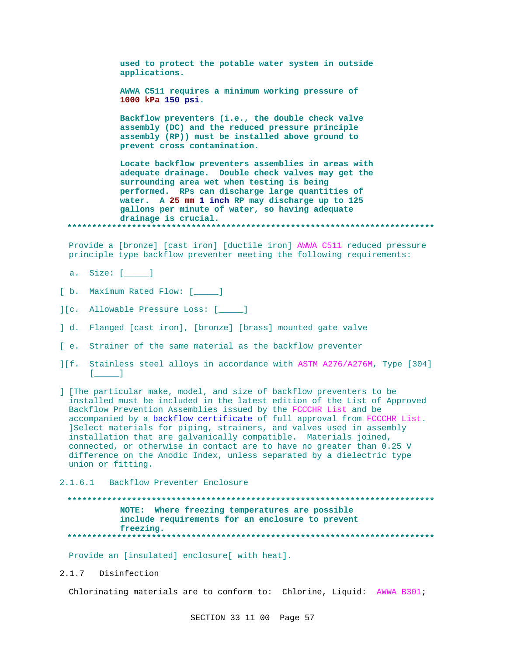**used to protect the potable water system in outside applications.**

**AWWA C511 requires a minimum working pressure of 1000 kPa 150 psi.**

**Backflow preventers (i.e., the double check valve assembly (DC) and the reduced pressure principle assembly (RP)) must be installed above ground to prevent cross contamination.**

**Locate backflow preventers assemblies in areas with adequate drainage. Double check valves may get the surrounding area wet when testing is being performed. RPs can discharge large quantities of water. A 25 mm 1 inch RP may discharge up to 125 gallons per minute of water, so having adequate drainage is crucial. \*\*\*\*\*\*\*\*\*\*\*\*\*\*\*\*\*\*\*\*\*\*\*\*\*\*\*\*\*\*\*\*\*\*\*\*\*\*\*\*\*\*\*\*\*\*\*\*\*\*\*\*\*\*\*\*\*\*\*\*\*\*\*\*\*\*\*\*\*\*\*\*\*\***

Provide a [bronze] [cast iron] [ductile iron] AWWA C511 reduced pressure principle type backflow preventer meeting the following requirements:

a. Size: [\_\_\_\_\_]

- [ b. Maximum Rated Flow: [\_\_\_\_\_]
- ][c. Allowable Pressure Loss: [\_\_\_\_\_]
- ] d. Flanged [cast iron], [bronze] [brass] mounted gate valve
- [ e. Strainer of the same material as the backflow preventer
- ][f. Stainless steel alloys in accordance with ASTM A276/A276M, Type [304]  $[$   $]$
- ] [The particular make, model, and size of backflow preventers to be installed must be included in the latest edition of the List of Approved Backflow Prevention Assemblies issued by the FCCCHR List and be accompanied by a backflow certificate of full approval from FCCCHR List. ]Select materials for piping, strainers, and valves used in assembly installation that are galvanically compatible. Materials joined, connected, or otherwise in contact are to have no greater than 0.25 V difference on the Anodic Index, unless separated by a dielectric type union or fitting.
- 2.1.6.1 Backflow Preventer Enclosure

# **\*\*\*\*\*\*\*\*\*\*\*\*\*\*\*\*\*\*\*\*\*\*\*\*\*\*\*\*\*\*\*\*\*\*\*\*\*\*\*\*\*\*\*\*\*\*\*\*\*\*\*\*\*\*\*\*\*\*\*\*\*\*\*\*\*\*\*\*\*\*\*\*\*\* NOTE: Where freezing temperatures are possible include requirements for an enclosure to prevent freezing. \*\*\*\*\*\*\*\*\*\*\*\*\*\*\*\*\*\*\*\*\*\*\*\*\*\*\*\*\*\*\*\*\*\*\*\*\*\*\*\*\*\*\*\*\*\*\*\*\*\*\*\*\*\*\*\*\*\*\*\*\*\*\*\*\*\*\*\*\*\*\*\*\*\***

Provide an [insulated] enclosure[ with heat].

2.1.7 Disinfection

Chlorinating materials are to conform to: Chlorine, Liquid: AWWA B301;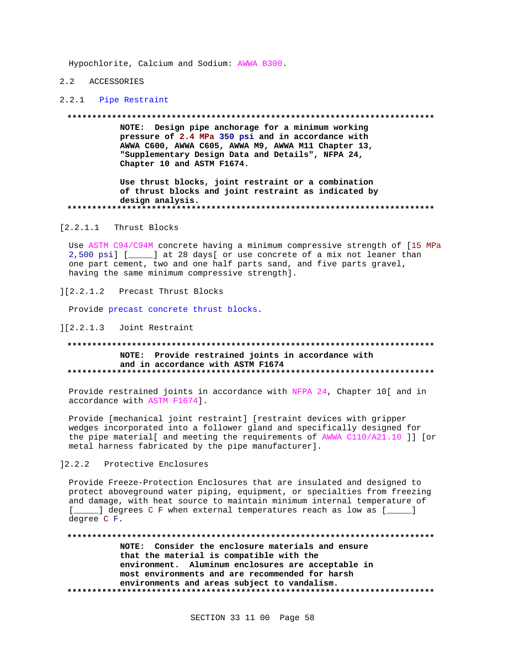Hypochlorite, Calcium and Sodium: AWWA B300.

#### 2.2 ACCESSORIES

#### 2.2.1 Pipe Restraint

#### 

NOTE: Design pipe anchorage for a minimum working pressure of 2.4 MPa 350 psi and in accordance with AWWA C600, AWWA C605, AWWA M9, AWWA M11 Chapter 13, "Supplementary Design Data and Details", NFPA 24, Chapter 10 and ASTM F1674.

Use thrust blocks, joint restraint or a combination of thrust blocks and joint restraint as indicated by design analysis. 

[2.2.1.1 Thrust Blocks

Use ASTM C94/C94M concrete having a minimum compressive strength of [15 MPa 2,500 psi] [\_\_\_\_] at 28 days[ or use concrete of a mix not leaner than one part cement, two and one half parts sand, and five parts gravel, having the same minimum compressive strength].

][2.2.1.2 Precast Thrust Blocks

Provide precast concrete thrust blocks.

#### ][2.2.1.3 Joint Restraint

## NOTE: Provide restrained joints in accordance with and in accordance with ASTM F1674

Provide restrained joints in accordance with NFPA 24, Chapter 10[ and in accordance with ASTM F1674].

Provide [mechanical joint restraint] [restraint devices with gripper wedges incorporated into a follower gland and specifically designed for the pipe material[ and meeting the requirements of AWWA C110/A21.10 ]] [or metal harness fabricated by the pipe manufacturer].

#### 12.2.2 Protective Enclosures

Provide Freeze-Protection Enclosures that are insulated and designed to protect aboveground water piping, equipment, or specialties from freezing and damage, with heat source to maintain minimum internal temperature of [\_\_\_\_\_] degrees C F when external temperatures reach as low as [\_\_\_\_\_] degree C F.

NOTE: Consider the enclosure materials and ensure that the material is compatible with the environment. Aluminum enclosures are acceptable in most environments and are recommended for harsh environments and areas subject to vandalism.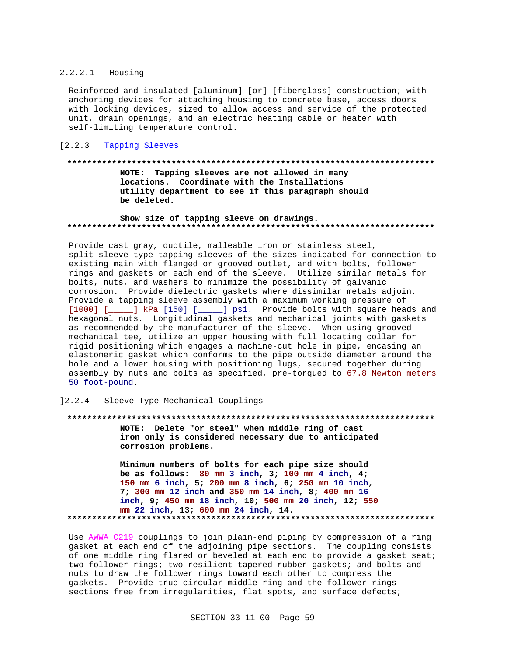#### $2.2.2.1$ Housing

Reinforced and insulated [aluminum] [or] [fiberglass] construction; with anchoring devices for attaching housing to concrete base, access doors with locking devices, sized to allow access and service of the protected unit, drain openings, and an electric heating cable or heater with self-limiting temperature control.

## [2.2.3 Tapping Sleeves

#### 

NOTE: Tapping sleeves are not allowed in many locations. Coordinate with the Installations utility department to see if this paragraph should be deleted.

#### Show size of tapping sleeve on drawings.

Provide cast gray, ductile, malleable iron or stainless steel, split-sleeve type tapping sleeves of the sizes indicated for connection to existing main with flanged or grooved outlet, and with bolts, follower rings and gaskets on each end of the sleeve. Utilize similar metals for bolts, nuts, and washers to minimize the possibility of galvanic corrosion. Provide dielectric gaskets where dissimilar metals adjoin. Provide a tapping sleeve assembly with a maximum working pressure of [1000] [\_\_\_\_\_] kPa [150] [\_\_\_\_\_] psi. Provide bolts with square heads and hexagonal nuts. Longitudinal gaskets and mechanical joints with gaskets as recommended by the manufacturer of the sleeve. When using grooved mechanical tee, utilize an upper housing with full locating collar for rigid positioning which engages a machine-cut hole in pipe, encasing an elastomeric gasket which conforms to the pipe outside diameter around the hole and a lower housing with positioning lugs, secured together during assembly by nuts and bolts as specified, pre-torqued to 67.8 Newton meters 50 foot-pound.

#### 12.2.4 Sleeve-Type Mechanical Couplings

#### 

NOTE: Delete "or steel" when middle ring of cast iron only is considered necessary due to anticipated corrosion problems.

Minimum numbers of bolts for each pipe size should be as follows:  $80 \text{ mm } 3 \text{ inch}$ ,  $3; 100 \text{ mm } 4 \text{ inch}$ ,  $4;$ 150 mm 6 inch, 5; 200 mm 8 inch, 6; 250 mm 10 inch, 7; 300 mm 12 inch and 350 mm 14 inch, 8; 400 mm 16 inch, 9; 450 mm 18 inch, 10; 500 mm 20 inch, 12; 550 mm 22 inch, 13; 600 mm 24 inch, 14. 

Use AWWA C219 couplings to join plain-end piping by compression of a ring gasket at each end of the adjoining pipe sections. The coupling consists of one middle ring flared or beveled at each end to provide a gasket seat; two follower rings; two resilient tapered rubber gaskets; and bolts and nuts to draw the follower rings toward each other to compress the gaskets. Provide true circular middle ring and the follower rings sections free from irregularities, flat spots, and surface defects;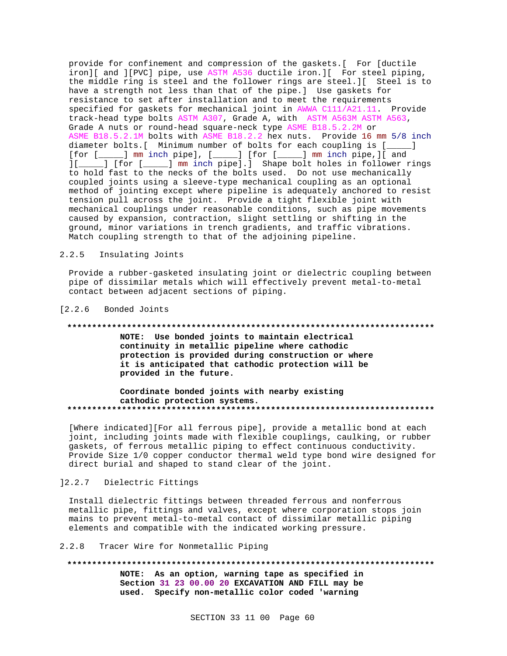provide for confinement and compression of the gaskets.[ For [ductile iron][ and ][PVC] pipe, use ASTM A536 ductile iron.][ For steel piping, the middle ring is steel and the follower rings are steel.][ Steel is to have a strength not less than that of the pipe.] Use gaskets for resistance to set after installation and to meet the requirements specified for gaskets for mechanical joint in AWWA C111/A21.11. Provide track-head type bolts ASTM A307, Grade A, with ASTM A563M ASTM A563, Grade A nuts or round-head square-neck type ASME B18.5.2.2M or ASME B18.5.2.1M bolts with ASME B18.2.2 hex nuts. Provide 16 mm 5/8 inch diameter bolts.[ Minimum number of bolts for each coupling is [\_\_\_\_\_] [for [\_\_\_\_\_] mm inch pipe], [\_\_\_\_\_] [for [\_\_\_\_\_] mm inch pipe,][ and ][\_\_\_\_\_] [for [\_\_\_\_\_] mm inch pipe].] Shape bolt holes in follower rings to hold fast to the necks of the bolts used. Do not use mechanically coupled joints using a sleeve-type mechanical coupling as an optional method of jointing except where pipeline is adequately anchored to resist tension pull across the joint. Provide a tight flexible joint with mechanical couplings under reasonable conditions, such as pipe movements caused by expansion, contraction, slight settling or shifting in the ground, minor variations in trench gradients, and traffic vibrations. Match coupling strength to that of the adjoining pipeline.

## 2.2.5 Insulating Joints

Provide a rubber-gasketed insulating joint or dielectric coupling between pipe of dissimilar metals which will effectively prevent metal-to-metal contact between adjacent sections of piping.

#### [2.2.6 Bonded Joints

#### **\*\*\*\*\*\*\*\*\*\*\*\*\*\*\*\*\*\*\*\*\*\*\*\*\*\*\*\*\*\*\*\*\*\*\*\*\*\*\*\*\*\*\*\*\*\*\*\*\*\*\*\*\*\*\*\*\*\*\*\*\*\*\*\*\*\*\*\*\*\*\*\*\*\***

**NOTE: Use bonded joints to maintain electrical continuity in metallic pipeline where cathodic protection is provided during construction or where it is anticipated that cathodic protection will be provided in the future.**

#### **Coordinate bonded joints with nearby existing cathodic protection systems. \*\*\*\*\*\*\*\*\*\*\*\*\*\*\*\*\*\*\*\*\*\*\*\*\*\*\*\*\*\*\*\*\*\*\*\*\*\*\*\*\*\*\*\*\*\*\*\*\*\*\*\*\*\*\*\*\*\*\*\*\*\*\*\*\*\*\*\*\*\*\*\*\*\***

[Where indicated][For all ferrous pipe], provide a metallic bond at each joint, including joints made with flexible couplings, caulking, or rubber gaskets, of ferrous metallic piping to effect continuous conductivity. Provide Size 1/0 copper conductor thermal weld type bond wire designed for direct burial and shaped to stand clear of the joint.

## ]2.2.7 Dielectric Fittings

Install dielectric fittings between threaded ferrous and nonferrous metallic pipe, fittings and valves, except where corporation stops join mains to prevent metal-to-metal contact of dissimilar metallic piping elements and compatible with the indicated working pressure.

## 2.2.8 Tracer Wire for Nonmetallic Piping

# **\*\*\*\*\*\*\*\*\*\*\*\*\*\*\*\*\*\*\*\*\*\*\*\*\*\*\*\*\*\*\*\*\*\*\*\*\*\*\*\*\*\*\*\*\*\*\*\*\*\*\*\*\*\*\*\*\*\*\*\*\*\*\*\*\*\*\*\*\*\*\*\*\*\* NOTE: As an option, warning tape as specified in**

**Section 31 23 00.00 20 EXCAVATION AND FILL may be used. Specify non-metallic color coded 'warning**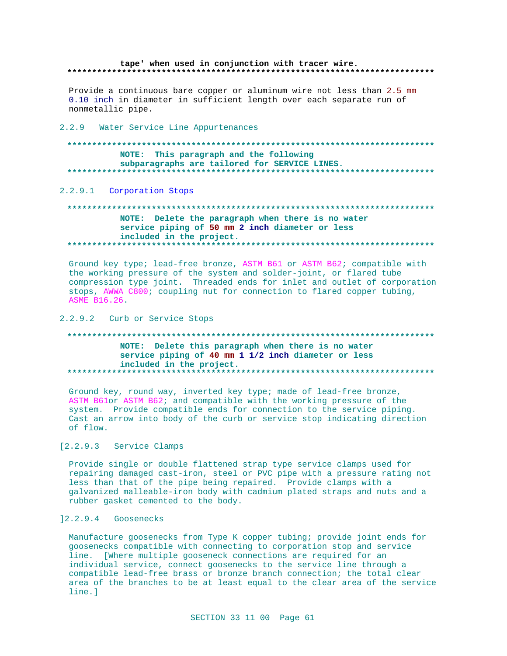#### tape' when used in conjunction with tracer wire.

Provide a continuous bare copper or aluminum wire not less than 2.5 mm 0.10 inch in diameter in sufficient length over each separate run of nonmetallic pipe.

#### 2.2.9 Water Service Line Appurtenances

#### NOTE: This paragraph and the following subparagraphs are tailored for SERVICE LINES. \*\*\*\*\*\*\*\*\*\*\*\*\*\*\*\*\*\*\*

#### 2.2.9.1 Corporation Stops

## NOTE: Delete the paragraph when there is no water service piping of 50 mm 2 inch diameter or less included in the project.

Ground key type; lead-free bronze, ASTM B61 or ASTM B62; compatible with the working pressure of the system and solder-joint, or flared tube compression type joint. Threaded ends for inlet and outlet of corporation stops, AWWA C800; coupling nut for connection to flared copper tubing, ASME B16.26.

## 2.2.9.2 Curb or Service Stops

#### NOTE: Delete this paragraph when there is no water service piping of 40 mm 1 1/2 inch diameter or less included in the project. \*\*\*\*\*\*\*\*\*\*\*\*\*\*\*\*\*\*\*\*\*\*\*\*\*\*\*\*\*\*\*

Ground key, round way, inverted key type; made of lead-free bronze, ASTM B61or ASTM B62; and compatible with the working pressure of the system. Provide compatible ends for connection to the service piping. Cast an arrow into body of the curb or service stop indicating direction of flow.

## [2.2.9.3 Service Clamps

Provide single or double flattened strap type service clamps used for repairing damaged cast-iron, steel or PVC pipe with a pressure rating not less than that of the pipe being repaired. Provide clamps with a galvanized malleable-iron body with cadmium plated straps and nuts and a rubber gasket cemented to the body.

## 12.2.9.4 Goosenecks

Manufacture goosenecks from Type K copper tubing; provide joint ends for goosenecks compatible with connecting to corporation stop and service line. [Where multiple gooseneck connections are required for an individual service, connect goosenecks to the service line through a compatible lead-free brass or bronze branch connection; the total clear area of the branches to be at least equal to the clear area of the service line.]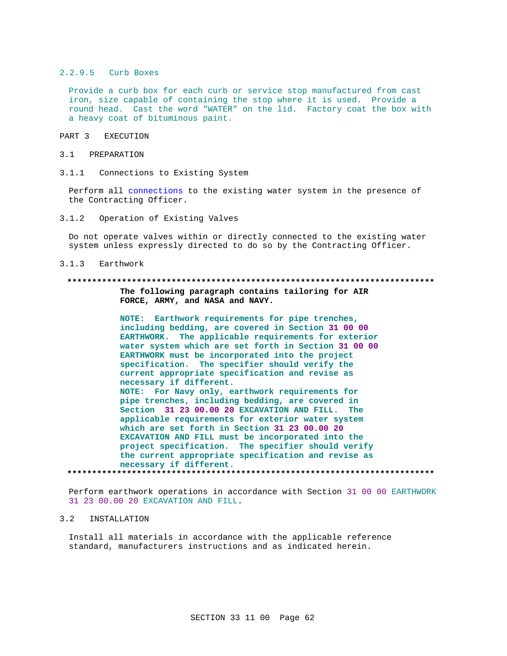#### 2.2.9.5 Curb Boxes

Provide a curb box for each curb or service stop manufactured from cast iron, size capable of containing the stop where it is used. Provide a round head. Cast the word "WATER" on the lid. Factory coat the box with a heavy coat of bituminous paint.

#### PART 3 EXECUTION

#### 3.1 PREPARATION

 $3.1.1$ Connections to Existing System

Perform all connections to the existing water system in the presence of the Contracting Officer.

 $3.1.2$ Operation of Existing Valves

Do not operate valves within or directly connected to the existing water system unless expressly directed to do so by the Contracting Officer.

#### $3.1.3$ Earthwork

#### 

The following paragraph contains tailoring for AIR FORCE, ARMY, and NASA and NAVY.

NOTE: Earthwork requirements for pipe trenches, including bedding, are covered in Section 31 00 00 EARTHWORK. The applicable requirements for exterior water system which are set forth in Section 31 00 00 EARTHWORK must be incorporated into the project specification. The specifier should verify the current appropriate specification and revise as necessary if different. NOTE: For Navy only, earthwork requirements for pipe trenches, including bedding, are covered in

Section 31 23 00.00 20 EXCAVATION AND FILL. The applicable requirements for exterior water system which are set forth in Section 31 23 00.00 20 EXCAVATION AND FILL must be incorporated into the project specification. The specifier should verify the current appropriate specification and revise as necessary if different. 

Perform earthwork operations in accordance with Section 31 00 00 EARTHWORK 31 23 00.00 20 EXCAVATION AND FILL.

#### $3.2$ INSTALLATION

Install all materials in accordance with the applicable reference standard, manufacturers instructions and as indicated herein.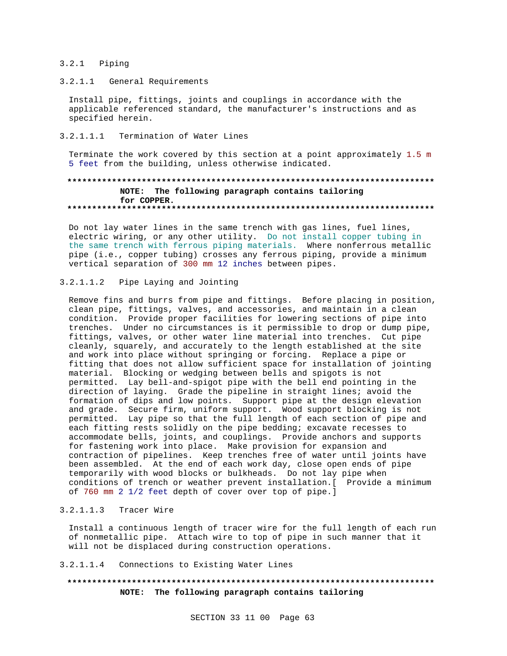## 3.2.1 Piping

## 3.2.1.1 General Requirements

Install pipe, fittings, joints and couplings in accordance with the applicable referenced standard, the manufacturer's instructions and as specified herein.

# 3.2.1.1.1 Termination of Water Lines

Terminate the work covered by this section at a point approximately 1.5 m 5 feet from the building, unless otherwise indicated.

## **\*\*\*\*\*\*\*\*\*\*\*\*\*\*\*\*\*\*\*\*\*\*\*\*\*\*\*\*\*\*\*\*\*\*\*\*\*\*\*\*\*\*\*\*\*\*\*\*\*\*\*\*\*\*\*\*\*\*\*\*\*\*\*\*\*\*\*\*\*\*\*\*\*\* NOTE: The following paragraph contains tailoring for COPPER. \*\*\*\*\*\*\*\*\*\*\*\*\*\*\*\*\*\*\*\*\*\*\*\*\*\*\*\*\*\*\*\*\*\*\*\*\*\*\*\*\*\*\*\*\*\*\*\*\*\*\*\*\*\*\*\*\*\*\*\*\*\*\*\*\*\*\*\*\*\*\*\*\*\***

Do not lay water lines in the same trench with gas lines, fuel lines, electric wiring, or any other utility. Do not install copper tubing in the same trench with ferrous piping materials. Where nonferrous metallic pipe (i.e., copper tubing) crosses any ferrous piping, provide a minimum vertical separation of 300 mm 12 inches between pipes.

## 3.2.1.1.2 Pipe Laying and Jointing

Remove fins and burrs from pipe and fittings. Before placing in position, clean pipe, fittings, valves, and accessories, and maintain in a clean condition. Provide proper facilities for lowering sections of pipe into trenches. Under no circumstances is it permissible to drop or dump pipe, fittings, valves, or other water line material into trenches. Cut pipe cleanly, squarely, and accurately to the length established at the site and work into place without springing or forcing. Replace a pipe or fitting that does not allow sufficient space for installation of jointing material. Blocking or wedging between bells and spigots is not permitted. Lay bell-and-spigot pipe with the bell end pointing in the direction of laying. Grade the pipeline in straight lines; avoid the formation of dips and low points. Support pipe at the design elevation and grade. Secure firm, uniform support. Wood support blocking is not permitted. Lay pipe so that the full length of each section of pipe and each fitting rests solidly on the pipe bedding; excavate recesses to accommodate bells, joints, and couplings. Provide anchors and supports for fastening work into place. Make provision for expansion and contraction of pipelines. Keep trenches free of water until joints have been assembled. At the end of each work day, close open ends of pipe temporarily with wood blocks or bulkheads. Do not lay pipe when conditions of trench or weather prevent installation.[ Provide a minimum of 760 mm 2 1/2 feet depth of cover over top of pipe.]

## 3.2.1.1.3 Tracer Wire

Install a continuous length of tracer wire for the full length of each run of nonmetallic pipe. Attach wire to top of pipe in such manner that it will not be displaced during construction operations.

#### 3.2.1.1.4 Connections to Existing Water Lines

# **\*\*\*\*\*\*\*\*\*\*\*\*\*\*\*\*\*\*\*\*\*\*\*\*\*\*\*\*\*\*\*\*\*\*\*\*\*\*\*\*\*\*\*\*\*\*\*\*\*\*\*\*\*\*\*\*\*\*\*\*\*\*\*\*\*\*\*\*\*\*\*\*\*\* NOTE: The following paragraph contains tailoring**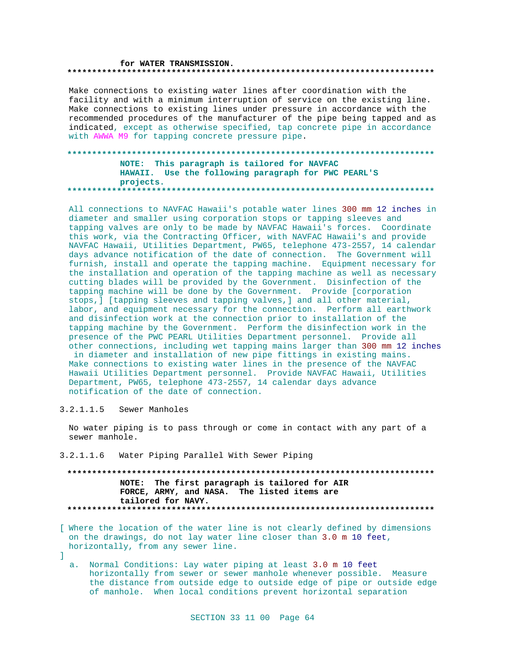#### for WATER TRANSMISSION.

Make connections to existing water lines after coordination with the facility and with a minimum interruption of service on the existing line. Make connections to existing lines under pressure in accordance with the recommended procedures of the manufacturer of the pipe being tapped and as indicated, except as otherwise specified, tap concrete pipe in accordance with AWWA M9 for tapping concrete pressure pipe.

## NOTE: This paragraph is tailored for NAVFAC HAWAII. Use the following paragraph for PWC PEARL'S projects.

All connections to NAVFAC Hawaii's potable water lines 300 mm 12 inches in diameter and smaller using corporation stops or tapping sleeves and tapping valves are only to be made by NAVFAC Hawaii's forces. Coordinate this work, via the Contracting Officer, with NAVFAC Hawaii's and provide NAVFAC Hawaii, Utilities Department, PW65, telephone 473-2557, 14 calendar days advance notification of the date of connection. The Government will furnish, install and operate the tapping machine. Equipment necessary for the installation and operation of the tapping machine as well as necessary cutting blades will be provided by the Government. Disinfection of the tapping machine will be done by the Government. Provide [corporation stops, ] [tapping sleeves and tapping valves, ] and all other material, labor, and equipment necessary for the connection. Perform all earthwork and disinfection work at the connection prior to installation of the tapping machine by the Government. Perform the disinfection work in the presence of the PWC PEARL Utilities Department personnel. Provide all other connections, including wet tapping mains larger than 300 mm 12 inches in diameter and installation of new pipe fittings in existing mains. Make connections to existing water lines in the presence of the NAVFAC Hawaii Utilities Department personnel. Provide NAVFAC Hawaii, Utilities Department, PW65, telephone 473-2557, 14 calendar days advance

3.2.1.1.5 Sewer Manholes

No water piping is to pass through or come in contact with any part of a sewer manhole.

Water Piping Parallel With Sewer Piping  $3.2.1.1.6$ 

notification of the date of connection.

## NOTE: The first paragraph is tailored for AIR FORCE, ARMY, and NASA. The listed items are tailored for NAVY.

[ Where the location of the water line is not clearly defined by dimensions on the drawings, do not lay water line closer than 3.0 m 10 feet, horizontally, from any sewer line.

a. Normal Conditions: Lay water piping at least 3.0 m 10 feet horizontally from sewer or sewer manhole whenever possible. Measure the distance from outside edge to outside edge of pipe or outside edge of manhole. When local conditions prevent horizontal separation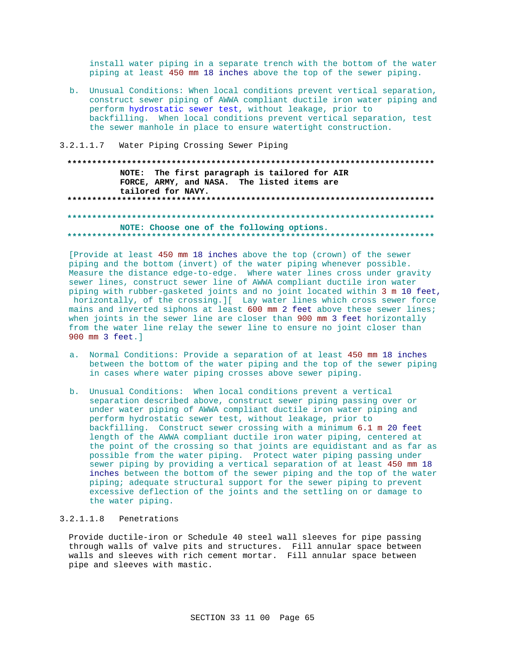install water piping in a separate trench with the bottom of the water piping at least 450 mm 18 inches above the top of the sewer piping.

- b. Unusual Conditions: When local conditions prevent vertical separation, construct sewer piping of AWWA compliant ductile iron water piping and perform hydrostatic sewer test, without leakage, prior to backfilling. When local conditions prevent vertical separation, test the sewer manhole in place to ensure watertight construction.
- $3.2.1.1.7$ Water Piping Crossing Sewer Piping

NOTE: The first paragraph is tailored for AIR FORCE, ARMY, and NASA. The listed items are tailored for NAVY. 

NOTE: Choose one of the following options. 

[Provide at least 450 mm 18 inches above the top (crown) of the sewer piping and the bottom (invert) of the water piping whenever possible. Measure the distance edge-to-edge. Where water lines cross under gravity sewer lines, construct sewer line of AWWA compliant ductile iron water piping with rubber-gasketed joints and no joint located within 3 m 10 feet, horizontally, of the crossing. I Lay water lines which cross sewer force mains and inverted siphons at least 600 mm 2 feet above these sewer lines; when joints in the sewer line are closer than 900 mm 3 feet horizontally from the water line relay the sewer line to ensure no joint closer than 900 mm 3 feet. 1

- a. Normal Conditions: Provide a separation of at least 450 mm 18 inches between the bottom of the water piping and the top of the sewer piping in cases where water piping crosses above sewer piping.
- b. Unusual Conditions: When local conditions prevent a vertical separation described above, construct sewer piping passing over or under water piping of AWWA compliant ductile iron water piping and perform hydrostatic sewer test, without leakage, prior to backfilling. Construct sewer crossing with a minimum 6.1 m 20 feet length of the AWWA compliant ductile iron water piping, centered at the point of the crossing so that joints are equidistant and as far as possible from the water piping. Protect water piping passing under sewer piping by providing a vertical separation of at least 450 mm 18 inches between the bottom of the sewer piping and the top of the water piping; adequate structural support for the sewer piping to prevent excessive deflection of the joints and the settling on or damage to the water piping.

# 3.2.1.1.8 Penetrations

Provide ductile-iron or Schedule 40 steel wall sleeves for pipe passing through walls of valve pits and structures. Fill annular space between walls and sleeves with rich cement mortar. Fill annular space between pipe and sleeves with mastic.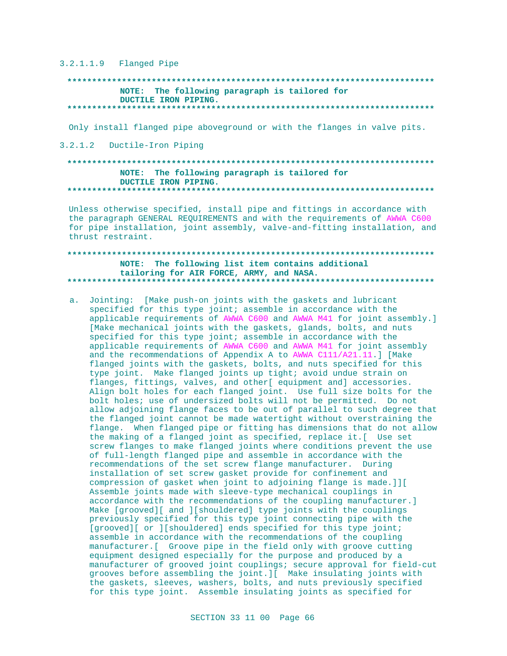$3.2.1.1.9$  Flanged Pipe

#### NOTE: The following paragraph is tailored for DUCTILE IRON PIPING.

Only install flanged pipe aboveground or with the flanges in valve pits.

3.2.1.2 Ductile-Iron Piping

## NOTE: The following paragraph is tailored for DUCTILE IRON PIPING.

Unless otherwise specified, install pipe and fittings in accordance with the paragraph GENERAL REQUIREMENTS and with the requirements of AWWA C600 for pipe installation, joint assembly, valve-and-fitting installation, and thrust restraint.

## NOTE: The following list item contains additional tailoring for AIR FORCE, ARMY, and NASA.

a. Jointing: [Make push-on joints with the gaskets and lubricant specified for this type joint; assemble in accordance with the applicable requirements of AWWA C600 and AWWA M41 for joint assembly.] [Make mechanical joints with the gaskets, glands, bolts, and nuts specified for this type joint; assemble in accordance with the applicable requirements of AWWA C600 and AWWA M41 for joint assembly and the recommendations of Appendix A to AWWA C111/A21.11.] [Make flanged joints with the gaskets, bolts, and nuts specified for this type joint. Make flanged joints up tight; avoid undue strain on flanges, fittings, valves, and other[ equipment and] accessories. Align bolt holes for each flanged joint. Use full size bolts for the bolt holes; use of undersized bolts will not be permitted. Do not allow adjoining flange faces to be out of parallel to such degree that the flanged joint cannot be made watertight without overstraining the flange. When flanged pipe or fitting has dimensions that do not allow the making of a flanged joint as specified, replace it. [ Use set screw flanges to make flanged joints where conditions prevent the use of full-length flanged pipe and assemble in accordance with the recommendations of the set screw flange manufacturer. During installation of set screw gasket provide for confinement and compression of gasket when joint to adjoining flange is made. ] ] [ Assemble joints made with sleeve-type mechanical couplings in accordance with the recommendations of the coupling manufacturer.] Make [grooved][ and ][shouldered] type joints with the couplings previously specified for this type joint connecting pipe with the [grooved][ or ][shouldered] ends specified for this type joint; assemble in accordance with the recommendations of the coupling manufacturer. [ Groove pipe in the field only with groove cutting equipment designed especially for the purpose and produced by a manufacturer of grooved joint couplings; secure approval for field-cut grooves before assembling the joint. ] [ Make insulating joints with the gaskets, sleeves, washers, bolts, and nuts previously specified for this type joint. Assemble insulating joints as specified for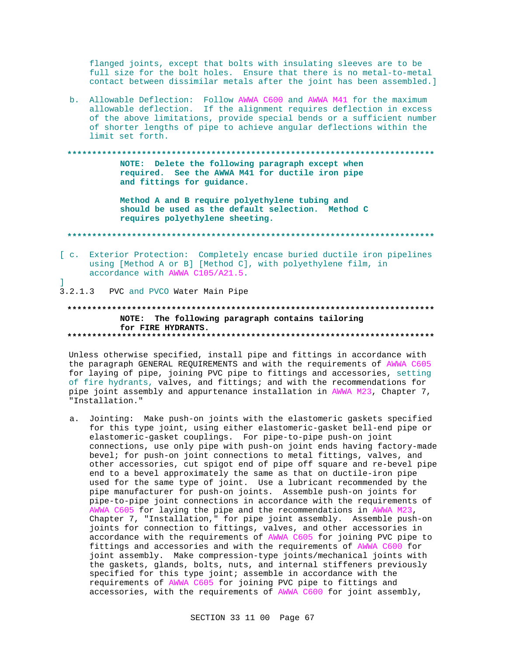flanged joints, except that bolts with insulating sleeves are to be full size for the bolt holes. Ensure that there is no metal-to-metal contact between dissimilar metals after the joint has been assembled.]

b. Allowable Deflection: Follow AWWA C600 and AWWA M41 for the maximum allowable deflection. If the alignment requires deflection in excess of the above limitations, provide special bends or a sufficient number of shorter lengths of pipe to achieve angular deflections within the limit set forth.

NOTE: Delete the following paragraph except when required. See the AWWA M41 for ductile iron pipe and fittings for guidance.

> Method A and B require polyethylene tubing and should be used as the default selection. Method C requires polyethylene sheeting.

[ c. Exterior Protection: Completely encase buried ductile iron pipelines using [Method A or B] [Method C], with polyethylene film, in accordance with AWWA C105/A21.5.

3.2.1.3 PVC and PVCO Water Main Pipe

1

## NOTE: The following paragraph contains tailoring for FIRE HYDRANTS.

Unless otherwise specified, install pipe and fittings in accordance with the paragraph GENERAL REQUIREMENTS and with the requirements of AWWA C605 for laying of pipe, joining PVC pipe to fittings and accessories, setting of fire hydrants, valves, and fittings; and with the recommendations for pipe joint assembly and appurtenance installation in AWWA M23, Chapter 7, "Installation."

Jointing: Make push-on joints with the elastomeric gaskets specified  $a<sub>1</sub>$ for this type joint, using either elastomeric-gasket bell-end pipe or elastomeric-gasket couplings. For pipe-to-pipe push-on joint connections, use only pipe with push-on joint ends having factory-made bevel; for push-on joint connections to metal fittings, valves, and other accessories, cut spigot end of pipe off square and re-bevel pipe end to a bevel approximately the same as that on ductile-iron pipe used for the same type of joint. Use a lubricant recommended by the pipe manufacturer for push-on joints. Assemble push-on joints for pipe-to-pipe joint connections in accordance with the requirements of AWWA C605 for laying the pipe and the recommendations in AWWA M23, Chapter 7, "Installation," for pipe joint assembly. Assemble push-on joints for connection to fittings, valves, and other accessories in accordance with the requirements of AWWA C605 for joining PVC pipe to fittings and accessories and with the requirements of AWWA C600 for joint assembly. Make compression-type joints/mechanical joints with the gaskets, glands, bolts, nuts, and internal stiffeners previously specified for this type joint; assemble in accordance with the requirements of AWWA C605 for joining PVC pipe to fittings and accessories, with the requirements of AWWA C600 for joint assembly,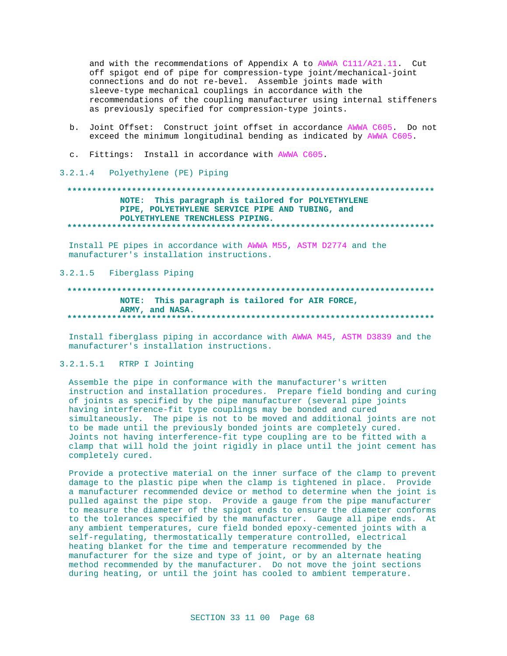and with the recommendations of Appendix A to AWWA C111/A21.11. Cut off spigot end of pipe for compression-type joint/mechanical-joint connections and do not re-bevel. Assemble joints made with sleeve-type mechanical couplings in accordance with the recommendations of the coupling manufacturer using internal stiffeners as previously specified for compression-type joints.

- b. Joint Offset: Construct joint offset in accordance AWWA C605. Do not exceed the minimum longitudinal bending as indicated by AWWA C605.
- c. Fittings: Install in accordance with AWWA C605.
- 3.2.1.4 Polyethylene (PE) Piping

# NOTE: This paragraph is tailored for POLYETHYLENE PIPE, POLYETHYLENE SERVICE PIPE AND TUBING, and POLYETHYLENE TRENCHLESS PIPING.

Install PE pipes in accordance with AWWA M55, ASTM D2774 and the manufacturer's installation instructions.

## 3.2.1.5 Fiberglass Piping

## NOTE: This paragraph is tailored for AIR FORCE, ARMY, and NASA.

Install fiberglass piping in accordance with AWWA M45, ASTM D3839 and the manufacturer's installation instructions.

## 3.2.1.5.1 RTRP I Jointing

Assemble the pipe in conformance with the manufacturer's written instruction and installation procedures. Prepare field bonding and curing of joints as specified by the pipe manufacturer (several pipe joints having interference-fit type couplings may be bonded and cured simultaneously. The pipe is not to be moved and additional joints are not to be made until the previously bonded joints are completely cured. Joints not having interference-fit type coupling are to be fitted with a clamp that will hold the joint rigidly in place until the joint cement has completely cured.

Provide a protective material on the inner surface of the clamp to prevent damage to the plastic pipe when the clamp is tightened in place. Provide a manufacturer recommended device or method to determine when the joint is pulled against the pipe stop. Provide a gauge from the pipe manufacturer to measure the diameter of the spigot ends to ensure the diameter conforms to the tolerances specified by the manufacturer. Gauge all pipe ends. At any ambient temperatures, cure field bonded epoxy-cemented joints with a self-regulating, thermostatically temperature controlled, electrical heating blanket for the time and temperature recommended by the manufacturer for the size and type of joint, or by an alternate heating method recommended by the manufacturer. Do not move the joint sections during heating, or until the joint has cooled to ambient temperature.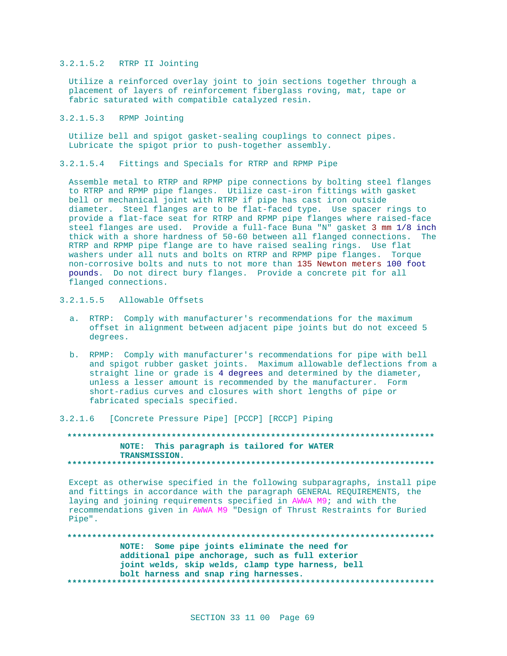## 3.2.1.5.2 RTRP II Jointing

Utilize a reinforced overlay joint to join sections together through a placement of layers of reinforcement fiberglass roving, mat, tape or fabric saturated with compatible catalyzed resin.

### 3.2.1.5.3 RPMP Jointing

Utilize bell and spigot gasket-sealing couplings to connect pipes. Lubricate the spigot prior to push-together assembly.

### 3.2.1.5.4 Fittings and Specials for RTRP and RPMP Pipe

Assemble metal to RTRP and RPMP pipe connections by bolting steel flanges to RTRP and RPMP pipe flanges. Utilize cast-iron fittings with gasket bell or mechanical joint with RTRP if pipe has cast iron outside diameter. Steel flanges are to be flat-faced type. Use spacer rings to provide a flat-face seat for RTRP and RPMP pipe flanges where raised-face steel flanges are used. Provide a full-face Buna "N" gasket 3 mm 1/8 inch thick with a shore hardness of 50-60 between all flanged connections. The RTRP and RPMP pipe flange are to have raised sealing rings. Use flat washers under all nuts and bolts on RTRP and RPMP pipe flanges. Torque non-corrosive bolts and nuts to not more than 135 Newton meters 100 foot pounds. Do not direct bury flanges. Provide a concrete pit for all flanged connections.

# 3.2.1.5.5 Allowable Offsets

- a. RTRP: Comply with manufacturer's recommendations for the maximum offset in alignment between adjacent pipe joints but do not exceed 5 degrees.
- b. RPMP: Comply with manufacturer's recommendations for pipe with bell and spigot rubber gasket joints. Maximum allowable deflections from a straight line or grade is 4 degrees and determined by the diameter, unless a lesser amount is recommended by the manufacturer. Form short-radius curves and closures with short lengths of pipe or fabricated specials specified.

3.2.1.6 [Concrete Pressure Pipe] [PCCP] [RCCP] Piping

## **\*\*\*\*\*\*\*\*\*\*\*\*\*\*\*\*\*\*\*\*\*\*\*\*\*\*\*\*\*\*\*\*\*\*\*\*\*\*\*\*\*\*\*\*\*\*\*\*\*\*\*\*\*\*\*\*\*\*\*\*\*\*\*\*\*\*\*\*\*\*\*\*\*\* NOTE: This paragraph is tailored for WATER TRANSMISSION. \*\*\*\*\*\*\*\*\*\*\*\*\*\*\*\*\*\*\*\*\*\*\*\*\*\*\*\*\*\*\*\*\*\*\*\*\*\*\*\*\*\*\*\*\*\*\*\*\*\*\*\*\*\*\*\*\*\*\*\*\*\*\*\*\*\*\*\*\*\*\*\*\*\***

Except as otherwise specified in the following subparagraphs, install pipe and fittings in accordance with the paragraph GENERAL REQUIREMENTS, the laying and joining requirements specified in AWWA M9; and with the recommendations given in AWWA M9 "Design of Thrust Restraints for Buried Pipe".

## **\*\*\*\*\*\*\*\*\*\*\*\*\*\*\*\*\*\*\*\*\*\*\*\*\*\*\*\*\*\*\*\*\*\*\*\*\*\*\*\*\*\*\*\*\*\*\*\*\*\*\*\*\*\*\*\*\*\*\*\*\*\*\*\*\*\*\*\*\*\*\*\*\*\* NOTE: Some pipe joints eliminate the need for additional pipe anchorage, such as full exterior joint welds, skip welds, clamp type harness, bell bolt harness and snap ring harnesses. \*\*\*\*\*\*\*\*\*\*\*\*\*\*\*\*\*\*\*\*\*\*\*\*\*\*\*\*\*\*\*\*\*\*\*\*\*\*\*\*\*\*\*\*\*\*\*\*\*\*\*\*\*\*\*\*\*\*\*\*\*\*\*\*\*\*\*\*\*\*\*\*\*\***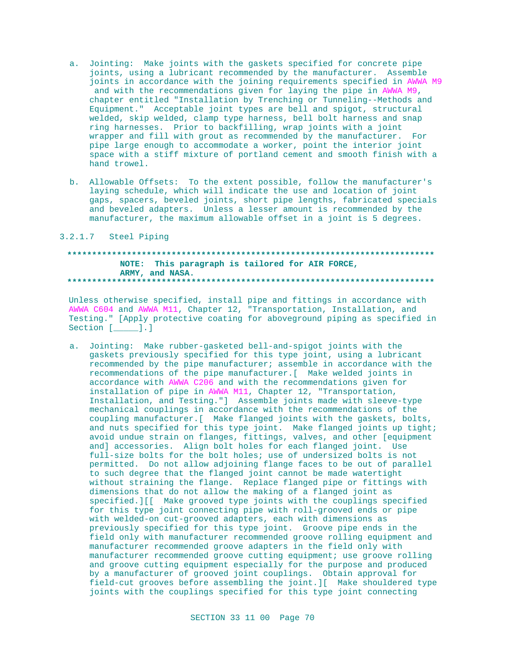- a. Jointing: Make joints with the gaskets specified for concrete pipe joints, using a lubricant recommended by the manufacturer. Assemble joints in accordance with the joining requirements specified in AWWA M9 and with the recommendations given for laying the pipe in AWWA M9, chapter entitled "Installation by Trenching or Tunneling--Methods and Equipment." Acceptable joint types are bell and spigot, structural welded, skip welded, clamp type harness, bell bolt harness and snap ring harnesses. Prior to backfilling, wrap joints with a joint wrapper and fill with grout as recommended by the manufacturer. For pipe large enough to accommodate a worker, point the interior joint space with a stiff mixture of portland cement and smooth finish with a hand trowel.
- b. Allowable Offsets: To the extent possible, follow the manufacturer's laying schedule, which will indicate the use and location of joint gaps, spacers, beveled joints, short pipe lengths, fabricated specials and beveled adapters. Unless a lesser amount is recommended by the manufacturer, the maximum allowable offset in a joint is 5 degrees.

#### 3.2.1.7 Steel Piping

## NOTE: This paragraph is tailored for AIR FORCE, ARMY, and NASA.

Unless otherwise specified, install pipe and fittings in accordance with AWWA C604 and AWWA M11, Chapter 12, "Transportation, Installation, and Testing." [Apply protective coating for aboveground piping as specified in Section  $[\underline{\hspace{1cm}}]$ .]

a. Jointing: Make rubber-gasketed bell-and-spigot joints with the gaskets previously specified for this type joint, using a lubricant recommended by the pipe manufacturer; assemble in accordance with the recommendations of the pipe manufacturer. [ Make welded joints in accordance with AWWA C206 and with the recommendations given for installation of pipe in AWWA M11, Chapter 12, "Transportation, Installation, and Testing."] Assemble joints made with sleeve-type mechanical couplings in accordance with the recommendations of the coupling manufacturer. [ Make flanged joints with the gaskets, bolts, and nuts specified for this type joint. Make flanged joints up tight; avoid undue strain on flanges, fittings, valves, and other [equipment and] accessories. Align bolt holes for each flanged joint. Use full-size bolts for the bolt holes; use of undersized bolts is not permitted. Do not allow adjoining flange faces to be out of parallel to such degree that the flanged joint cannot be made watertight without straining the flange. Replace flanged pipe or fittings with dimensions that do not allow the making of a flanged joint as specified. III Make grooved type joints with the couplings specified for this type joint connecting pipe with roll-grooved ends or pipe with welded-on cut-grooved adapters, each with dimensions as previously specified for this type joint. Groove pipe ends in the field only with manufacturer recommended groove rolling equipment and manufacturer recommended groove adapters in the field only with manufacturer recommended groove cutting equipment; use groove rolling and groove cutting equipment especially for the purpose and produced by a manufacturer of grooved joint couplings. Obtain approval for field-cut grooves before assembling the joint. ][ Make shouldered type joints with the couplings specified for this type joint connecting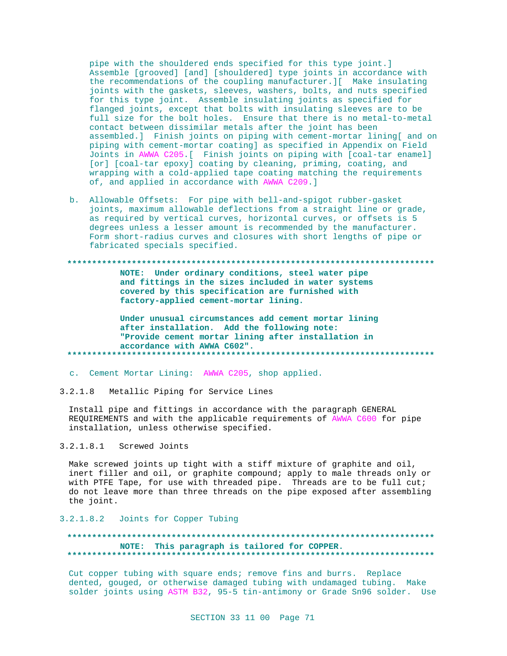pipe with the shouldered ends specified for this type joint.] Assemble [grooved] [and] [shouldered] type joints in accordance with the recommendations of the coupling manufacturer.][ Make insulating joints with the gaskets, sleeves, washers, bolts, and nuts specified for this type joint. Assemble insulating joints as specified for flanged joints, except that bolts with insulating sleeves are to be full size for the bolt holes. Ensure that there is no metal-to-metal contact between dissimilar metals after the joint has been assembled.] Finish joints on piping with cement-mortar lining[ and on piping with cement-mortar coating] as specified in Appendix on Field Joints in AWWA C205.[ Finish joints on piping with [coal-tar enamel] [or] [coal-tar epoxy] coating by cleaning, priming, coating, and wrapping with a cold-applied tape coating matching the requirements of, and applied in accordance with AWWA C209.]

b. Allowable Offsets: For pipe with bell-and-spigot rubber-gasket joints, maximum allowable deflections from a straight line or grade, as required by vertical curves, horizontal curves, or offsets is 5 degrees unless a lesser amount is recommended by the manufacturer. Form short-radius curves and closures with short lengths of pipe or fabricated specials specified.

**\*\*\*\*\*\*\*\*\*\*\*\*\*\*\*\*\*\*\*\*\*\*\*\*\*\*\*\*\*\*\*\*\*\*\*\*\*\*\*\*\*\*\*\*\*\*\*\*\*\*\*\*\*\*\*\*\*\*\*\*\*\*\*\*\*\*\*\*\*\*\*\*\*\* NOTE: Under ordinary conditions, steel water pipe and fittings in the sizes included in water systems covered by this specification are furnished with factory-applied cement-mortar lining. Under unusual circumstances add cement mortar lining after installation. Add the following note:**

**"Provide cement mortar lining after installation in accordance with AWWA C602". \*\*\*\*\*\*\*\*\*\*\*\*\*\*\*\*\*\*\*\*\*\*\*\*\*\*\*\*\*\*\*\*\*\*\*\*\*\*\*\*\*\*\*\*\*\*\*\*\*\*\*\*\*\*\*\*\*\*\*\*\*\*\*\*\*\*\*\*\*\*\*\*\*\***

- c. Cement Mortar Lining: AWWA C205, shop applied.
- 3.2.1.8 Metallic Piping for Service Lines

Install pipe and fittings in accordance with the paragraph GENERAL REQUIREMENTS and with the applicable requirements of AWWA C600 for pipe installation, unless otherwise specified.

### 3.2.1.8.1 Screwed Joints

Make screwed joints up tight with a stiff mixture of graphite and oil, inert filler and oil, or graphite compound; apply to male threads only or with PTFE Tape, for use with threaded pipe. Threads are to be full cut; do not leave more than three threads on the pipe exposed after assembling the joint.

#### 3.2.1.8.2 Joints for Copper Tubing

# **\*\*\*\*\*\*\*\*\*\*\*\*\*\*\*\*\*\*\*\*\*\*\*\*\*\*\*\*\*\*\*\*\*\*\*\*\*\*\*\*\*\*\*\*\*\*\*\*\*\*\*\*\*\*\*\*\*\*\*\*\*\*\*\*\*\*\*\*\*\*\*\*\*\* NOTE: This paragraph is tailored for COPPER. \*\*\*\*\*\*\*\*\*\*\*\*\*\*\*\*\*\*\*\*\*\*\*\*\*\*\*\*\*\*\*\*\*\*\*\*\*\*\*\*\*\*\*\*\*\*\*\*\*\*\*\*\*\*\*\*\*\*\*\*\*\*\*\*\*\*\*\*\*\*\*\*\*\***

Cut copper tubing with square ends; remove fins and burrs. Replace dented, gouged, or otherwise damaged tubing with undamaged tubing. Make solder joints using ASTM B32, 95-5 tin-antimony or Grade Sn96 solder. Use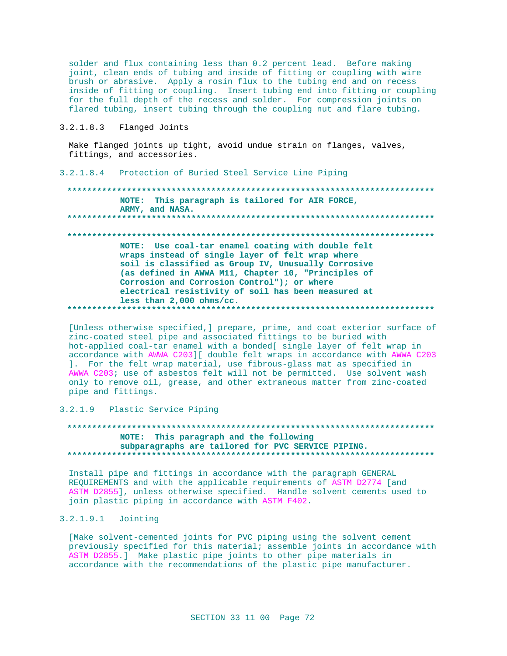solder and flux containing less than 0.2 percent lead. Before making joint, clean ends of tubing and inside of fitting or coupling with wire brush or abrasive. Apply a rosin flux to the tubing end and on recess inside of fitting or coupling. Insert tubing end into fitting or coupling for the full depth of the recess and solder. For compression joints on flared tubing, insert tubing through the coupling nut and flare tubing.

### 3.2.1.8.3 Flanged Joints

Make flanged joints up tight, avoid undue strain on flanges, valves, fittings, and accessories.

#### 3.2.1.8.4 Protection of Buried Steel Service Line Piping

\*\*\*\*\*\*\*\*\*\*\*\*\*\*\*\*\*\*\* NOTE: This paragraph is tailored for AIR FORCE, ARMY, and NASA. NOTE: Use coal-tar enamel coating with double felt wraps instead of single layer of felt wrap where soil is classified as Group IV, Unusually Corrosive (as defined in AWWA M11, Chapter 10, "Principles of Corrosion and Corrosion Control"); or where electrical resistivity of soil has been measured at less than  $2,000$  ohms/cc. 

[Unless otherwise specified, ] prepare, prime, and coat exterior surface of zinc-coated steel pipe and associated fittings to be buried with hot-applied coal-tar enamel with a bonded[ single layer of felt wrap in accordance with AWWA C203][ double felt wraps in accordance with AWWA C203 ]. For the felt wrap material, use fibrous-glass mat as specified in AWWA C203; use of asbestos felt will not be permitted. Use solvent wash only to remove oil, grease, and other extraneous matter from zinc-coated pipe and fittings.

## 3.2.1.9 Plastic Service Piping

# NOTE: This paragraph and the following subparagraphs are tailored for PVC SERVICE PIPING.

Install pipe and fittings in accordance with the paragraph GENERAL REQUIREMENTS and with the applicable requirements of ASTM D2774 [and ASTM D2855], unless otherwise specified. Handle solvent cements used to join plastic piping in accordance with ASTM F402.

## 3.2.1.9.1 Jointing

[Make solvent-cemented joints for PVC piping using the solvent cement previously specified for this material; assemble joints in accordance with ASTM D2855.] Make plastic pipe joints to other pipe materials in accordance with the recommendations of the plastic pipe manufacturer.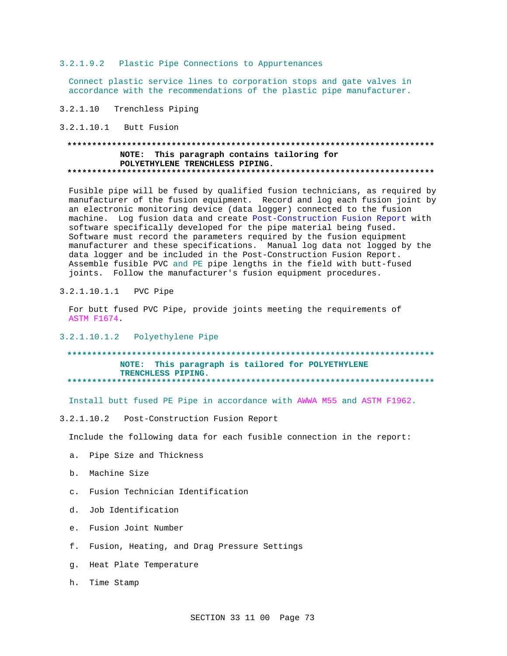3.2.1.9.2 Plastic Pipe Connections to Appurtenances

Connect plastic service lines to corporation stops and gate valves in accordance with the recommendations of the plastic pipe manufacturer.

 $3.2.1.10$ Trenchless Piping

3.2.1.10.1 Butt Fusion

# NOTE: This paragraph contains tailoring for POLYETHYLENE TRENCHLESS PIPING.

Fusible pipe will be fused by qualified fusion technicians, as required by manufacturer of the fusion equipment. Record and log each fusion joint by an electronic monitoring device (data logger) connected to the fusion machine. Log fusion data and create Post-Construction Fusion Report with software specifically developed for the pipe material being fused. Software must record the parameters required by the fusion equipment manufacturer and these specifications. Manual log data not logged by the data logger and be included in the Post-Construction Fusion Report. Assemble fusible PVC and PE pipe lengths in the field with butt-fused joints. Follow the manufacturer's fusion equipment procedures.

3.2.1.10.1.1 PVC Pipe

For butt fused PVC Pipe, provide joints meeting the requirements of **ASTM F1674.** 

3.2.1.10.1.2 Polyethylene Pipe

NOTE: This paragraph is tailored for POLYETHYLENE TRENCHLESS PIPING. \*\*\*\*\*\*\*\*\*\*\*\*\*\*\*\*\*\*\*\*\*\*\*\*\* 

Install butt fused PE Pipe in accordance with AWWA M55 and ASTM F1962.

3.2.1.10.2 Post-Construction Fusion Report

Include the following data for each fusible connection in the report:

- a. Pipe Size and Thickness
- b. Machine Size
- c. Fusion Technician Identification
- d. Job Identification
- e. Fusion Joint Number
- f. Fusion, Heating, and Drag Pressure Settings
- g. Heat Plate Temperature

h. Time Stamp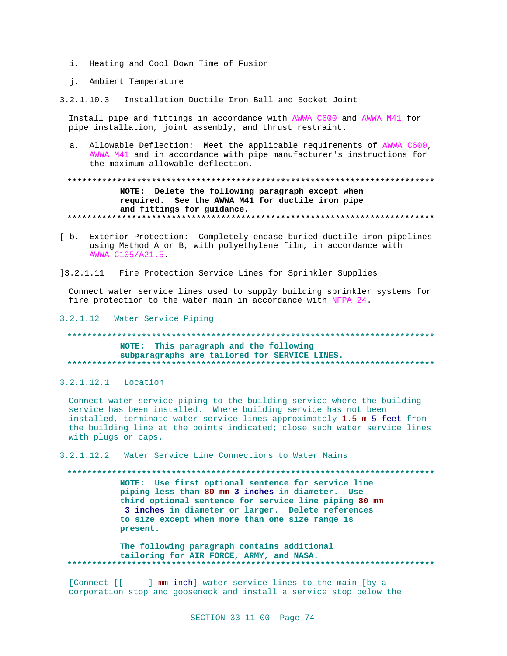- i. Heating and Cool Down Time of Fusion
- j. Ambient Temperature
- 3.2.1.10.3 Installation Ductile Iron Ball and Socket Joint

Install pipe and fittings in accordance with AWWA C600 and AWWA M41 for pipe installation, joint assembly, and thrust restraint.

a. Allowable Deflection: Meet the applicable requirements of AWWA C600, AWWA M41 and in accordance with pipe manufacturer's instructions for the maximum allowable deflection.

# NOTE: Delete the following paragraph except when required. See the AWWA M41 for ductile iron pipe and fittings for guidance.

- [ b. Exterior Protection: Completely encase buried ductile iron pipelines using Method A or B, with polyethylene film, in accordance with AWWA C105/A21.5
- 13.2.1.11 Fire Protection Service Lines for Sprinkler Supplies

Connect water service lines used to supply building sprinkler systems for fire protection to the water main in accordance with NFPA 24.

### 3.2.1.12 Water Service Piping

# NOTE: This paragraph and the following subparagraphs are tailored for SERVICE LINES.

3.2.1.12.1 Location

Connect water service piping to the building service where the building service has been installed. Where building service has not been installed, terminate water service lines approximately 1.5 m 5 feet from the building line at the points indicated; close such water service lines with plugs or caps.

3.2.1.12.2 Water Service Line Connections to Water Mains

### 

NOTE: Use first optional sentence for service line piping less than 80 mm 3 inches in diameter. Use third optional sentence for service line piping 80 mm 3 inches in diameter or larger. Delete references to size except when more than one size range is present.

The following paragraph contains additional tailoring for AIR FORCE, ARMY, and NASA. 

[Connect [[\_\_\_\_\_] mm inch] water service lines to the main [by a corporation stop and gooseneck and install a service stop below the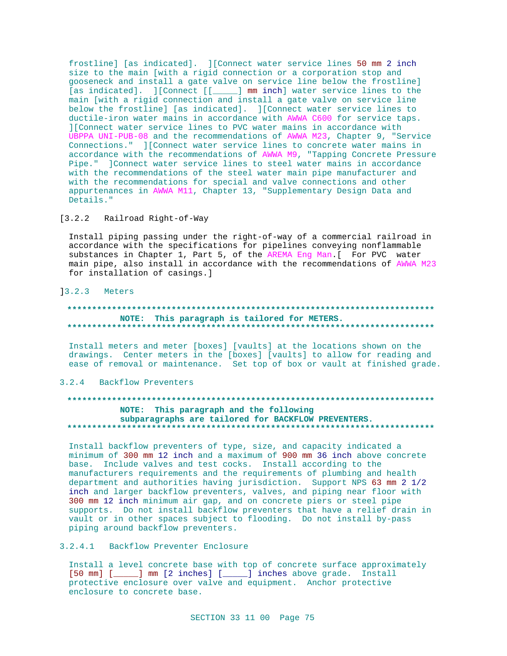frostline] [as indicated]. ][Connect water service lines 50 mm 2 inch size to the main [with a rigid connection or a corporation stop and gooseneck and install a gate valve on service line below the frostline] [as indicated]. ][Connect [[\_\_\_\_] mm inch] water service lines to the main [with a rigid connection and install a gate valve on service line below the frostline] [as indicated]. ][Connect water service lines to ductile-iron water mains in accordance with AWWA C600 for service taps. ][Connect water service lines to PVC water mains in accordance with UBPPA UNI-PUB-08 and the recommendations of AWWA M23, Chapter 9, "Service Connections." ][Connect water service lines to concrete water mains in accordance with the recommendations of AWWA M9, "Tapping Concrete Pressure Pipe." ]Connect water service lines to steel water mains in accordance with the recommendations of the steel water main pipe manufacturer and with the recommendations for special and valve connections and other appurtenances in AWWA M11, Chapter 13, "Supplementary Design Data and Details."

### [3.2.2 Railroad Right-of-Way

Install piping passing under the right-of-way of a commercial railroad in accordance with the specifications for pipelines conveying nonflammable substances in Chapter 1, Part 5, of the AREMA Eng Man. [ For PVC water main pipe, also install in accordance with the recommendations of AWWA M23 for installation of casings.]

## $13.2.3$  Meters

## NOTE: This paragraph is tailored for METERS.

Install meters and meter [boxes] [vaults] at the locations shown on the drawings. Center meters in the [boxes] [vaults] to allow for reading and ease of removal or maintenance. Set top of box or vault at finished grade.

## 3.2.4 Backflow Preventers

# NOTE: This paragraph and the following subparagraphs are tailored for BACKFLOW PREVENTERS.

Install backflow preventers of type, size, and capacity indicated a minimum of 300 mm 12 inch and a maximum of 900 mm 36 inch above concrete base. Include valves and test cocks. Install according to the manufacturers requirements and the requirements of plumbing and health department and authorities having jurisdiction. Support NPS 63 mm 2 1/2 inch and larger backflow preventers, valves, and piping near floor with 300 mm 12 inch minimum air gap, and on concrete piers or steel pipe supports. Do not install backflow preventers that have a relief drain in vault or in other spaces subject to flooding. Do not install by-pass piping around backflow preventers.

# 3.2.4.1 Backflow Preventer Enclosure

Install a level concrete base with top of concrete surface approximately [50 mm] [\_\_\_\_\_] mm [2 inches] [\_\_\_\_\_] inches above grade. Install protective enclosure over valve and equipment. Anchor protective enclosure to concrete base.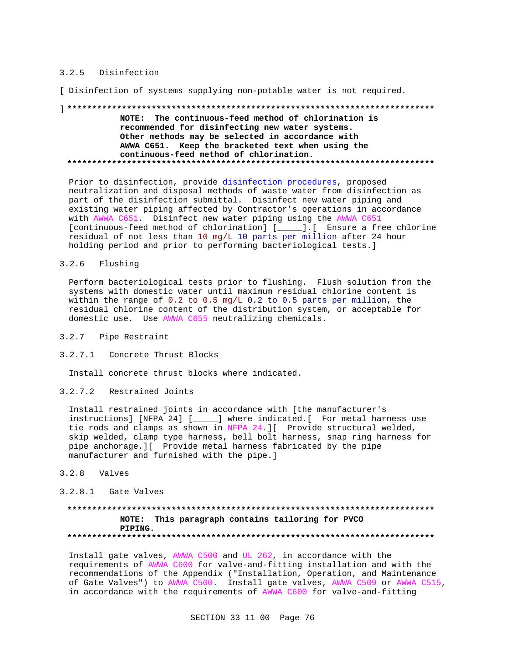### 3.2.5 Disinfection

[ Disinfection of systems supplying non-potable water is not required.

# NOTE: The continuous-feed method of chlorination is recommended for disinfecting new water systems. Other methods may be selected in accordance with AWWA C651. Keep the bracketed text when using the continuous-feed method of chlorination.

Prior to disinfection, provide disinfection procedures, proposed neutralization and disposal methods of waste water from disinfection as part of the disinfection submittal. Disinfect new water piping and existing water piping affected by Contractor's operations in accordance with AWWA C651. Disinfect new water piping using the AWWA C651 [continuous-feed method of chlorination] [\_\_\_\_].[ Ensure a free chlorine residual of not less than 10 mg/L 10 parts per million after 24 hour holding period and prior to performing bacteriological tests.]

#### $3.2.6$ Flushing

Perform bacteriological tests prior to flushing. Flush solution from the systems with domestic water until maximum residual chlorine content is within the range of 0.2 to 0.5 mg/L 0.2 to 0.5 parts per million, the residual chlorine content of the distribution system, or acceptable for domestic use. Use AWWA C655 neutralizing chemicals.

- 3.2.7 Pipe Restraint
- 3.2.7.1 Concrete Thrust Blocks

Install concrete thrust blocks where indicated.

3.2.7.2 Restrained Joints

Install restrained joints in accordance with [the manufacturer's instructions] [NFPA 24] [\_\_\_\_\_] where indicated. [ For metal harness use tie rods and clamps as shown in NFPA 24. [ Provide structural welded, skip welded, clamp type harness, bell bolt harness, snap ring harness for pipe anchorage. I Provide metal harness fabricated by the pipe manufacturer and furnished with the pipe.]

 $3.2.8$  Valves

# 3.2.8.1 Gate Valves

# NOTE: This paragraph contains tailoring for PVCO PIPING.

Install gate valves, AWWA C500 and UL 262, in accordance with the requirements of AWWA C600 for valve-and-fitting installation and with the recommendations of the Appendix ("Installation, Operation, and Maintenance of Gate Valves") to AWWA C500. Install gate valves, AWWA C509 or AWWA C515, in accordance with the requirements of AWWA C600 for valve-and-fitting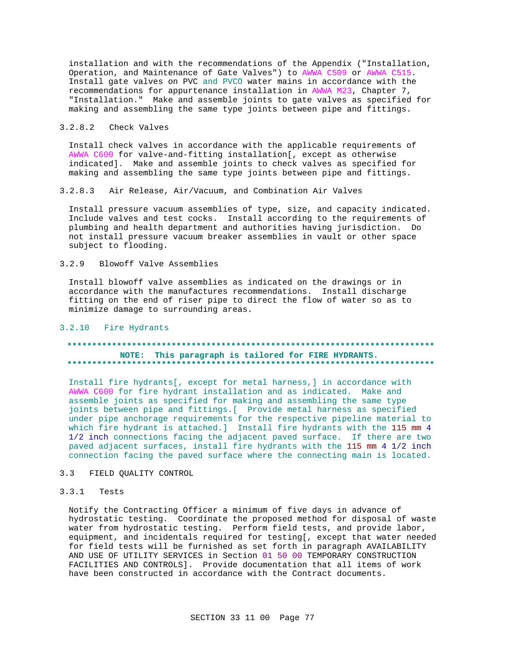installation and with the recommendations of the Appendix ("Installation, Operation, and Maintenance of Gate Valves") to AWWA C509 or AWWA C515. Install gate valves on PVC and PVCO water mains in accordance with the recommendations for appurtenance installation in AWWA M23, Chapter 7, "Installation." Make and assemble joints to gate valves as specified for making and assembling the same type joints between pipe and fittings.

### 3.2.8.2 Check Valves

Install check valves in accordance with the applicable requirements of AWWA C600 for valve-and-fitting installation[, except as otherwise indicated]. Make and assemble joints to check valves as specified for making and assembling the same type joints between pipe and fittings.

#### Air Release, Air/Vacuum, and Combination Air Valves  $3.2.8.3$

Install pressure vacuum assemblies of type, size, and capacity indicated. Include valves and test cocks. Install according to the requirements of plumbing and health department and authorities having jurisdiction. Do not install pressure vacuum breaker assemblies in vault or other space subject to flooding.

#### $3.2.9$ Blowoff Valve Assemblies

Install blowoff valve assemblies as indicated on the drawings or in accordance with the manufactures recommendations. Install discharge fitting on the end of riser pipe to direct the flow of water so as to minimize damage to surrounding areas.

### 3.2.10 Fire Hydrants

# NOTE: This paragraph is tailored for FIRE HYDRANTS.

Install fire hydrants[, except for metal harness,] in accordance with AWWA C600 for fire hydrant installation and as indicated. Make and assemble joints as specified for making and assembling the same type joints between pipe and fittings. [ Provide metal harness as specified under pipe anchorage requirements for the respective pipeline material to which fire hydrant is attached.] Install fire hydrants with the 115 mm 4 1/2 inch connections facing the adjacent paved surface. If there are two paved adjacent surfaces, install fire hydrants with the 115 mm 4 1/2 inch connection facing the paved surface where the connecting main is located.

#### FIELD QUALITY CONTROL  $3<sup>3</sup>$

#### $3.3.1$ Tests

Notify the Contracting Officer a minimum of five days in advance of hydrostatic testing. Coordinate the proposed method for disposal of waste water from hydrostatic testing. Perform field tests, and provide labor, equipment, and incidentals required for testing[, except that water needed for field tests will be furnished as set forth in paragraph AVAILABILITY AND USE OF UTILITY SERVICES in Section 01 50 00 TEMPORARY CONSTRUCTION FACILITIES AND CONTROLS]. Provide documentation that all items of work have been constructed in accordance with the Contract documents.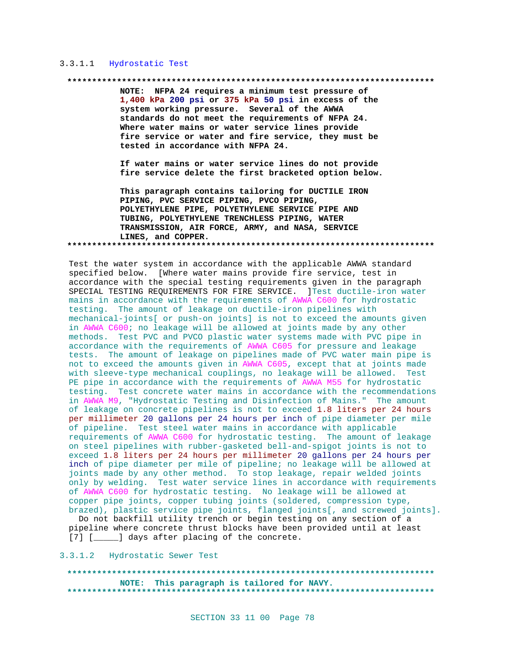# 3.3.1.1 Hydrostatic Test

#### 

NOTE: NFPA 24 requires a minimum test pressure of 1,400 kPa 200 psi or 375 kPa 50 psi in excess of the system working pressure. Several of the AWWA standards do not meet the requirements of NFPA 24. Where water mains or water service lines provide fire service or water and fire service, they must be tested in accordance with NFPA 24.

If water mains or water service lines do not provide fire service delete the first bracketed option below.

This paragraph contains tailoring for DUCTILE IRON PIPING, PVC SERVICE PIPING, PVCO PIPING, POLYETHYLENE PIPE, POLYETHYLENE SERVICE PIPE AND TUBING, POLYETHYLENE TRENCHLESS PIPING, WATER TRANSMISSION, AIR FORCE, ARMY, and NASA, SERVICE LINES, and COPPER. 

Test the water system in accordance with the applicable AWWA standard specified below. [Where water mains provide fire service, test in accordance with the special testing requirements given in the paragraph SPECIAL TESTING REQUIREMENTS FOR FIRE SERVICE. ]Test ductile-iron water mains in accordance with the requirements of AWWA C600 for hydrostatic testing. The amount of leakage on ductile-iron pipelines with mechanical-joints[ or push-on joints] is not to exceed the amounts given in AWWA C600; no leakage will be allowed at joints made by any other methods. Test PVC and PVCO plastic water systems made with PVC pipe in accordance with the requirements of AWWA C605 for pressure and leakage tests. The amount of leakage on pipelines made of PVC water main pipe is not to exceed the amounts given in AWWA C605, except that at joints made with sleeve-type mechanical couplings, no leakage will be allowed. Test PE pipe in accordance with the requirements of AWWA M55 for hydrostatic testing. Test concrete water mains in accordance with the recommendations in AWWA M9, "Hydrostatic Testing and Disinfection of Mains." The amount of leakage on concrete pipelines is not to exceed 1.8 liters per 24 hours per millimeter 20 gallons per 24 hours per inch of pipe diameter per mile of pipeline. Test steel water mains in accordance with applicable requirements of AWWA C600 for hydrostatic testing. The amount of leakage on steel pipelines with rubber-gasketed bell-and-spigot joints is not to exceed 1.8 liters per 24 hours per millimeter 20 gallons per 24 hours per inch of pipe diameter per mile of pipeline; no leakage will be allowed at joints made by any other method. To stop leakage, repair welded joints only by welding. Test water service lines in accordance with requirements of AWWA C600 for hydrostatic testing. No leakage will be allowed at copper pipe joints, copper tubing joints (soldered, compression type, brazed), plastic service pipe joints, flanged joints[, and screwed joints].

Do not backfill utility trench or begin testing on any section of a pipeline where concrete thrust blocks have been provided until at least [7] [\_\_\_\_\_] days after placing of the concrete.

3.3.1.2 Hydrostatic Sewer Test

#### NOTE: This paragraph is tailored for NAVY. ....................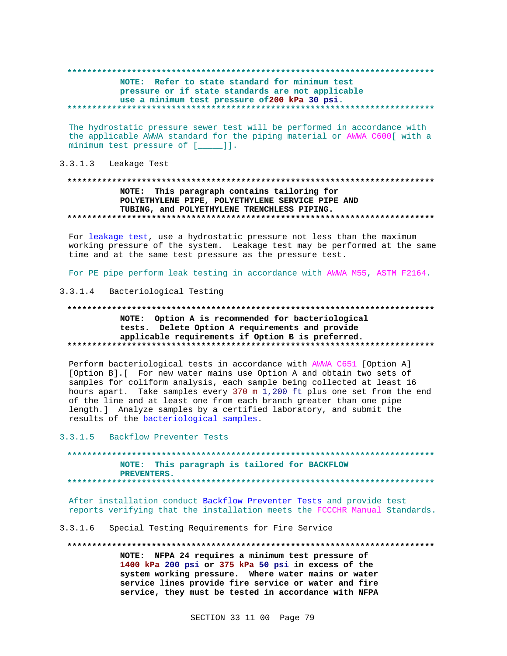# NOTE: Refer to state standard for minimum test pressure or if state standards are not applicable use a minimum test pressure of 200 kPa 30 psi.

The hydrostatic pressure sewer test will be performed in accordance with the applicable AWWA standard for the piping material or AWWA C600[ with a minimum test pressure of [\_\_\_\_]].

## 3.3.1.3 Leakage Test

# NOTE: This paragraph contains tailoring for POLYETHYLENE PIPE, POLYETHYLENE SERVICE PIPE AND TUBING, and POLYETHYLENE TRENCHLESS PIPING.

For leakage test, use a hydrostatic pressure not less than the maximum working pressure of the system. Leakage test may be performed at the same time and at the same test pressure as the pressure test.

For PE pipe perform leak testing in accordance with AWWA M55, ASTM F2164.

# 3.3.1.4 Bacteriological Testing

# NOTE: Option A is recommended for bacteriological tests. Delete Option A requirements and provide applicable requirements if Option B is preferred.

Perform bacteriological tests in accordance with AWWA C651 [Option A] [Option B]. [ For new water mains use Option A and obtain two sets of samples for coliform analysis, each sample being collected at least 16 hours apart. Take samples every 370 m 1,200 ft plus one set from the end of the line and at least one from each branch greater than one pipe length.] Analyze samples by a certified laboratory, and submit the results of the bacteriological samples.

 $3.3.1.5$ Backflow Preventer Tests

NOTE: This paragraph is tailored for BACKFLOW PREVENTERS. 

After installation conduct Backflow Preventer Tests and provide test reports verifying that the installation meets the FCCCHR Manual Standards.

 $3.3.1.6$ Special Testing Requirements for Fire Service

NOTE: NFPA 24 requires a minimum test pressure of 1400 kPa 200 psi or 375 kPa 50 psi in excess of the system working pressure. Where water mains or water service lines provide fire service or water and fire service, they must be tested in accordance with NFPA